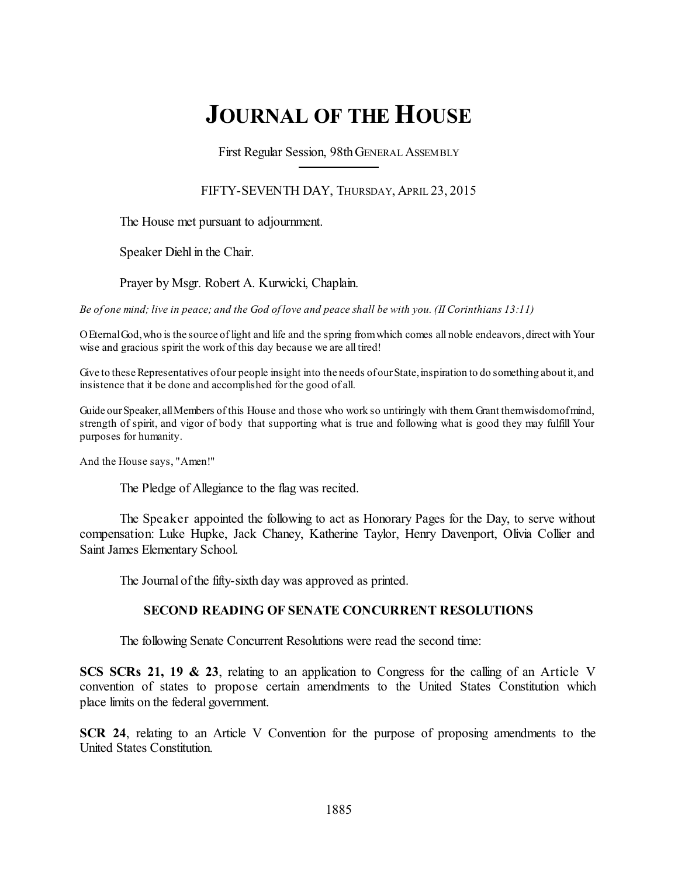# **JOURNAL OF THE HOUSE**

First Regular Session, 98thGENERAL ASSEMBLY

FIFTY-SEVENTH DAY, THURSDAY, APRIL 23, 2015

The House met pursuant to adjournment.

Speaker Diehl in the Chair.

Prayer by Msgr. Robert A. Kurwicki, Chaplain.

Be of one mind; live in peace; and the God of love and peace shall be with you. (II Corinthians  $13:11$ )

OEternalGod,who is the source of light and life and the spring fromwhich comes all noble endeavors,direct with Your wise and gracious spirit the work of this day because we are all tired!

Give to these Representatives of our people insight into the needs of our State, inspiration to do something about it, and insistence that it be done and accomplished for the good of all.

Guide our Speaker, all Members of this House and those who work so untiringly with them. Grant themwisdomofmind, strength of spirit, and vigor of body that supporting what is true and following what is good they may fulfill Your purposes for humanity.

And the House says, "Amen!"

The Pledge of Allegiance to the flag was recited.

The Speaker appointed the following to act as Honorary Pages for the Day, to serve without compensation: Luke Hupke, Jack Chaney, Katherine Taylor, Henry Davenport, Olivia Collier and Saint James Elementary School.

The Journal of the fifty-sixth day was approved as printed.

### **SECOND READING OF SENATE CONCURRENT RESOLUTIONS**

The following Senate Concurrent Resolutions were read the second time:

**SCS SCRs 21, 19 & 23**, relating to an application to Congress for the calling of an Article V convention of states to propose certain amendments to the United States Constitution which place limits on the federal government.

**SCR 24**, relating to an Article V Convention for the purpose of proposing amendments to the United States Constitution.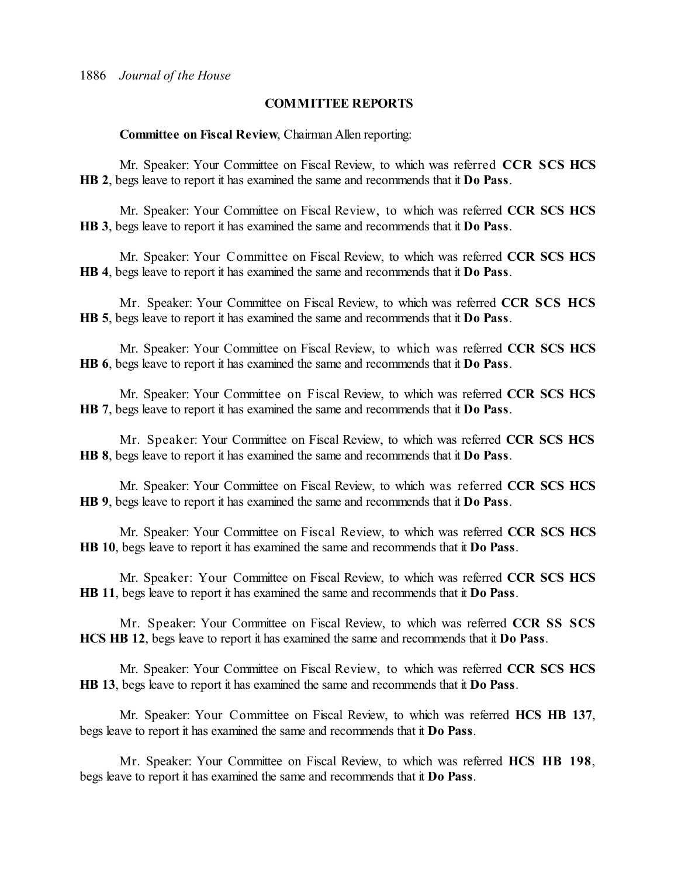### **COMMITTEE REPORTS**

**Committee on Fiscal Review**, Chairman Allen reporting:

Mr. Speaker: Your Committee on Fiscal Review, to which was referred **CCR SCS HCS HB 2**, begs leave to report it has examined the same and recommends that it **Do Pass**.

Mr. Speaker: Your Committee on Fiscal Review, to which was referred **CCR SCS HCS HB 3**, begs leave to report it has examined the same and recommends that it **Do Pass**.

Mr. Speaker: Your Committee on Fiscal Review, to which was referred **CCR SCS HCS HB 4**, begs leave to report it has examined the same and recommends that it **Do Pass**.

Mr. Speaker: Your Committee on Fiscal Review, to which was referred **CCR SCS HCS HB 5**, begs leave to report it has examined the same and recommends that it **Do Pass**.

Mr. Speaker: Your Committee on Fiscal Review, to which was referred **CCR SCS HCS HB 6**, begs leave to report it has examined the same and recommends that it **Do Pass**.

Mr. Speaker: Your Committee on Fiscal Review, to which was referred **CCR SCS HCS HB 7**, begs leave to report it has examined the same and recommends that it **Do Pass**.

Mr. Speaker: Your Committee on Fiscal Review, to which was referred **CCR SCS HCS HB 8**, begs leave to report it has examined the same and recommends that it **Do Pass**.

Mr. Speaker: Your Committee on Fiscal Review, to which was referred **CCR SCS HCS HB 9**, begs leave to report it has examined the same and recommends that it **Do Pass**.

Mr. Speaker: Your Committee on Fiscal Review, to which was referred **CCR SCS HCS HB 10**, begs leave to report it has examined the same and recommends that it **Do Pass**.

Mr. Speaker: Your Committee on Fiscal Review, to which was referred **CCR SCS HCS HB 11**, begs leave to report it has examined the same and recommends that it **Do Pass**.

Mr. Speaker: Your Committee on Fiscal Review, to which was referred **CCR SS SCS HCS HB 12**, begs leave to report it has examined the same and recommends that it **Do Pass**.

Mr. Speaker: Your Committee on Fiscal Review, to which was referred **CCR SCS HCS HB 13**, begs leave to report it has examined the same and recommends that it **Do Pass**.

Mr. Speaker: Your Committee on Fiscal Review, to which was referred **HCS HB 137**, begs leave to report it has examined the same and recommends that it **Do Pass**.

Mr. Speaker: Your Committee on Fiscal Review, to which was referred **HCS HB 198**, begs leave to report it has examined the same and recommends that it **Do Pass**.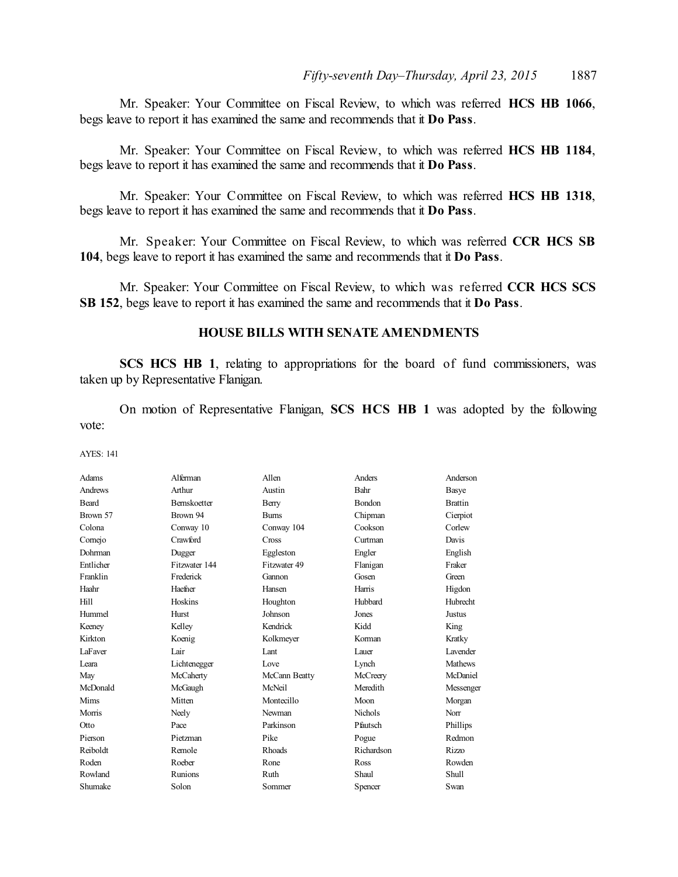Mr. Speaker: Your Committee on Fiscal Review, to which was referred **HCS HB 1066**, begs leave to report it has examined the same and recommends that it **Do Pass**.

Mr. Speaker: Your Committee on Fiscal Review, to which was referred **HCS HB 1184**, begs leave to report it has examined the same and recommends that it **Do Pass**.

Mr. Speaker: Your Committee on Fiscal Review, to which was referred **HCS HB 1318**, begs leave to report it has examined the same and recommends that it **Do Pass**.

Mr. Speaker: Your Committee on Fiscal Review, to which was referred **CCR HCS SB 104**, begs leave to report it has examined the same and recommends that it **Do Pass**.

Mr. Speaker: Your Committee on Fiscal Review, to which was referred **CCR HCS SCS SB 152**, begs leave to report it has examined the same and recommends that it **Do Pass**.

### **HOUSE BILLS WITH SENATE AMENDMENTS**

**SCS HCS HB 1**, relating to appropriations for the board of fund commissioners, was taken up by Representative Flanigan.

On motion of Representative Flanigan, **SCS HCS HB 1** was adopted by the following vote:

| Adams          | Alferman            | Allen         | Anders         | Anderson        |
|----------------|---------------------|---------------|----------------|-----------------|
| <b>Andrews</b> | Arthur              | Austin        | Bahr           | Basye           |
| Beard          | <b>Bernskoetter</b> | Berry         | <b>Bondon</b>  | <b>Brattin</b>  |
| Brown 57       | Brown 94            | <b>Bums</b>   | Chipman        | Cierpiot        |
| Colona         | Conway 10           | Conway 104    | Cookson        | Corlew          |
| Cornejo        | Crawford            | Cross         | Curtman        | Davis           |
| Dohrman        | Dugger              | Eggleston     | Engler         | English         |
| Entlicher      | Fitzwater 144       | Fitzwater 49  | Flanigan       | Fraker          |
| Franklin       | Frederick           | Gannon        | Gosen          | Green           |
| Haahr          | Haefner             | Hansen        | Harris         | Higdon          |
| Hill           | Hoskins             | Houghton      | Hubbard        | Hubrecht        |
| Hummel         | Hurst               | Johnson       | Jones          | Justus          |
| Keeney         | Kelley              | Kendrick      | Kidd           | King            |
| Kirkton        | Koenig              | Kolkmeyer     | Korman         | Kratky          |
| LaFaver        | Lair                | Lant          | Lauer          | <b>Lavender</b> |
| I eara         | Lichtenegger        | Love          | Lynch          | Mathews         |
| May            | McCaherty           | McCann Beatty | McCreery       | McDaniel        |
| McDonald       | McGaugh             | McNeil        | Meredith       | Messenger       |
| Mims           | Mitten              | Montecillo    | Moon           | Morgan          |
| Morris         | Neely               | Newman        | <b>Nichols</b> | Norr            |
| Otto           | Pace                | Parkinson     | Pfautsch       | Phillips        |
| Pierson        | Pietzman            | Pike          | Pogue          | Redmon          |
| Reiboldt       | Remole              | Rhoads        | Richardson     | Rizzo           |
| Roden          | Roeber              | Rone          | Ross           | Rowden          |
| Rowland        | Runions             | Ruth          | Shaul          | Shull           |
| Shumake        | Solon               | Sommer        | Spencer        | Swan            |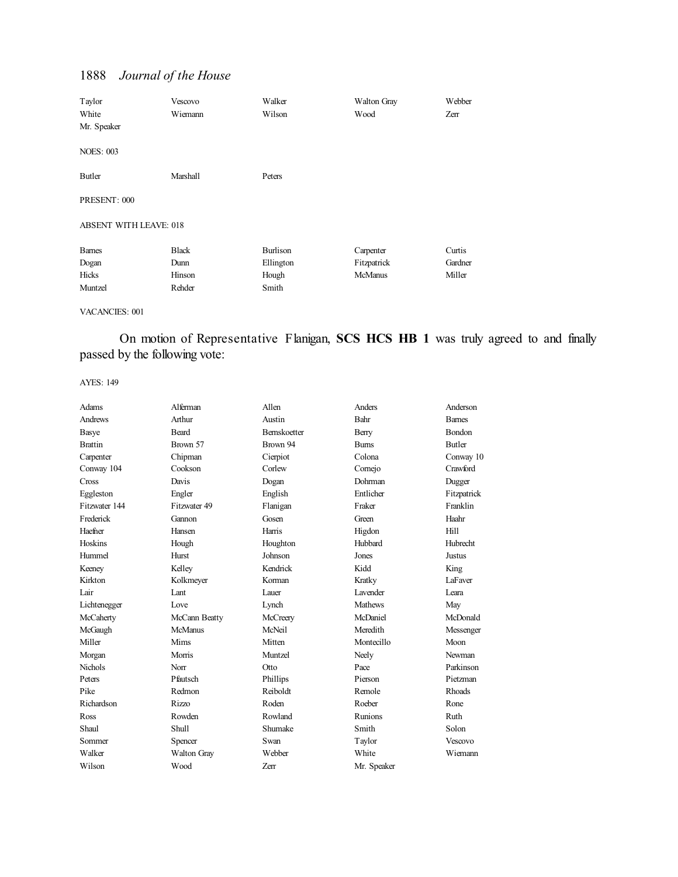| Taylor                        | Vescovo      | Walker          | <b>Walton Gray</b> | Webber  |
|-------------------------------|--------------|-----------------|--------------------|---------|
| White                         | Wiemann      | Wilson          | Wood               | Zerr    |
| Mr. Speaker                   |              |                 |                    |         |
| <b>NOES: 003</b>              |              |                 |                    |         |
| Butler                        | Marshall     | Peters          |                    |         |
| PRESENT: 000                  |              |                 |                    |         |
| <b>ABSENT WITH LEAVE: 018</b> |              |                 |                    |         |
| <b>Barnes</b>                 | <b>Black</b> | <b>Burlison</b> | Carpenter          | Curtis  |
| Dogan                         | Dunn         | Ellington       | Fitzpatrick        | Gardner |
| Hicks                         | Hinson       | Hough           | <b>McManus</b>     | Miller  |
| Muntzel                       | Rehder       | Smith           |                    |         |

#### VACANCIES: 001

On motion of Representative Flanigan, **SCS HCS HB 1** was truly agreed to and finally passed by the following vote:

| Adams          | Alferman       | Allen        | Anders          | Anderson      |
|----------------|----------------|--------------|-----------------|---------------|
| Andrews        | Arthur         | Austin       | Bahr            | <b>Bames</b>  |
| Basye          | Beard          | Bernskoetter | Berry           | <b>Bondon</b> |
| <b>Brattin</b> | Brown 57       | Brown 94     | <b>Burns</b>    | <b>Butler</b> |
| Carpenter      | Chipman        | Cierpiot     | Colona          | Conway 10     |
| Conway 104     | Cookson        | Corlew       | Comejo          | Crawford      |
| Cross          | Davis          | Dogan        | Dohrman         | Dugger        |
| Eggleston      | Engler         | English      | Entlicher       | Fitzpatrick   |
| Fitzwater 144  | Fitzwater 49   | Flanigan     | Fraker          | Franklin      |
| Frederick      | Gannon         | Gosen        | Green           | Haahr         |
| Haefner        | Hansen         | Harris       | Higdon          | Hill          |
| Hoskins        | Hough          | Houghton     | Hubbard         | Hubrecht      |
| Hummel         | Hurst          | Johnson      | Jones           | Justus        |
| Keeney         | Kelley         | Kendrick     | Kidd            | King          |
| Kirkton        | Kolkmeyer      | Korman       | Kratky          | LaFaver       |
| Lair           | Lant           | Lauer        | <b>Lavender</b> | Leara         |
| Lichtenegger   | Love           | Lynch        | <b>Mathews</b>  | May           |
| McCaherty      | McCann Beatty  | McCreery     | McDaniel        | McDonald      |
| McGaugh        | <b>McManus</b> | McNeil       | Meredith        | Messenger     |
| Miller         | Mims           | Mitten       | Montecillo      | Moon          |
| Morgan         | Morris         | Muntzel      | Neely           | Newman        |
| <b>Nichols</b> | Norr           | Otto         | Pace            | Parkinson     |
| Peters         | Pfautsch       | Phillips     | Pierson         | Pietzman      |
| Pike           | Redmon         | Reiboldt     | Remole          | <b>Rhoads</b> |
| Richardson     | <b>Rizzo</b>   | Roden        | Roeber          | Rone          |
| Ross           | Rowden         | Rowland      | Runions         | Ruth          |
| Shaul          | Shull          | Shumake      | Smith           | Solon         |
| Sommer         | Spencer        | Swan         | Taylor          | Vescovo       |
| Walker         | Walton Gray    | Webber       | White           | Wiemann       |
| Wilson         | Wood           | Zerr         | Mr. Speaker     |               |
|                |                |              |                 |               |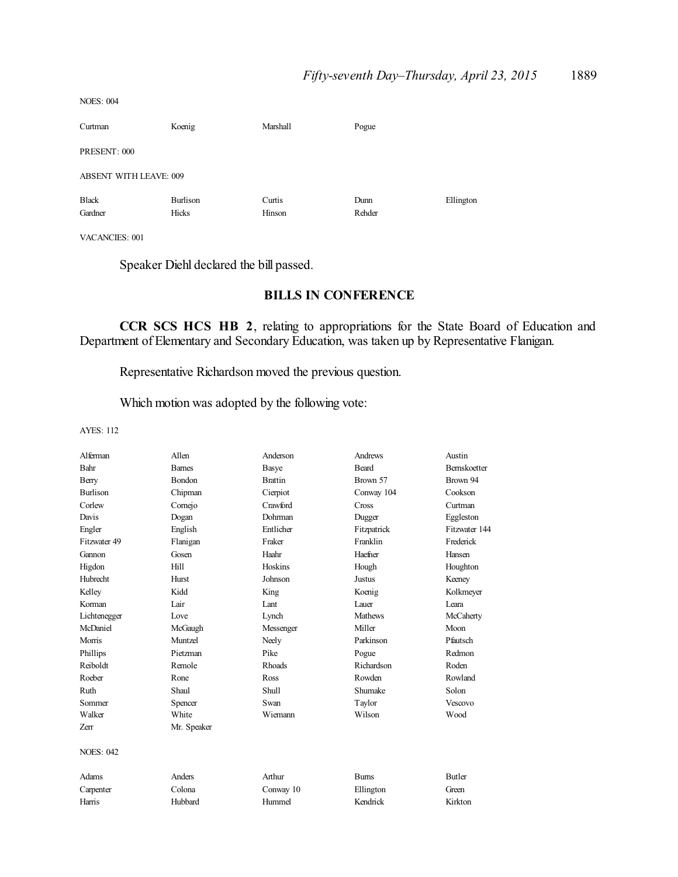| Curtman                       | Koenig            | Marshall         | Pogue          |           |
|-------------------------------|-------------------|------------------|----------------|-----------|
| PRESENT: 000                  |                   |                  |                |           |
| <b>ABSENT WITH LEAVE: 009</b> |                   |                  |                |           |
| <b>Black</b><br>Gardner       | Burlison<br>Hicks | Curtis<br>Hinson | Dunn<br>Rehder | Ellington |

VACANCIES: 001

NOES: 004

Speaker Diehl declared the bill passed.

### **BILLS IN CONFERENCE**

**CCR SCS HCS HB 2**, relating to appropriations for the State Board of Education and Department of Elementary and Secondary Education, was taken up by Representative Flanigan.

Representative Richardson moved the previous question.

Which motion was adopted by the following vote:

| Alferman         | Allen         | Anderson       | Andrews       | Austin              |
|------------------|---------------|----------------|---------------|---------------------|
| Bahr             | <b>Barnes</b> | Basye          | <b>Beard</b>  | <b>Bernskoetter</b> |
| Berry            | <b>Bondon</b> | <b>Brattin</b> | Brown 57      | Brown 94            |
| <b>Burlison</b>  | Chipman       | Cierpiot       | Conway 104    | Cookson             |
| Corlew           | Comejo        | Crawford       | Cross         | Curtman             |
| Davis            | Dogan         | Dohrman        | Dugger        | Eggleston           |
| Engler           | English       | Entlicher      | Fitzpatrick   | Fitzwater 144       |
| Fitzwater 49     | Flanigan      | Fraker         | Franklin      | Frederick           |
| Gannon           | Gosen         | Haahr          | Haefner       | Hansen              |
| Higdon           | Hill          | Hoskins        | Hough         | Houghton            |
| Hubrecht         | Hurst         | Johnson        | <b>Justus</b> | Keeney              |
| Kelley           | Kidd          | King           | Koenig        | Kolkmeyer           |
| Korman           | Lair          | Lant           | Lauer         | I eara              |
| Lichtenegger     | Love          | Lynch          | Mathews       | McCaherty           |
| McDaniel         | McGaugh       | Messenger      | Miller        | Moon                |
| Morris           | Muntzel       | Neely          | Parkinson     | Pfautsch            |
| Phillips         | Pietzman      | Pike           | Pogue         | Redmon              |
| Reiboldt         | Remole        | <b>Rhoads</b>  | Richardson    | Roden               |
| Roeber           | Rone          | Ross           | Rowden        | Rowland             |
| Ruth             | Shaul         | Shull          | Shumake       | Solon               |
| Sommer           | Spencer       | Swan           | Taylor        | Vescovo             |
| Walker           | White         | Wiemann        | Wilson        | Wood                |
| Zerr             | Mr. Speaker   |                |               |                     |
| <b>NOES: 042</b> |               |                |               |                     |
| Adams            | Anders        | Arthur         | <b>Burns</b>  | <b>Butler</b>       |
| Carpenter        | Colona        | Conway 10      | Ellington     | Green               |
| Harris           | Hubbard       | Hummel         | Kendrick      | Kirkton             |
|                  |               |                |               |                     |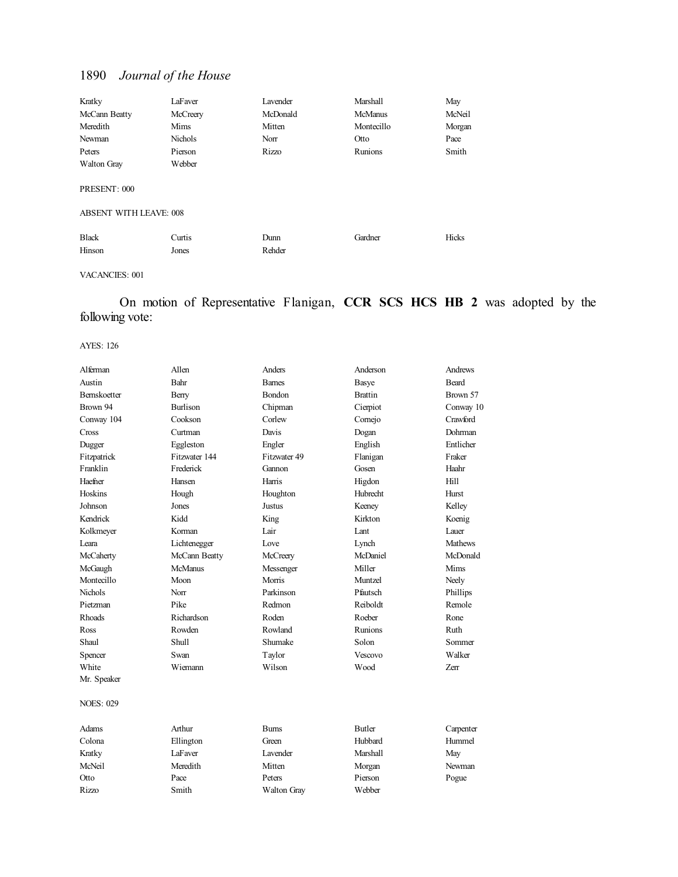| Kratky                        | LaFaver  | Lavender | Marshall       | May    |
|-------------------------------|----------|----------|----------------|--------|
| McCann Beatty                 | McCreery | McDonald | <b>McManus</b> | McNeil |
| Meredith                      | Mims     | Mitten   | Montecillo     | Morgan |
| Newman                        | Nichols  | Norr     | Otto           | Pace   |
| Peters                        | Pierson  | Rizzo    | Runions        | Smith  |
| <b>Walton Gray</b>            | Webber   |          |                |        |
| PRESENT: 000                  |          |          |                |        |
| <b>ABSENT WITH LEAVE: 008</b> |          |          |                |        |
| <b>Black</b>                  | Curtis   | Dunn     | Gardner        | Hicks  |
| Hinson                        | Jones    | Rehder   |                |        |

VACANCIES: 001

## On motion of Representative Flanigan, **CCR SCS HCS HB 2** was adopted by the following vote:

| Alferman            | Allen          | Anders        | Anderson       | Andrews        |
|---------------------|----------------|---------------|----------------|----------------|
| Austin              | Bahr           | <b>Barnes</b> | Basye          | <b>Beard</b>   |
| <b>Bernskoetter</b> | Berry          | <b>Bondon</b> | <b>Brattin</b> | Brown 57       |
| Brown 94            | Burlison       | Chipman       | Cierpiot       | Conway 10      |
| Conway 104          | Cookson        | Corlew        | Comejo         | Crawford       |
| Cross               | Curtman        | Davis         | Dogan          | <b>Dohrman</b> |
| Dugger              | Eggleston      | Engler        | English        | Entlicher      |
| Fitzpatrick         | Fitzwater 144  | Fitzwater 49  | Flanigan       | Fraker         |
| Franklin            | Frederick      | Gannon        | Gosen          | Haahr          |
| Haefner             | Hansen         | Harris        | Higdon         | Hill           |
| Hoskins             | Hough          | Houghton      | Hubrecht       | Hurst          |
| Johnson             | Jones          | <b>Justus</b> | Keeney         | Kelley         |
| Kendrick            | Kidd           | King          | Kirkton        | Koenig         |
| Kolkmeyer           | Korman         | Lair          | Lant           | Lauer          |
| Leara               | Lichtenegger   | Love          | Lynch          | <b>Mathews</b> |
| McCaherty           | McCann Beatty  | McCreery      | McDaniel       | McDonald       |
| McGaugh             | <b>McManus</b> | Messenger     | Miller         | Mims           |
| Montecillo          | Moon           | Morris        | Muntzel        | Neely          |
| Nichols             | Norr           | Parkinson     | Pfautsch       | Phillips       |
| Pietzman            | Pike           | Redmon        | Reiboldt       | Remole         |
| Rhoads              | Richardson     | Roden         | Roeber         | Rone           |
| Ross                | Rowden         | Rowland       | <b>Runions</b> | Ruth           |
| Shaul               | Shull          | Shumake       | Solon          | Sommer         |
| Spencer             | Swan           | Taylor        | <b>Vescovo</b> | Walker         |
| White               | Wiemann        | Wilson        | Wood           | Zerr           |
| Mr. Speaker         |                |               |                |                |
| <b>NOES: 029</b>    |                |               |                |                |
| Adams               | Arthur         | <b>Burns</b>  | <b>Butler</b>  | Carpenter      |
| Colona              | Ellington      | Green         | Hubbard        | Hummel         |
| Kratky              | LaFaver        | Lavender      | Marshall       | May            |
| McNeil              | Meredith       | Mitten        | Morgan         | Newman         |
| Otto                | Pace           | Peters        | Pierson        | Pogue          |
| Rizzo               | Smith          | Walton Gray   | Webber         |                |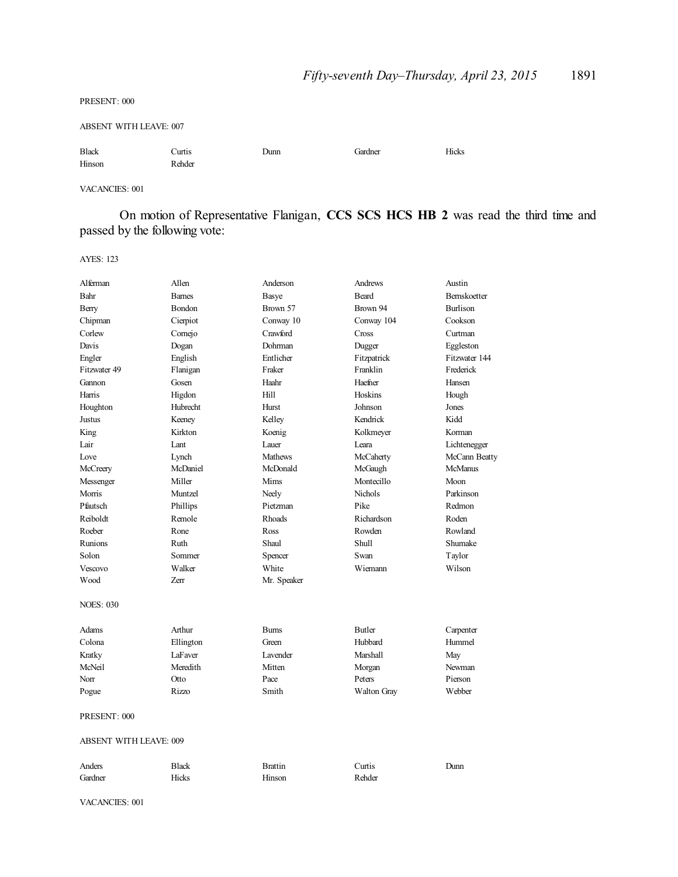PRESENT: 000

ABSENT WITH LEAVE: 007

Black Curtis Dunn Gardner Hicks Hinson Rehder

VACANCIES: 001

On motion of Representative Flanigan, **CCS SCS HCS HB 2** was read the third time and passed by the following vote:

AYES: 123

| Alferman                      | Allen         | Anderson       | Andrews        | Austin          |  |
|-------------------------------|---------------|----------------|----------------|-----------------|--|
| Bahr                          | <b>Barnes</b> | Basye          | <b>Beard</b>   | Bernskoetter    |  |
| Berry                         | <b>Bondon</b> | Brown 57       | Brown 94       | <b>Burlison</b> |  |
| Chipman                       | Cierpiot      | Conway 10      | Conway 104     | Cookson         |  |
| Corlew                        | Comejo        | Crawford       | Cross          | Curtman         |  |
| Davis                         | Dogan         | Dohrman        | Dugger         | Eggleston       |  |
| Engler                        | English       | Entlicher      | Fitzpatrick    | Fitzwater 144   |  |
| Fitzwater 49                  | Flanigan      | Fraker         | Franklin       | Frederick       |  |
| Gannon                        | Gosen         | Haahr          | Haefner        | Hansen          |  |
| Harris                        | Higdon        | Hill           | Hoskins        | Hough           |  |
| Houghton                      | Hubrecht      | Hurst          | Johnson        | Jones           |  |
| Justus                        | Keeney        | Kelley         | Kendrick       | Kidd            |  |
| King                          | Kirkton       | Koenig         | Kolkmeyer      | Korman          |  |
| Lair                          | Lant          | Lauer          | Leara          | Lichtenegger    |  |
| Love                          | Lynch         | <b>Mathews</b> | McCaherty      | McCann Beatty   |  |
| McCreery                      | McDaniel      | McDonald       | McGaugh        | McManus         |  |
| Messenger                     | Miller        | Mims           | Montecillo     | Moon            |  |
| Morris                        | Muntzel       | Neely          | <b>Nichols</b> | Parkinson       |  |
| Pfautsch                      | Phillips      | Pietzman       | Pike           | Redmon          |  |
| Reiboldt                      | Remole        | <b>Rhoads</b>  | Richardson     | Roden           |  |
| Roeber                        | Rone          | Ross           | Rowden         | Rowland         |  |
| Runions                       | Ruth          | Shaul          | Shull          | Shumake         |  |
| Solon                         | Sommer        | Spencer        | Swan           | Taylor          |  |
| Vescovo                       | Walker        | White          | Wiemann        | Wilson          |  |
| Wood                          | Zerr          | Mr. Speaker    |                |                 |  |
| <b>NOES: 030</b>              |               |                |                |                 |  |
| Adams                         | Arthur        | <b>Burns</b>   | <b>Butler</b>  | Carpenter       |  |
| Colona                        | Ellington     | Green          | Hubbard        | Hummel          |  |
| Kratky                        | LaFaver       | Lavender       | Marshall       | May             |  |
| McNeil                        | Meredith      | Mitten         | Morgan         | Newman          |  |
| Norr                          | Otto          | Pace           | Peters         | Pierson         |  |
| Pogue                         | Rizzo         | Smith          | Walton Gray    | Webber          |  |
| PRESENT: 000                  |               |                |                |                 |  |
| <b>ABSENT WITH LEAVE: 009</b> |               |                |                |                 |  |
| Anders                        | <b>Black</b>  | <b>Brattin</b> | Curtis         | Dunn            |  |
| Gardner                       | Hicks         | Hinson         | Rehder         |                 |  |

VACANCIES: 001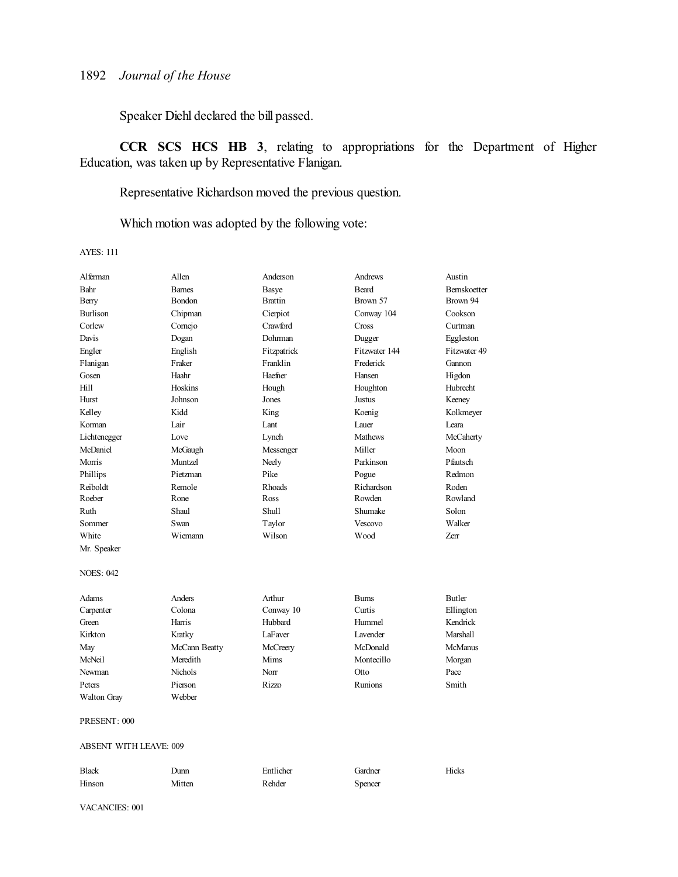Speaker Diehl declared the bill passed.

**CCR SCS HCS HB 3**, relating to appropriations for the Department of Higher Education, was taken up by Representative Flanigan.

Representative Richardson moved the previous question.

Which motion was adopted by the following vote:

AYES: 111

| Alferman                      | Allen         | Anderson       | Andrews        | Austin         |
|-------------------------------|---------------|----------------|----------------|----------------|
| Bahr                          | <b>Barnes</b> | Basye          | <b>Beard</b>   | Bernskoetter   |
| Berry                         | <b>Bondon</b> | <b>Brattin</b> | Brown 57       | Brown 94       |
| <b>Burlison</b>               | Chipman       | Cierpiot       | Conway 104     | Cookson        |
| Corlew                        | Comejo        | Crawford       | Cross          | Curtman        |
| Davis                         | Dogan         | Dohrman        | Dugger         | Eggleston      |
| Engler                        | English       | Fitzpatrick    | Fitzwater 144  | Fitzwater 49   |
| Flanigan                      | Fraker        | Franklin       | Frederick      | Gannon         |
| Gosen                         | Haahr         | Haefner        | Hansen         | Higdon         |
| Hill                          | Hoskins       | Hough          | Houghton       | Hubrecht       |
| Hurst                         | Johnson       | Jones          | Justus         | Keeney         |
| Kelley                        | Kidd          | King           | Koenig         | Kolkmeyer      |
| Korman                        | Lair          | Lant           | Lauer          | Leara          |
| Lichtenegger                  | Love          | Lynch          | <b>Mathews</b> | McCaherty      |
| McDaniel                      | McGaugh       | Messenger      | Miller         | Moon           |
| Morris                        | Muntzel       | Neely          | Parkinson      | Pfautsch       |
| Phillips                      | Pietzman      | Pike           | Pogue          | Redmon         |
| Reiboldt                      | Remole        | Rhoads         | Richardson     | Roden          |
| Roeber                        | Rone          | Ross           | Rowden         | Rowland        |
| Ruth                          | Shaul         | <b>Shull</b>   | Shumake        | Solon          |
| Sommer                        | Swan          | Taylor         | Vescovo        | Walker         |
| White                         | Wiemann       | Wilson         | Wood           | Zerr           |
| Mr. Speaker                   |               |                |                |                |
| <b>NOES: 042</b>              |               |                |                |                |
| Adams                         | Anders        | Arthur         | <b>Burns</b>   | <b>Butler</b>  |
| Carpenter                     | Colona        | Conway 10      | Curtis         | Ellington      |
| Green                         | Harris        | Hubbard        | Hummel         | Kendrick       |
| Kirkton                       | Kratky        | LaFaver        | Lavender       | Marshall       |
| May                           | McCann Beatty | McCreery       | McDonald       | <b>McManus</b> |
| McNeil                        | Meredith      | Mims           | Montecillo     | Morgan         |
| Newman                        | Nichols       | Norr           | Otto           | Pace           |
| Peters                        | Pierson       | Rizzo          | <b>Runions</b> | Smith          |
| <b>Walton Gray</b>            | Webber        |                |                |                |
| PRESENT: 000                  |               |                |                |                |
| <b>ABSENT WITH LEAVE: 009</b> |               |                |                |                |
| Black                         | Dunn          | Entlicher      | Gardner        | <b>Hicks</b>   |

Hinson Mitten Rehder Spencer

VACANCIES: 001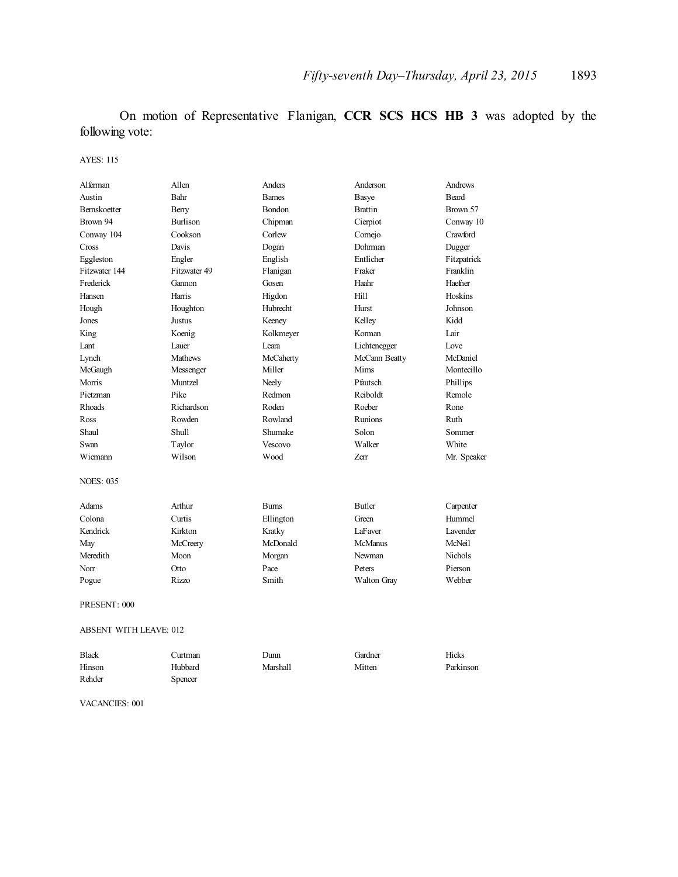On motion of Representative Flanigan, **CCR SCS HCS HB 3** was adopted by the following vote:

AYES: 115

| Alferman            | Allen           | Anders        | Anderson           | Andrews      |
|---------------------|-----------------|---------------|--------------------|--------------|
| Austin              | Bahr            | <b>Barnes</b> | Basye              | <b>Beard</b> |
| <b>Bernskoetter</b> | Berry           | Bondon        | <b>Brattin</b>     | Brown 57     |
| Brown 94            | <b>Burlison</b> | Chipman       | Cierpiot           | Conway 10    |
| Conway 104          | Cookson         | Corlew        | Comejo             | Crawford     |
| Cross               | Davis           | Dogan         | Dohrman            | Dugger       |
| Eggleston           | Engler          | English       | Entlicher          | Fitzpatrick  |
| Fitzwater 144       | Fitzwater 49    | Flanigan      | Fraker             | Franklin     |
| Frederick           | Gannon          | Gosen         | Haahr              | Haefner      |
| Hansen              | Harris          | Higdon        | Hill               | Hoskins      |
| Hough               | Houghton        | Hubrecht      | Hurst              | Johnson      |
| Jones               | Justus          | Keeney        | Kelley             | Kidd         |
| King                | Koenig          | Kolkmeyer     | Korman             | Lair         |
| Lant                | Lauer           | Leara         | Lichtenegger       | Love         |
| Lynch               | <b>Mathews</b>  | McCaherty     | McCann Beatty      | McDaniel     |
| McGaugh             | Messenger       | Miller        | Mims               | Montecillo   |
| Morris              | Muntzel         | Neely         | Pfautsch           | Phillips     |
| Pietzman            | Pike            | Redmon        | Reiboldt           | Remole       |
| <b>Rhoads</b>       | Richardson      | Roden         | Roeber             | Rone         |
| Ross                | Rowden          | Rowland       | Runions            | Ruth         |
| Shaul               | Shull           | Shumake       | Solon              | Sommer       |
| Swan                | Taylor          | Vescovo       | Walker             | White        |
| Wiemann             | Wilson          | Wood          | Zerr               | Mr. Speaker  |
| <b>NOES: 035</b>    |                 |               |                    |              |
| Adams               | Arthur          | <b>Burns</b>  | <b>Butler</b>      | Carpenter    |
| Colona              | Curtis          | Ellington     | Green              | Hummel       |
| Kendrick            | Kirkton         | Kratky        | LaFaver            | Lavender     |
| May                 | McCreery        | McDonald      | <b>McManus</b>     | McNeil       |
| Meredith            | Moon            | Morgan        | Newman             | Nichols      |
| Norr                | Otto            | Pace          | Peters             | Pierson      |
| Pogue               | Rizzo           | Smith         | <b>Walton Gray</b> | Webber       |
| PRESENT: 000        |                 |               |                    |              |

ABSENT WITH LEAVE: 012

| <b>Black</b> | .`urtman | Dunn     | Gardner | Hicks     |
|--------------|----------|----------|---------|-----------|
| Hinson       | Hubbard  | Marshall | Mitten  | Parkinson |
| Rehder       | Spencer  |          |         |           |

VACANCIES: 001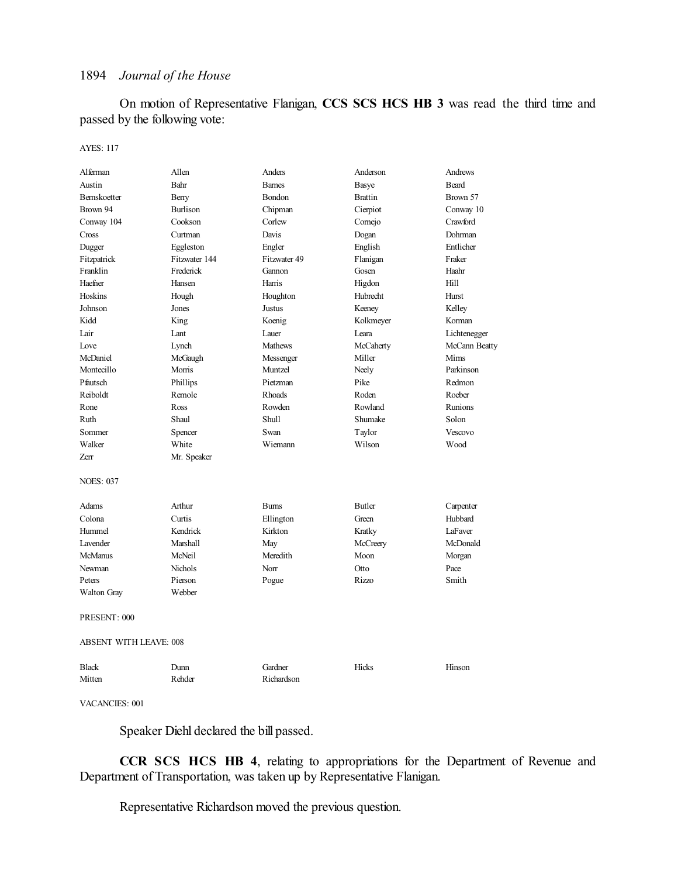On motion of Representative Flanigan, **CCS SCS HCS HB 3** was read the third time and passed by the following vote:

AYES: 117

| Alferman                      | Allen           | Anders         | Anderson       | Andrews       |
|-------------------------------|-----------------|----------------|----------------|---------------|
| Austin                        | Bahr            | <b>Barnes</b>  | Basye          | <b>Beard</b>  |
| Bernskoetter                  | Berry           | Bondon         | <b>Brattin</b> | Brown 57      |
| Brown 94                      | <b>Burlison</b> | Chipman        | Cierpiot       | Conway 10     |
| Conway 104                    | Cookson         | Corlew         | Comejo         | Crawford      |
| Cross                         | Curtman         | Davis          | Dogan          | Dohrman       |
| Dugger                        | Eggleston       | Engler         | English        | Entlicher     |
| Fitzpatrick                   | Fitzwater 144   | Fitzwater 49   | Flanigan       | Fraker        |
| Franklin                      | Frederick       | Gannon         | Gosen          | Haahr         |
| Haefner                       | Hansen          | Harris         | Higdon         | Hill          |
| Hoskins                       | Hough           | Houghton       | Hubrecht       | Hurst         |
| Johnson                       | Jones           | Justus         | Keeney         | Kelley        |
| Kidd                          | King            | Koenig         | Kolkmeyer      | Korman        |
| Lair                          | Lant            | Lauer          | Leara          | Lichtenegger  |
| Love                          | Lynch           | <b>Mathews</b> | McCaherty      | McCann Beatty |
| McDaniel                      | McGaugh         | Messenger      | Miller         | Mims          |
| Montecillo                    | Morris          | Muntzel        | Neely          | Parkinson     |
| Pfautsch                      | Phillips        | Pietzman       | Pike           | Redmon        |
| Reiboldt                      | Remole          | Rhoads         | Roden          | Roeber        |
| Rone                          | Ross            | Rowden         | Rowland        | Runions       |
| Ruth                          | Shaul           | Shull          | Shumake        | Solon         |
| Sommer                        | Spencer         | Swan           | Taylor         | Vescovo       |
| Walker                        | White           | Wiemann        | Wilson         | Wood          |
| Zerr                          | Mr. Speaker     |                |                |               |
|                               |                 |                |                |               |
| <b>NOES: 037</b>              |                 |                |                |               |
| <b>Adams</b>                  | Arthur          | <b>Burns</b>   | <b>Butler</b>  | Carpenter     |
| Colona                        | Curtis          | Ellington      | Green          | Hubbard       |
| Hummel                        | Kendrick        | Kirkton        | Kratky         | LaFaver       |
| Lavender                      | Marshall        | May            | McCreery       | McDonald      |
| <b>McManus</b>                | McNeil          | Meredith       | Moon           | Morgan        |
| Newman                        | <b>Nichols</b>  | Norr           | Otto           | Pace          |
| Peters                        | Pierson         | Pogue          | Rizzo          | Smith         |
| <b>Walton Gray</b>            | Webber          |                |                |               |
| PRESENT: 000                  |                 |                |                |               |
| <b>ABSENT WITH LEAVE: 008</b> |                 |                |                |               |
| <b>Black</b>                  | Dunn            | Gardner        | Hicks          | Hinson        |
| Mitten                        | Rehder          | Richardson     |                |               |

VACANCIES: 001

Speaker Diehl declared the bill passed.

**CCR SCS HCS HB 4**, relating to appropriations for the Department of Revenue and Department of Transportation, was taken up by Representative Flanigan.

Representative Richardson moved the previous question.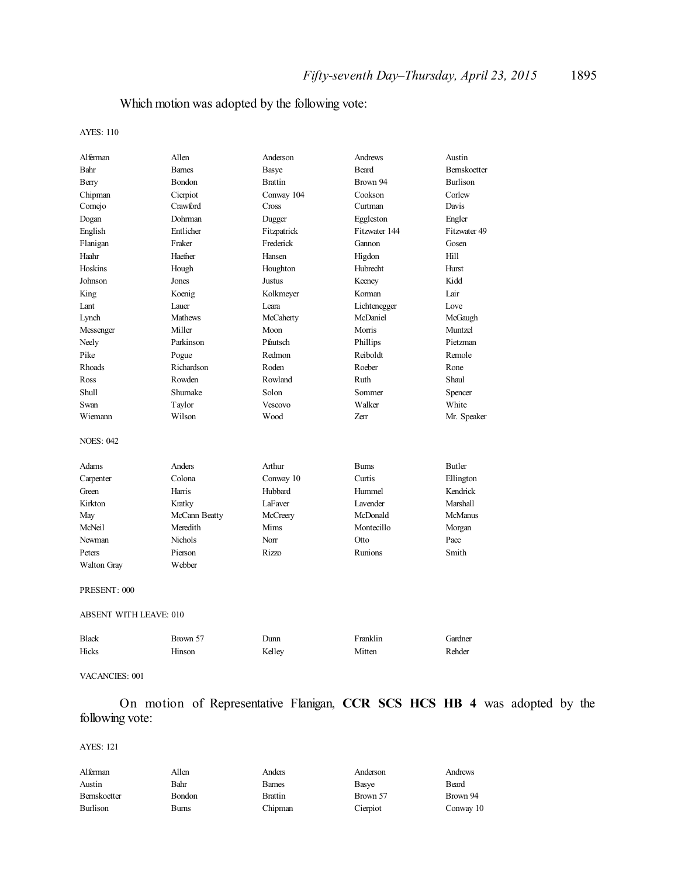## Which motion was adopted by the following vote:

AYES: 110

| Alferman                      | Allen          | Anderson       | Andrews       | Austin              |
|-------------------------------|----------------|----------------|---------------|---------------------|
| Bahr                          | <b>Barnes</b>  | <b>Basye</b>   | <b>Beard</b>  | <b>Bernskoetter</b> |
| Berry                         | Bondon         | <b>Brattin</b> | Brown 94      | <b>Burlison</b>     |
| Chipman                       | Cierpiot       | Conway 104     | Cookson       | Corlew              |
| Cornejo                       | Crawford       | Cross          | Curtman       | Davis               |
| Dogan                         | Dohrman        | Dugger         | Eggleston     | Engler              |
| English                       | Entlicher      | Fitzpatrick    | Fitzwater 144 | Fitzwater 49        |
| Flanigan                      | Fraker         | Frederick      | Gannon        | Gosen               |
| Haahr                         | Haefner        | Hansen         | Higdon        | Hill                |
| Hoskins                       | Hough          | Houghton       | Hubrecht      | Hurst               |
| Johnson                       | Jones          | Justus         | Keeney        | Kidd                |
| King                          | Koenig         | Kolkmeyer      | Korman        | Lair                |
| Lant                          | Lauer          | Leara          | Lichtenegger  | Love                |
| Lynch                         | <b>Mathews</b> | McCaherty      | McDaniel      | McGaugh             |
| Messenger                     | Miller         | Moon           | Morris        | Muntzel             |
| Neely                         | Parkinson      | Pfautsch       | Phillips      | Pietzman            |
| Pike                          | Pogue          | Redmon         | Reiboldt      | Remole              |
| Rhoads                        | Richardson     | Roden          | Roeber        | Rone                |
| Ross                          | Rowden         | Rowland        | Ruth          | Shaul               |
| <b>Shull</b>                  | Shumake        | Solon          | Sommer        | Spencer             |
| Swan                          | Taylor         | Vescovo        | Walker        | White               |
| Wiemann                       | Wilson         | Wood           | Zerr          | Mr. Speaker         |
| <b>NOES: 042</b>              |                |                |               |                     |
| Adams                         | Anders         | Arthur         | <b>Burns</b>  | <b>Butler</b>       |
| Carpenter                     | Colona         | Conway 10      | Curtis        | Ellington           |
| Green                         | Harris         | Hubbard        | Hummel        | Kendrick            |
| Kirkton                       | Kratky         | LaFaver        | Lavender      | Marshall            |
| May                           | McCann Beatty  | McCreery       | McDonald      | <b>McManus</b>      |
| McNeil                        | Meredith       | Mims           | Montecillo    | Morgan              |
| Newman                        | Nichols        | Norr           | Otto          | Pace                |
| Peters                        | Pierson        | <b>Rizzo</b>   | Runions       | Smith               |
| <b>Walton Gray</b>            | Webber         |                |               |                     |
|                               |                |                |               |                     |
| PRESENT: 000                  |                |                |               |                     |
| <b>ABSENT WITH LEAVE: 010</b> |                |                |               |                     |
| <b>Black</b>                  | Brown 57       | Dunn           | Franklin      | Gardner             |
| Hicks                         | Hinson         | Kelley         | Mitten        | Rehder              |
|                               |                |                |               |                     |

#### VACANCIES: 001

On motion of Representative Flanigan, **CCR SCS HCS HB 4** was adopted by the following vote:

| Alferman     | Allen         | Anders        | Anderson | Andrews   |
|--------------|---------------|---------------|----------|-----------|
| Austin       | Bahr          | <b>Barnes</b> | Basve    | Beard     |
| Bernskoetter | <b>Bondon</b> | Brattin       | Brown 57 | Brown 94  |
| Burlison     | Burns         | Chipman       | Cierpiot | Conway 10 |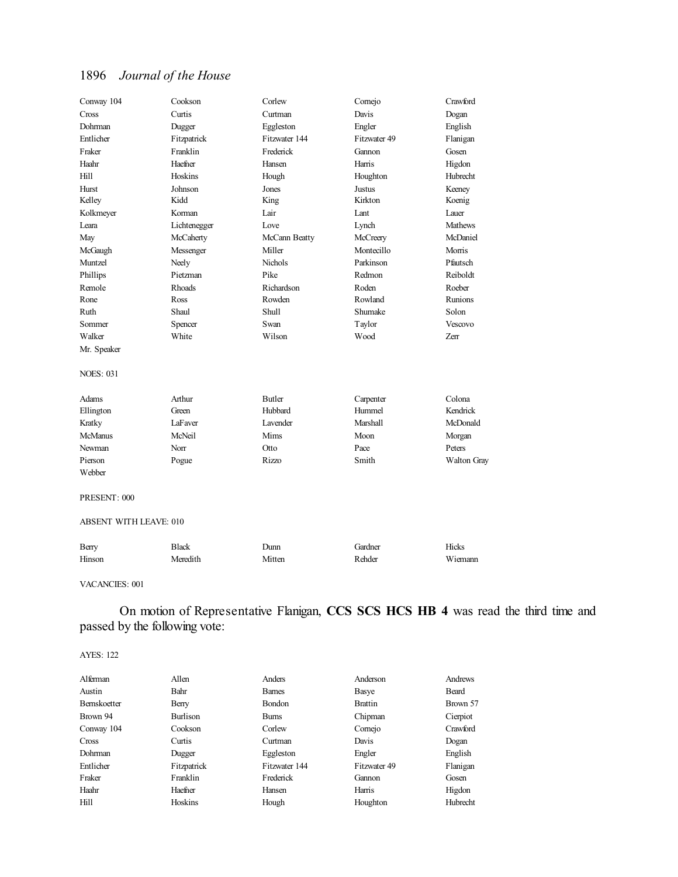| Conway 104       | Cookson      | Corlew         | Comejo        | Crawford    |
|------------------|--------------|----------------|---------------|-------------|
| Cross            | Curtis       | Curtman        | Davis         | Dogan       |
| Dohrman          | Dugger       | Eggleston      | Engler        | English     |
| Entlicher        | Fitzpatrick  | Fitzwater 144  | Fitzwater 49  | Flanigan    |
| Fraker           | Franklin     | Frederick      | Gannon        | Gosen       |
| Haahr            | Haefner      | Hansen         | Harris        | Higdon      |
| Hill             | Hoskins      | Hough          | Houghton      | Hubrecht    |
| Hurst            | Johnson      | Jones          | <b>Justus</b> | Keeney      |
| Kelley           | Kidd         | King           | Kirkton       | Koenig      |
| Kolkmeyer        | Korman       | Lair           | Lant          | Lauer       |
| Leara            | Lichtenegger | Love           | Lynch         | Mathews     |
| May              | McCaherty    | McCann Beatty  | McCreery      | McDaniel    |
| McGaugh          | Messenger    | Miller         | Montecillo    | Morris      |
| Muntzel          | Neely        | <b>Nichols</b> | Parkinson     | Pfautsch    |
| Phillips         | Pietzman     | Pike           | Redmon        | Reiboldt    |
| Remole           | Rhoads       | Richardson     | Roden         | Roeber      |
| Rone             | Ross         | Rowden         | Rowland       | Runions     |
| Ruth             | Shaul        | <b>Shull</b>   | Shumake       | Solon       |
| Sommer           | Spencer      | Swan           | Taylor        | Vescovo     |
| Walker           | White        | Wilson         | Wood          | Zerr        |
| Mr. Speaker      |              |                |               |             |
| <b>NOES: 031</b> |              |                |               |             |
| Adams            | Arthur       | <b>Butler</b>  | Carpenter     | Colona      |
| Ellington        | Green        | Hubbard        | Hummel        | Kendrick    |
| Kratky           | LaFaver      | Lavender       | Marshall      | McDonald    |
| <b>McManus</b>   | McNeil       | Mims           | Moon          | Morgan      |
| Newman           | Norr         | <b>Otto</b>    | Pace          | Peters      |
| Pierson          | Pogue        | <b>Rizzo</b>   | Smith         | Walton Gray |
| Webber           |              |                |               |             |

#### PRESENT: 000

#### ABSENT WITH LEAVE: 010

| Berry  | Black    | Dunn   | Gardner | Hicks   |
|--------|----------|--------|---------|---------|
| Hinson | Meredith | Mitten | Rehder  | Wiemann |

#### VACANCIES: 001

## On motion of Representative Flanigan, **CCS SCS HCS HB 4** was read the third time and passed by the following vote:

| Alferman     | Allen       | Anders        | Anderson       | Andrews  |
|--------------|-------------|---------------|----------------|----------|
| Austin       | Bahr        | <b>Barnes</b> | Basye          | Beard    |
| Bernskoetter | Berry       | Bondon        | <b>Brattin</b> | Brown 57 |
| Brown 94     | Burlison    | <b>Bums</b>   | Chipman        | Cierpiot |
| Conway 104   | Cookson     | Corlew        | Comejo         | Crawford |
| Cross        | Curtis      | Curtman       | Davis          | Dogan    |
| Dohrman      | Dugger      | Eggleston     | Engler         | English  |
| Entlicher    | Fitzpatrick | Fitzwater 144 | Fitzwater 49   | Flanigan |
| Fraker       | Franklin    | Frederick     | Gannon         | Gosen    |
| Haahr        | Haefner     | Hansen        | Harris         | Higdon   |
| Hill         | Hoskins     | Hough         | Houghton       | Hubrecht |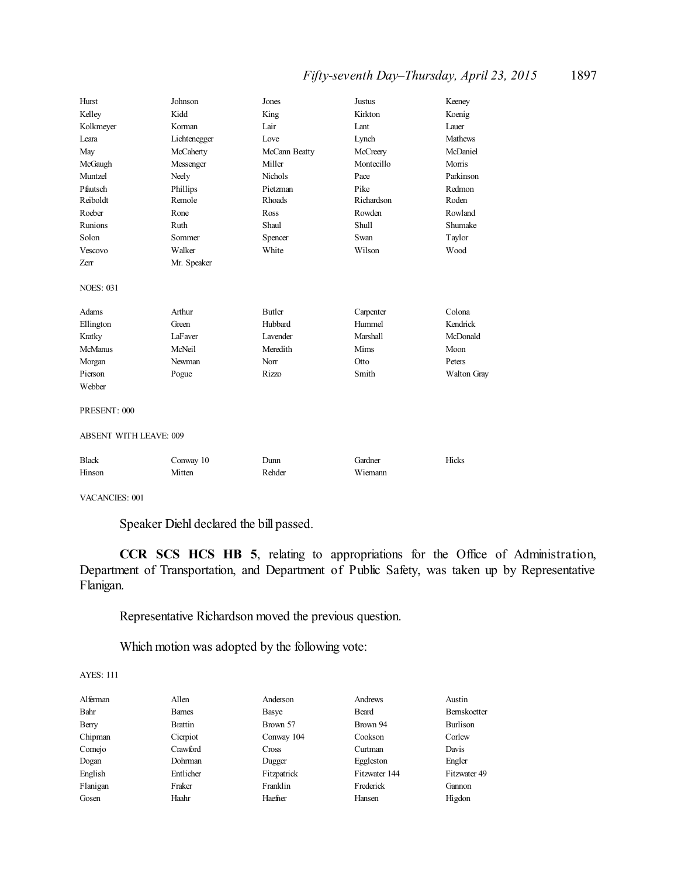## *Fifty-seventh Day–Thursday, April 23, 2015* 1897

| Hurst                                         | Johnson             | Jones           | <b>Justus</b>      | Keeney         |  |
|-----------------------------------------------|---------------------|-----------------|--------------------|----------------|--|
| Kelley                                        | Kidd                | King            | Kirkton            | Koenig         |  |
| Kolkmeyer                                     | Korman              | Lair            | Lant               | Lauer          |  |
| Leara                                         | Lichtenegger        | Love            | Lynch              | <b>Mathews</b> |  |
| May                                           | McCaherty           | McCann Beatty   | McCreery           | McDaniel       |  |
| McGaugh                                       | Messenger           | Miller          | Montecillo         | Morris         |  |
| Muntzel                                       | Neely               | Nichols         | Pace               | Parkinson      |  |
| Pfautsch                                      | Phillips            | Pietzman        | Pike               | Redmon         |  |
| Reiboldt                                      | Remole              | Rhoads          | Richardson         | Roden          |  |
| Roeber                                        | Rone                | Ross            | Rowden             | Rowland        |  |
| <b>Runions</b>                                | Ruth                | Shaul           | Shull              | Shumake        |  |
| Solon                                         | Sommer              | Spencer         | Swan               | Taylor         |  |
| Vescovo                                       | Walker              | White           | Wilson             | Wood           |  |
| Zerr                                          | Mr. Speaker         |                 |                    |                |  |
| <b>NOES: 031</b>                              |                     |                 |                    |                |  |
| Adams                                         | Arthur              | Butler          | Carpenter          | Colona         |  |
| Ellington                                     | Green               | Hubbard         | Hummel             | Kendrick       |  |
| Kratky                                        | LaFaver             | <b>Lavender</b> | Marshall           | McDonald       |  |
| <b>McManus</b>                                | McNeil              | Meredith        | Mims               | Moon           |  |
| Morgan                                        | Newman              | Norr            | Otto               | Peters         |  |
| Pierson                                       | Pogue               | <b>Rizzo</b>    | Smith              | Walton Gray    |  |
| Webber                                        |                     |                 |                    |                |  |
| PRESENT: 000<br><b>ABSENT WITH LEAVE: 009</b> |                     |                 |                    |                |  |
|                                               |                     |                 |                    |                |  |
| <b>Black</b><br>Hinson                        | Conway 10<br>Mitten | Dunn<br>Rehder  | Gardner<br>Wiemann | Hicks          |  |

VACANCIES: 001

Speaker Diehl declared the bill passed.

**CCR SCS HCS HB 5**, relating to appropriations for the Office of Administration, Department of Transportation, and Department of Public Safety, was taken up by Representative Flanigan.

Representative Richardson moved the previous question.

Which motion was adopted by the following vote:

| Alferman | Allen          | Anderson    | Andrews       | Austin       |
|----------|----------------|-------------|---------------|--------------|
| Bahr     | <b>Barnes</b>  | Basye       | Beard         | Bernskoetter |
| Berry    | <b>Brattin</b> | Brown 57    | Brown 94      | Burlison     |
| Chipman  | Cierpiot       | Conway 104  | Cookson       | Corlew       |
| Cornejo  | Crawford       | Cross       | Curtman       | Davis        |
| Dogan    | Dohrman        | Dugger      | Eggleston     | Engler       |
| English  | Entlicher      | Fitzpatrick | Fitzwater 144 | Fitzwater 49 |
| Flanigan | Fraker         | Franklin    | Frederick     | Gannon       |
| Gosen    | Haahr          | Haefner     | Hansen        | Higdon       |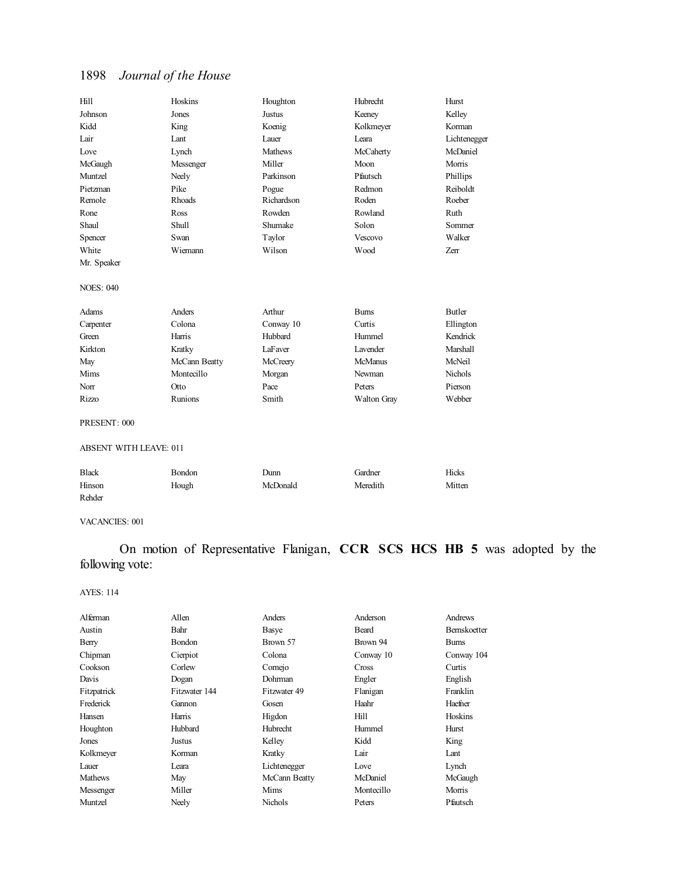| Hill                          | Hoskins       | Houghton       | Hubrecht        | Hurst         |
|-------------------------------|---------------|----------------|-----------------|---------------|
| Johnson                       | Jones         | Justus         | Keeney          | Kelley        |
| Kidd                          | King          | Koenig         | Kolkmeyer       | Korman        |
| Lair                          | Lant          | Lauer          | I eara          | Lichtenegger  |
| Love                          | Lynch         | <b>Mathews</b> | McCaherty       | McDaniel      |
| McGaugh                       | Messenger     | Miller         | Moon            | Morris        |
| Muntzel                       | Neely         | Parkinson      | Pfautsch        | Phillips      |
| Pietzman                      | Pike          | Pogue          | Redmon          | Reiboldt      |
| Remole                        | Rhoads        | Richardson     | Roden           | Roeber        |
| Rone                          | Ross          | Rowden         | Rowland         | Ruth          |
| Shaul                         | Shull         | Shumake        | Solon           | Sommer        |
| Spencer                       | Swan          | Taylor         | Vescovo         | Walker        |
| White                         | Wiemann       | Wilson         | Wood            | Zerr          |
| Mr. Speaker                   |               |                |                 |               |
| <b>NOES: 040</b>              |               |                |                 |               |
| Adams                         | Anders        | Arthur         | <b>Burns</b>    | <b>Butler</b> |
| Carpenter                     | Colona        | Conway 10      | Curtis          | Ellington     |
| Green                         | Harris        | Hubbard        | Hummel          | Kendrick      |
| Kirkton                       | Kratky        | LaFaver        | <b>Lavender</b> | Marshall      |
| May                           | McCann Beatty | McCreery       | <b>McManus</b>  | McNeil        |
| Mims                          | Montecillo    | Morgan         | Newman          | Nichols       |
| Norr                          | Otto          | Pace           | Peters          | Pierson       |
| <b>Rizzo</b>                  | Runions       | Smith          | Walton Gray     | Webber        |
| PRESENT: 000                  |               |                |                 |               |
| <b>ABSENT WITH LEAVE: 011</b> |               |                |                 |               |
| <b>Black</b>                  | Bondon        | Dunn           | Gardner         | Hicks         |
| Hinson                        | Hough         | McDonald       | Meredith        | Mitten        |

VACANCIES: 001

Rehder

On motion of Representative Flanigan, **CCR SCS HCS HB 5** was adopted by the following vote:

| Alferman    | Allen         | Anders          | Anderson   | Andrews             |
|-------------|---------------|-----------------|------------|---------------------|
| Austin      | Bahr          | Basye           | Beard      | <b>Bernskoetter</b> |
| Berry       | Bondon        | Brown 57        | Brown 94   | <b>Bums</b>         |
| Chipman     | Cierpiot      | Colona          | Conway 10  | Conway 104          |
| Cookson     | Corlew        | Cornejo         | Cross      | Curtis              |
| Davis       | Dogan         | Dohrman         | Engler     | English             |
| Fitzpatrick | Fitzwater 144 | Fitzwater 49    | Flanigan   | Franklin            |
| Frederick   | Gannon        | Gosen           | Haahr      | Haefner             |
| Hansen      | Harris        | Higdon          | Hill       | Hoskins             |
| Houghton    | Hubbard       | <b>Hubrecht</b> | Hummel     | Hurst               |
| Jones       | Justus        | Kelley          | Kidd       | King                |
| Kolkmeyer   | Korman        | Kratky          | Lair       | Lant                |
| Lauer       | Leara         | Lichtenegger    | Love       | Lynch               |
| Mathews     | May           | McCann Beatty   | McDaniel   | McGaugh             |
| Messenger   | Miller        | Mims            | Montecillo | Morris              |
| Muntzel     | Neelv         | Nichols         | Peters     | Pfautsch            |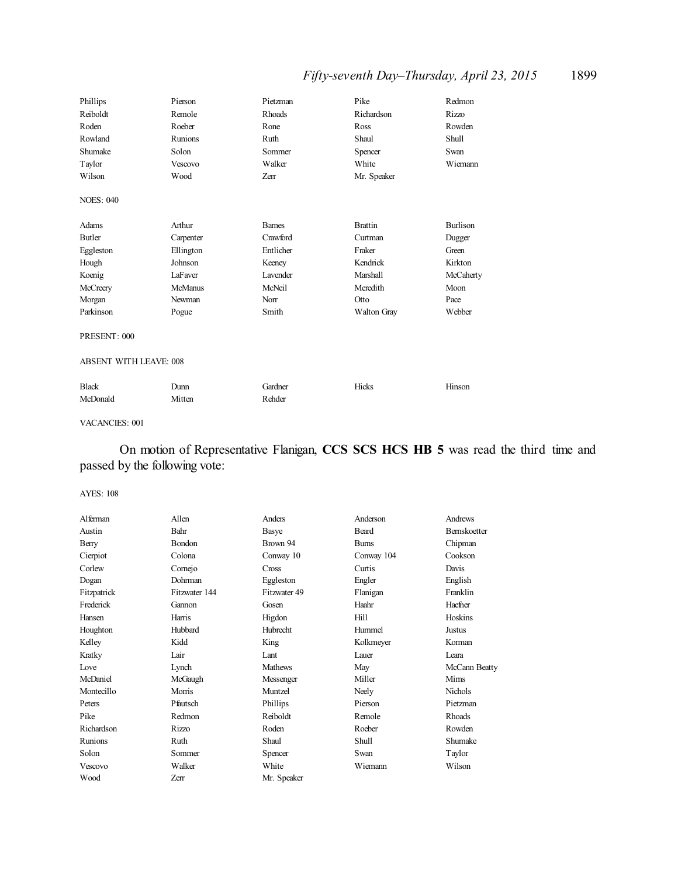## *Fifty-seventh Day–Thursday, April 23, 2015* 1899

| Phillips                      | Pierson        | Pietzman      | Pike           | Redmon          |
|-------------------------------|----------------|---------------|----------------|-----------------|
| Reiboldt                      | Remole         | Rhoads        | Richardson     | Rizzo           |
| Roden                         | Roeber         | Rone          | Ross           | Rowden          |
| Rowland                       | Runions        | Ruth          | Shaul          | Shull           |
| Shumake                       | Solon          | Sommer        | Spencer        | Swan            |
| Taylor                        | Vescovo        | Walker        | White          | Wiemann         |
| Wilson                        | Wood           | Zerr          | Mr. Speaker    |                 |
| <b>NOES: 040</b>              |                |               |                |                 |
| Adams                         | Arthur         | <b>Barnes</b> | <b>Brattin</b> | <b>Burlison</b> |
| <b>Butler</b>                 | Carpenter      | Crawford      | Curtman        | Dugger          |
| Eggleston                     | Ellington      | Entlicher     | Fraker         | Green           |
| Hough                         | Johnson        | Keeney        | Kendrick       | Kirkton         |
| Koenig                        | LaFaver        | Lavender      | Marshall       | McCaherty       |
| McCreery                      | <b>McManus</b> | McNeil        | Meredith       | Moon            |
| Morgan                        | Newman         | Norr          | Otto           | Pace            |
| Parkinson                     | Pogue          | Smith         | Walton Gray    | Webber          |
| PRESENT: 000                  |                |               |                |                 |
| <b>ABSENT WITH LEAVE: 008</b> |                |               |                |                 |
| <b>Black</b>                  | Dunn           | Gardner       | Hicks          | Hinson          |
| McDonald                      | Mitten         | Rehder        |                |                 |

### VACANCIES: 001

## On motion of Representative Flanigan, **CCS SCS HCS HB 5** was read the third time and passed by the following vote:

| Alferman    | Allen         | Anders         | Anderson     | Andrews             |
|-------------|---------------|----------------|--------------|---------------------|
| Austin      | Bahr          | Basye          | Beard        | <b>Bernskoetter</b> |
| Berry       | Bondon        | Brown 94       | <b>Burns</b> | Chipman             |
| Cierpiot    | Colona        | Conway 10      | Conway 104   | Cookson             |
| Corlew      | Comejo        | Cross          | Curtis       | Davis               |
| Dogan       | Dohrman       | Eggleston      | Engler       | English             |
| Fitzpatrick | Fitzwater 144 | Fitzwater 49   | Flanigan     | Franklin            |
| Frederick   | Gannon        | Gosen          | Haahr        | Haefner             |
| Hansen      | Harris        | Higdon         | Hill         | Hoskins             |
| Houghton    | Hubbard       | Hubrecht       | Hummel       | Justus              |
| Kelley      | Kidd          | King           | Kolkmeyer    | Korman              |
| Kratky      | Lair          | Lant           | Lauer        | Leara               |
| Love        | Lynch         | <b>Mathews</b> | May          | McCann Beatty       |
| McDaniel    | McGaugh       | Messenger      | Miller       | Mims                |
| Montecillo  | Morris        | Muntzel        | Neely        | Nichols             |
| Peters      | Pfautsch      | Phillips       | Pierson      | Pietzman            |
| Pike        | Redmon        | Reiboldt       | Remole       | Rhoads              |
| Richardson  | Rizzo         | Roden          | Roeber       | Rowden              |
| Runions     | Ruth          | Shaul          | Shull        | Shumake             |
| Solon       | Sommer        | Spencer        | Swan         | Taylor              |
| Vescovo     | Walker        | White          | Wiemann      | Wilson              |
| Wood        | Zerr          | Mr. Speaker    |              |                     |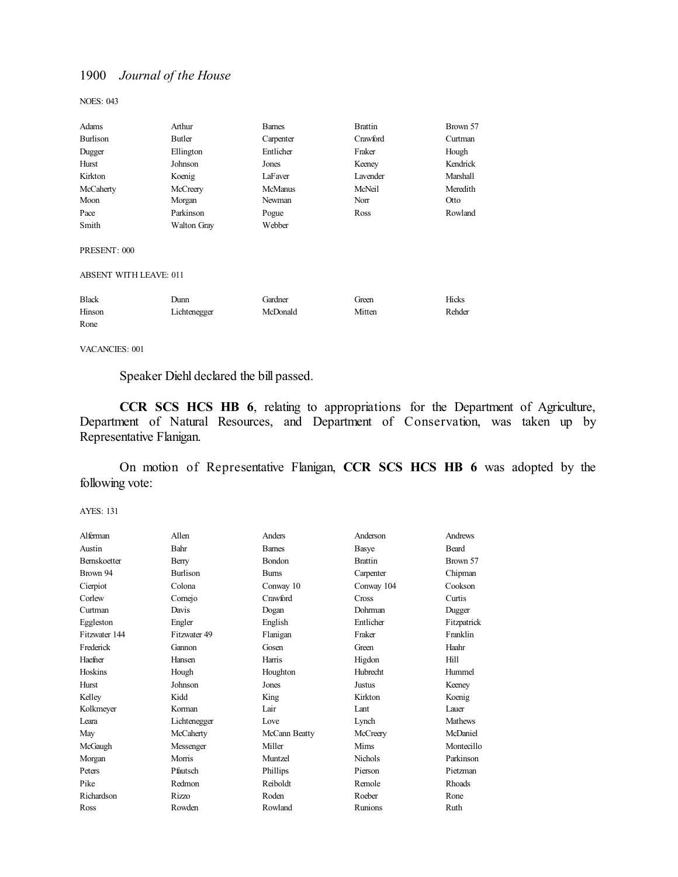NOES: 043

| Adams                         | Arthur             | <b>Barnes</b>  | <b>Brattin</b> | Brown 57 |
|-------------------------------|--------------------|----------------|----------------|----------|
| Burlison                      | Butler             | Carpenter      | Crawford       | Curtman  |
| Dugger                        | Ellington          | Entlicher      | Fraker         | Hough    |
| Hurst                         | Johnson            | Jones          | Keeney         | Kendrick |
| Kirkton                       | Koenig             | LaFaver        | Lavender       | Marshall |
| McCaherty                     | McCreery           | <b>McManus</b> | McNeil         | Meredith |
| Moon                          | Morgan             | Newman         | Norr           | Otto     |
| Pace                          | Parkinson          | Pogue          | Ross           | Rowland  |
| Smith                         | <b>Walton Gray</b> | Webber         |                |          |
| PRESENT: 000                  |                    |                |                |          |
| <b>ABSENT WITH LEAVE: 011</b> |                    |                |                |          |
| Black                         | Dunn               | Gardner        | Green          | Hicks    |
| Hinson                        | Lichtenegger       | McDonald       | Mitten         | Rehder   |
| Rone                          |                    |                |                |          |

VACANCIES: 001

Speaker Diehl declared the bill passed.

**CCR SCS HCS HB 6**, relating to appropriations for the Department of Agriculture, Department of Natural Resources, and Department of Conservation, was taken up by Representative Flanigan.

On motion of Representative Flanigan, **CCR SCS HCS HB 6** was adopted by the following vote:

| Alferman            | Allen           | Anders        | Anderson       | Andrews       |
|---------------------|-----------------|---------------|----------------|---------------|
| Austin              | Bahr            | <b>Barnes</b> | Basye          | <b>Beard</b>  |
| <b>Bernskoetter</b> | Berry           | <b>Bondon</b> | <b>Brattin</b> | Brown 57      |
| Brown 94            | <b>Burlison</b> | <b>Bums</b>   | Carpenter      | Chipman       |
| Cierpiot            | Colona          | Conway 10     | Conway 104     | Cookson       |
| Corlew              | Cornejo         | Crawford      | Cross          | Curtis        |
| Curtman             | Davis           | Dogan         | Dohrman        | Dugger        |
| Eggleston           | Engler          | English       | Entlicher      | Fitzpatrick   |
| Fitzwater 144       | Fitzwater 49    | Flanigan      | Fraker         | Franklin      |
| Frederick           | Gannon          | Gosen         | Green          | Haahr         |
| Haefner             | Hansen          | Harris        | Higdon         | Hill          |
| Hoskins             | Hough           | Houghton      | Hubrecht       | Hummel        |
| Hurst               | Johnson         | Jones         | Justus         | Keeney        |
| Kelley              | Kidd            | King          | Kirkton        | Koenig        |
| Kolkmeyer           | Korman          | Lair          | Lant           | Lauer         |
| Leara               | Lichtenegger    | Love          | Lynch          | Mathews       |
| May                 | McCaherty       | McCann Beatty | McCreery       | McDaniel      |
| McGaugh             | Messenger       | Miller        | Mims           | Montecillo    |
| Morgan              | Morris          | Muntzel       | <b>Nichols</b> | Parkinson     |
| Peters              | Pfautsch        | Phillips      | Pierson        | Pietzman      |
| Pike                | Redmon          | Reiboldt      | Remole         | <b>Rhoads</b> |
| Richardson          | Rizzo           | Roden         | Roeber         | Rone          |
| Ross                | Rowden          | Rowland       | Runions        | Ruth          |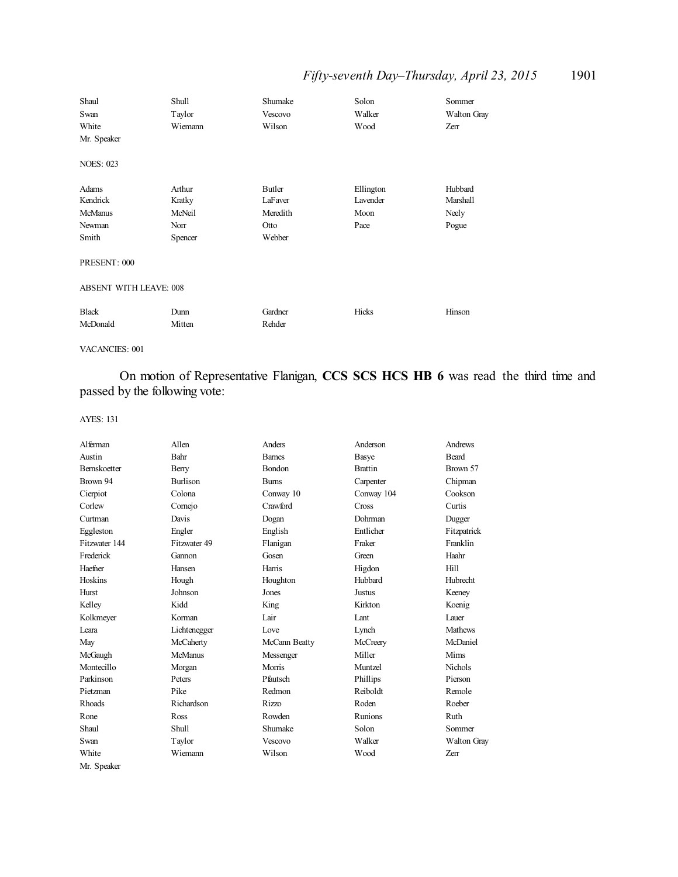## *Fifty-seventh Day–Thursday, April 23, 2015* 1901

| Shaul<br>Swan<br>White<br>Mr. Speaker                  | <b>Shull</b><br>Taylor<br>Wiemann             | Shumake<br>Vescovo<br>Wilson                    | Solon<br>Walker<br>Wood               | Sommer<br>Walton Gray<br>Zerr         |  |
|--------------------------------------------------------|-----------------------------------------------|-------------------------------------------------|---------------------------------------|---------------------------------------|--|
| <b>NOES: 023</b>                                       |                                               |                                                 |                                       |                                       |  |
| Adams<br>Kendrick<br><b>McManus</b><br>Newman<br>Smith | Arthur<br>Kratky<br>McNeil<br>Norr<br>Spencer | Butler<br>LaFaver<br>Meredith<br>Otto<br>Webber | Ellington<br>Lavender<br>Moon<br>Pace | Hubbard<br>Marshall<br>Neely<br>Pogue |  |
| PRESENT: 000                                           |                                               |                                                 |                                       |                                       |  |
|                                                        | <b>ABSENT WITH LEAVE: 008</b>                 |                                                 |                                       |                                       |  |
| <b>Black</b><br>McDonald                               | Dunn<br>Mitten                                | Gardner<br>Rehder                               | Hicks                                 | Hinson                                |  |

VACANCIES: 001

On motion of Representative Flanigan, **CCS SCS HCS HB 6** was read the third time and passed by the following vote:

| Alferman            | Allen          | Anders        | Anderson       | Andrews        |
|---------------------|----------------|---------------|----------------|----------------|
| Austin              | Bahr           | <b>Barnes</b> | Basye          | <b>Beard</b>   |
| <b>Bernskoetter</b> | Berry          | <b>Bondon</b> | <b>Brattin</b> | Brown 57       |
| Brown 94            | Burlison       | <b>Bums</b>   | Carpenter      | Chipman        |
| Cierpiot            | Colona         | Conway 10     | Conway 104     | Cookson        |
| Corlew              | Comejo         | Crawford      | Cross          | Curtis         |
| Curtman             | Davis          | Dogan         | Dohrman        | Dugger         |
| Eggleston           | Engler         | English       | Entlicher      | Fitzpatrick    |
| Fitzwater 144       | Fitzwater 49   | Flanigan      | Fraker         | Franklin       |
| Frederick           | Gannon         | Gosen         | Green          | Haahr          |
| Haefner             | Hansen         | Harris        | Higdon         | Hill           |
| Hoskins             | Hough          | Houghton      | Hubbard        | Hubrecht       |
| Hurst               | Johnson        | Jones         | <b>Justus</b>  | Keeney         |
| Kelley              | Kidd           | King          | Kirkton        | Koenig         |
| Kolkmeyer           | Korman         | Lair          | Lant           | Lauer          |
| Leara               | Lichtenegger   | Love          | Lynch          | Mathews        |
| May                 | McCaherty      | McCann Beatty | McCreery       | McDaniel       |
| McGaugh             | <b>McManus</b> | Messenger     | Miller         | Mims           |
| Montecillo          | Morgan         | Morris        | Muntzel        | <b>Nichols</b> |
| Parkinson           | Peters         | Pfautsch      | Phillips       | Pierson        |
| Pietzman            | Pike           | Redmon        | Reiboldt       | Remole         |
| Rhoads              | Richardson     | <b>Rizzo</b>  | Roden          | Roeber         |
| Rone                | Ross           | Rowden        | Runions        | Ruth           |
| Shaul               | Shull          | Shumake       | Solon          | Sommer         |
| Swan                | Taylor         | Vescovo       | Walker         | Walton Gray    |
| White               | Wiemann        | Wilson        | Wood           | Zerr           |
| Mr. Speaker         |                |               |                |                |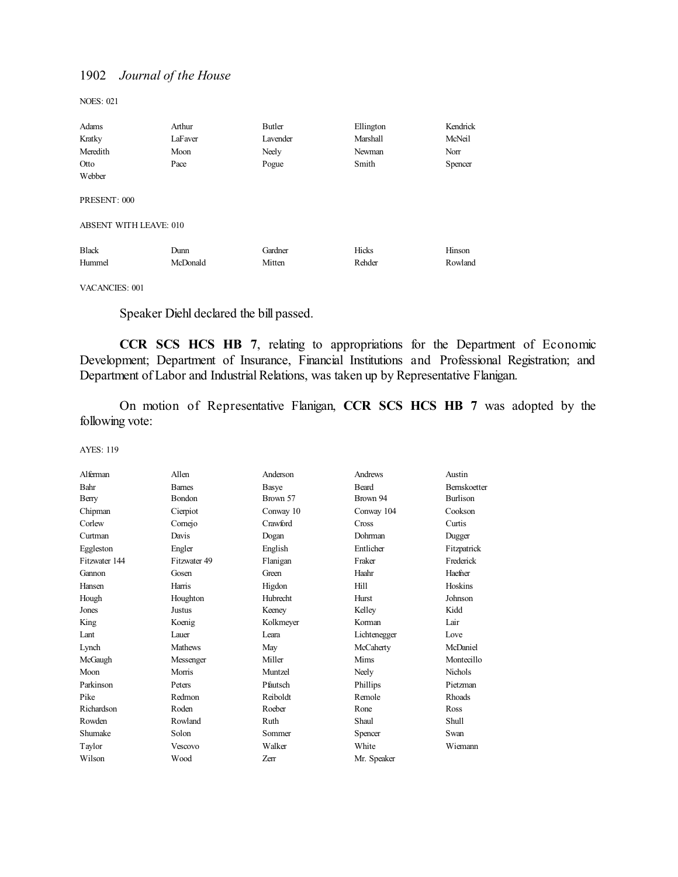NOES: 021

| Adams                  | Arthur   | Butler   | Ellington | Kendrick |
|------------------------|----------|----------|-----------|----------|
| Kratky                 | LaFaver  | Lavender | Marshall  | McNeil   |
| Meredith               | Moon     | Neely    | Newman    | Norr     |
| Otto                   | Pace     | Pogue    | Smith     | Spencer  |
| Webber                 |          |          |           |          |
|                        |          |          |           |          |
| PRESENT: 000           |          |          |           |          |
|                        |          |          |           |          |
| ABSENT WITH LEAVE: 010 |          |          |           |          |
|                        |          |          |           |          |
| <b>Black</b>           | Dunn     | Gardner  | Hicks     | Hinson   |
| Hummel                 | McDonald | Mitten   | Rehder    | Rowland  |

### VACANCIES: 001

Speaker Diehl declared the bill passed.

**CCR SCS HCS HB 7**, relating to appropriations for the Department of Economic Development; Department of Insurance, Financial Institutions and Professional Registration; and Department of Labor and Industrial Relations, was taken up by Representative Flanigan.

On motion of Representative Flanigan, **CCR SCS HCS HB 7** was adopted by the following vote:

| Alferman      | Allen          | Anderson     | Andrews      | Austin              |
|---------------|----------------|--------------|--------------|---------------------|
| Bahr          | <b>Barnes</b>  | <b>Basye</b> | <b>Beard</b> | <b>Bernskoetter</b> |
| Berry         | Bondon         | Brown 57     | Brown 94     | <b>Burlison</b>     |
| Chipman       | Cierpiot       | Conway 10    | Conway 104   | Cookson             |
| Corlew        | Comejo         | Crawford     | Cross        | Curtis              |
| Curtman       | Davis          | Dogan        | Dohrman      | Dugger              |
| Eggleston     | Engler         | English      | Entlicher    | Fitzpatrick         |
| Fitzwater 144 | Fitzwater 49   | Flanigan     | Fraker       | Frederick           |
| Gannon        | Gosen          | Green        | Haahr        | Haefner             |
| Hansen        | Harris         | Higdon       | Hill         | Hoskins             |
| Hough         | Houghton       | Hubrecht     | Hurst        | Johnson             |
| Jones         | Justus         | Keeney       | Kelley       | Kidd                |
| King          | Koenig         | Kolkmeyer    | Korman       | Lair                |
| Lant          | Lauer          | I eara       | Lichtenegger | Love                |
| Lynch         | <b>Mathews</b> | May          | McCaherty    | McDaniel            |
| McGaugh       | Messenger      | Miller       | Mims         | Montecillo          |
| Moon          | Morris         | Muntzel      | Neely        | <b>Nichols</b>      |
| Parkinson     | Peters         | Pfautsch     | Phillips     | Pietzman            |
| Pike          | Redmon         | Reiboldt     | Remole       | <b>Rhoads</b>       |
| Richardson    | Roden          | Roeber       | Rone         | Ross                |
| Rowden        | Rowland        | Ruth         | Shaul        | Shull               |
| Shumake       | Solon          | Sommer       | Spencer      | Swan                |
| Taylor        | Vescovo        | Walker       | White        | Wiemann             |
| Wilson        | Wood           | Zerr         | Mr. Speaker  |                     |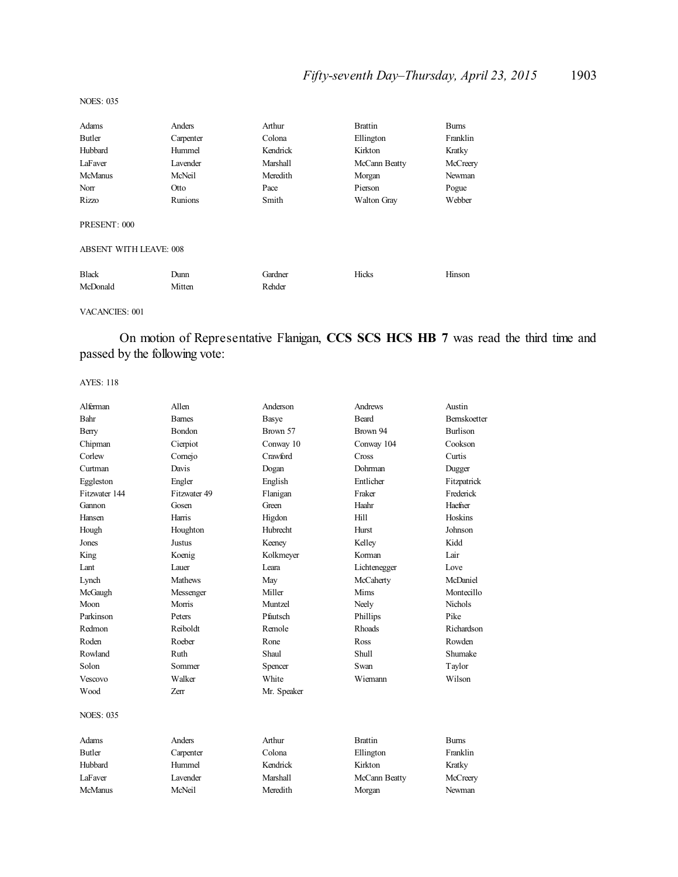## *Fifty-seventh Day–Thursday, April 23, 2015* 1903

#### NOES: 035

| Adams                         | Anders    | Arthur   | <b>Brattin</b>     | <b>Burns</b> |
|-------------------------------|-----------|----------|--------------------|--------------|
| Butler                        | Carpenter | Colona   | Ellington          | Franklin     |
| Hubbard                       | Hummel    | Kendrick | Kirkton            | Kratky       |
| LaFaver                       | Lavender  | Marshall | McCann Beatty      | McCreery     |
| McManus                       | McNeil    | Meredith | Morgan             | Newman       |
| Norr                          | Otto      | Pace     | Pierson            | Pogue        |
| Rizzo                         | Runions   | Smith    | <b>Walton Gray</b> | Webber       |
| PRESENT: 000                  |           |          |                    |              |
| <b>ABSENT WITH LEAVE: 008</b> |           |          |                    |              |
| <b>Black</b>                  | Dunn      | Gardner  | Hicks              | Hinson       |
| McDonald                      | Mitten    | Rehder   |                    |              |

#### VACANCIES: 001

On motion of Representative Flanigan, **CCS SCS HCS HB 7** was read the third time and passed by the following vote:

| Alferman         | Allen          | Anderson        | Andrews        | Austin              |
|------------------|----------------|-----------------|----------------|---------------------|
| Bahr             | <b>Barnes</b>  | Basye           | <b>Beard</b>   | <b>Bernskoetter</b> |
| Berry            | <b>Bondon</b>  | Brown 57        | Brown 94       | <b>Burlison</b>     |
| Chipman          | Cierpiot       | Conway 10       | Conway 104     | Cookson             |
| Corlew           | Cornejo        | Crawford        | Cross          | Curtis              |
| Curtman          | Davis          | Dogan           | Dohrman        | Dugger              |
| Eggleston        | Engler         | English         | Entlicher      | Fitzpatrick         |
| Fitzwater 144    | Fitzwater 49   | Flanigan        | Fraker         | Frederick           |
| Gannon           | Gosen          | Green           | Haahr          | Haefner             |
| Hansen           | Harris         | Higdon          | Hill           | Hoskins             |
| Hough            | Houghton       | Hubrecht        | Hurst          | Johnson             |
| Jones            | <b>Justus</b>  | Keeney          | Kelley         | Kidd                |
| King             | Koenig         | Kolkmeyer       | Korman         | Lair                |
| Lant             | Lauer          | Leara           | Lichtenegger   | Love                |
| Lynch            | <b>Mathews</b> | May             | McCaherty      | McDaniel            |
| McGaugh          | Messenger      | Miller          | Mims           | Montecillo          |
| Moon             | Morris         | Muntzel         | Neely          | <b>Nichols</b>      |
| Parkinson        | Peters         | Pfautsch        | Phillips       | Pike                |
| Redmon           | Reiboldt       | Remole          | <b>Rhoads</b>  | Richardson          |
| Roden            | Roeber         | Rone            | Ross           | Rowden              |
| Rowland          | Ruth           | Shaul           | <b>Shull</b>   | Shumake             |
| Solon            | Sommer         | Spencer         | Swan           | Taylor              |
| <b>Vescovo</b>   | Walker         | White           | Wiemann        | Wilson              |
| Wood             | Zerr           | Mr. Speaker     |                |                     |
| <b>NOES: 035</b> |                |                 |                |                     |
| Adams            | <b>Anders</b>  | Arthur          | <b>Brattin</b> | <b>Burns</b>        |
| <b>Butler</b>    | Carpenter      | Colona          | Ellington      | Franklin            |
| Hubbard          | Hummel         | Kendrick        | Kirkton        | Kratky              |
| LaFaver          | Lavender       | <b>Marshall</b> | McCann Beatty  | McCreery            |
| <b>McManus</b>   | McNeil         | Meredith        | Morgan         | Newman              |
|                  |                |                 |                |                     |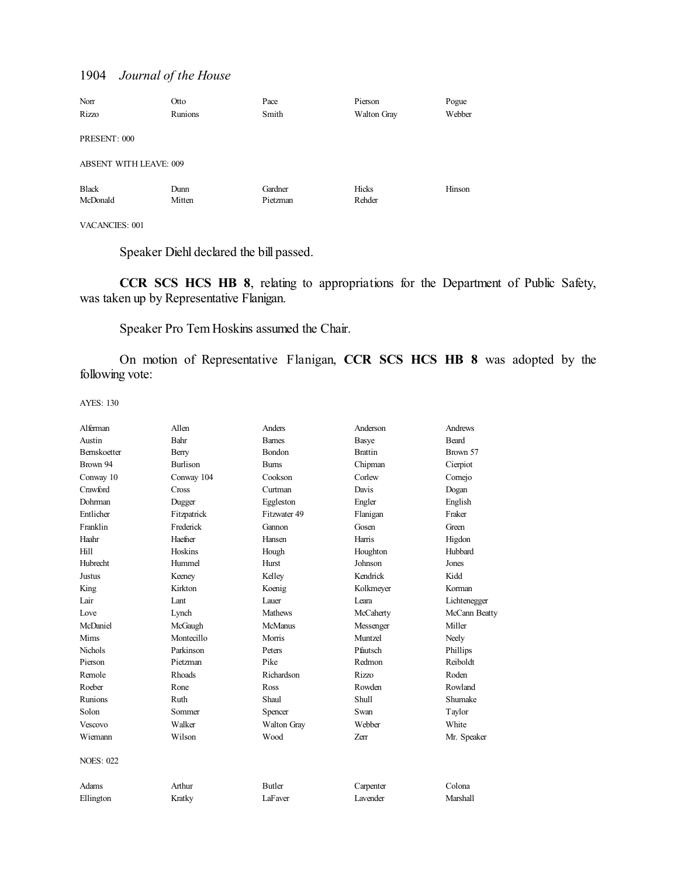| Norr                          | Otto    | Pace     | Pierson     | Pogue  |
|-------------------------------|---------|----------|-------------|--------|
| Rizzo                         | Runions | Smith    | Walton Gray | Webber |
|                               |         |          |             |        |
| PRESENT: 000                  |         |          |             |        |
|                               |         |          |             |        |
| <b>ABSENT WITH LEAVE: 009</b> |         |          |             |        |
| <b>Black</b>                  | Dunn    | Gardner  | Hicks       | Hinson |
|                               |         |          |             |        |
| McDonald                      | Mitten  | Pietzman | Rehder      |        |
|                               |         |          |             |        |

VACANCIES: 001

Speaker Diehl declared the bill passed.

**CCR SCS HCS HB 8**, relating to appropriations for the Department of Public Safety, was taken up by Representative Flanigan.

Speaker Pro Tem Hoskins assumed the Chair.

On motion of Representative Flanigan, **CCR SCS HCS HB 8** was adopted by the following vote:

| Alferman            | Allen           | Anders         | Anderson       | Andrews       |
|---------------------|-----------------|----------------|----------------|---------------|
| Austin              | Bahr            | <b>Barnes</b>  | <b>Basye</b>   | <b>Beard</b>  |
| <b>Bernskoetter</b> | Berry           | <b>Bondon</b>  | <b>Brattin</b> | Brown 57      |
| Brown 94            | <b>Burlison</b> | <b>Bums</b>    | Chipman        | Cierpiot      |
| Conway 10           | Conway 104      | Cookson        | Corlew         | Comejo        |
| Crawford            | <b>Cross</b>    | Curtman        | Davis          | Dogan         |
| Dohrman             | Dugger          | Eggleston      | Engler         | English       |
| Entlicher           | Fitzpatrick     | Fitzwater 49   | Flanigan       | Fraker        |
| Franklin            | Frederick       | Gannon         | Gosen          | Green         |
| Haahr               | Haefner         | Hansen         | Harris         | Higdon        |
| Hill                | Hoskins         | Hough          | Houghton       | Hubbard       |
| <b>Hubrecht</b>     | Hummel          | Hurst          | Johnson        | Jones         |
| Justus              | Keeney          | Kelley         | Kendrick       | Kidd          |
| King                | Kirkton         | Koenig         | Kolkmeyer      | Korman        |
| Lair                | Lant            | Lauer          | Leara          | Lichtenegger  |
| Love                | Lynch           | <b>Mathews</b> | McCaherty      | McCann Beatty |
| McDaniel            | McGaugh         | <b>McManus</b> | Messenger      | Miller        |
| Mims                | Montecillo      | Morris         | Muntzel        | Neely         |
| <b>Nichols</b>      | Parkinson       | Peters         | Pfautsch       | Phillips      |
| Pierson             | Pietzman        | Pike           | Redmon         | Reiboldt      |
| Remole              | Rhoads          | Richardson     | Rizzo          | Roden         |
| Roeber              | Rone            | Ross           | Rowden         | Rowland       |
| Runions             | Ruth            | Shaul          | Shull          | Shumake       |
| Solon               | Sommer          | Spencer        | Swan           | Taylor        |
| Vescovo             | Walker          | Walton Gray    | Webber         | White         |
| Wiemann             | Wilson          | Wood           | Zerr           | Mr. Speaker   |
| <b>NOES: 022</b>    |                 |                |                |               |
| Adams               | Arthur          | <b>Butler</b>  | Carpenter      | Colona        |
| Ellington           | Kratky          | LaFaver        | Lavender       | Marshall      |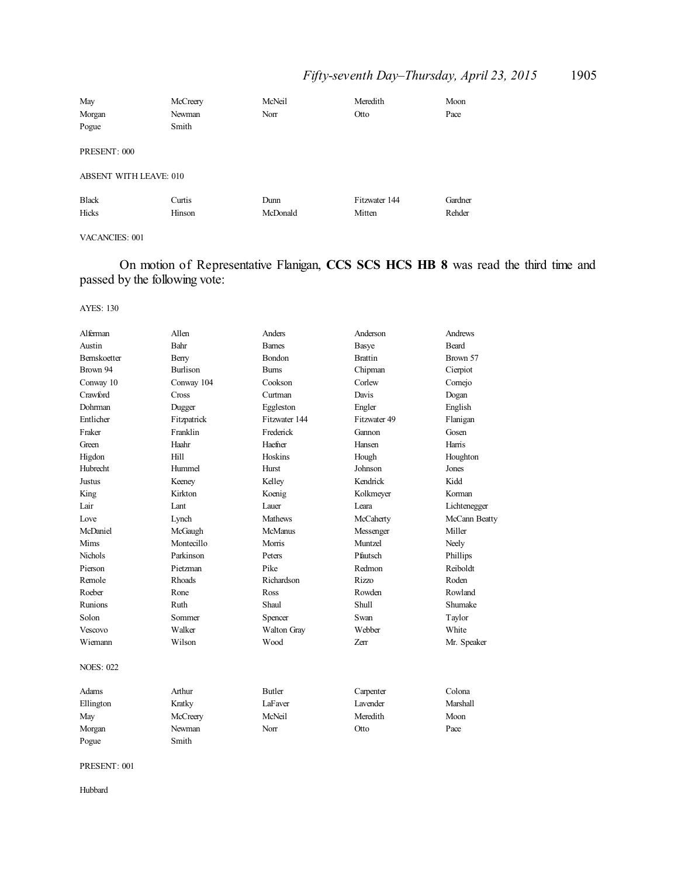## *Fifty-seventh Day–Thursday, April 23, 2015* 1905

| May                    | McCreery | McNeil   | Meredith      | Moon    |
|------------------------|----------|----------|---------------|---------|
| Morgan                 | Newman   | Norr     | Otto          | Pace    |
| Pogue                  | Smith    |          |               |         |
| PRESENT: 000           |          |          |               |         |
| ABSENT WITH LEAVE: 010 |          |          |               |         |
| <b>Black</b>           | Curtis   | Dunn     | Fitzwater 144 | Gardner |
| Hicks                  | Hinson   | McDonald | Mitten        | Rehder  |

### VACANCIES: 001

On motion of Representative Flanigan, **CCS SCS HCS HB 8** was read the third time and passed by the following vote:

AYES: 130

| Alferman            | Allen           | Anders         | Anderson        | Andrews       |
|---------------------|-----------------|----------------|-----------------|---------------|
| Austin              | Bahr            | <b>Barnes</b>  | Basye           | <b>Beard</b>  |
| <b>Bernskoetter</b> | Berry           | Bondon         | <b>Brattin</b>  | Brown 57      |
| Brown 94            | <b>Burlison</b> | <b>Bums</b>    | Chipman         | Cierpiot      |
| Conway 10           | Conway 104      | Cookson        | Corlew          | Comejo        |
| Crawford            | <b>Cross</b>    | Curtman        | Davis           | Dogan         |
| Dohrman             | Dugger          | Eggleston      | Engler          | English       |
| Entlicher           | Fitzpatrick     | Fitzwater 144  | Fitzwater 49    | Flanigan      |
| Fraker              | Franklin        | Frederick      | Gannon          | Gosen         |
| Green               | Haahr           | Haefner        | Hansen          | Harris        |
| Higdon              | Hill            | Hoskins        | Hough           | Houghton      |
| Hubrecht            | Hummel          | Hurst          | Johnson         | Jones         |
| Justus              | Keeney          | Kelley         | Kendrick        | Kidd          |
| King                | Kirkton         | Koenig         | Kolkmeyer       | Korman        |
| Lair                | Lant            | Lauer          | Leara           | Lichtenegger  |
| Love                | Lynch           | <b>Mathews</b> | McCaherty       | McCann Beatty |
| McDaniel            | McGaugh         | <b>McManus</b> | Messenger       | Miller        |
| Mims                | Montecillo      | Morris         | Muntzel         | Neely         |
| <b>Nichols</b>      | Parkinson       | Peters         | Pfautsch        | Phillips      |
| Pierson             | Pietzman        | Pike           | Redmon          | Reiboldt      |
| Remole              | Rhoads          | Richardson     | Rizzo           | Roden         |
| Roeber              | Rone            | Ross           | Rowden          | Rowland       |
| Runions             | Ruth            | Shaul          | <b>Shull</b>    | Shumake       |
| Solon               | Sommer          | Spencer        | Swan            | Taylor        |
| Vescovo             | Walker          | Walton Gray    | Webber          | White         |
| Wiemann             | Wilson          | Wood           | Zerr            | Mr. Speaker   |
| <b>NOES: 022</b>    |                 |                |                 |               |
| Adams               | Arthur          | <b>Butler</b>  | Carpenter       | Colona        |
| Ellington           | Kratky          | LaFaver        | <b>Lavender</b> | Marshall      |
| May                 | McCreery        | McNeil         | Meredith        | Moon          |
| Morgan              | Newman          | Norr           | Otto            | Pace          |
| Pogue               | Smith           |                |                 |               |

PRESENT: 001

Hubbard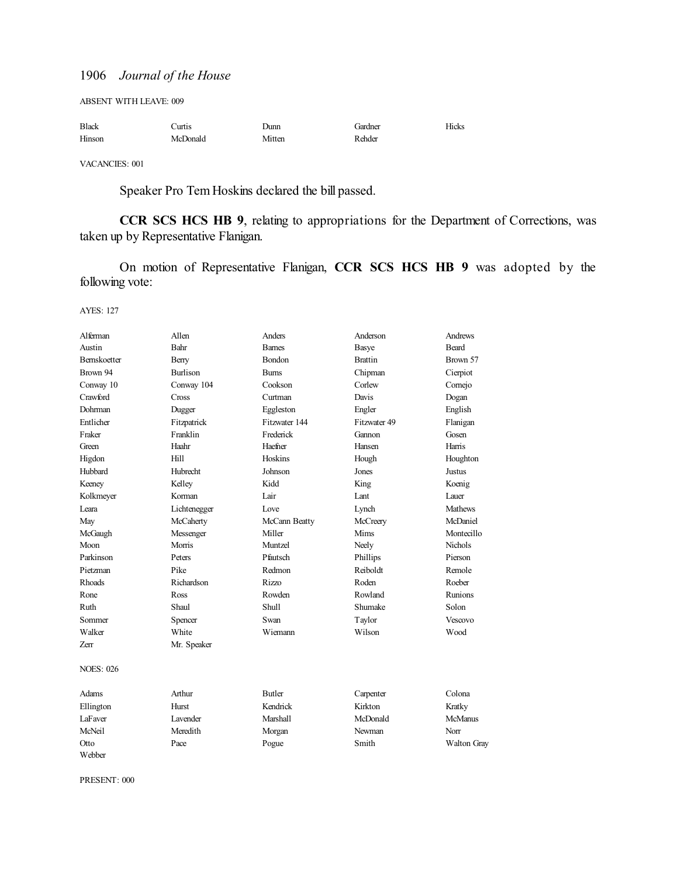ABSENT WITH LEAVE: 009

| <b>Black</b> | Jurtis.  | Dunn   | Gardner | Hicks |
|--------------|----------|--------|---------|-------|
| Hinson       | McDonald | Mitten | Rehder  |       |

VACANCIES: 001

Speaker Pro Tem Hoskins declared the bill passed.

**CCR SCS HCS HB 9**, relating to appropriations for the Department of Corrections, was taken up by Representative Flanigan.

On motion of Representative Flanigan, **CCR SCS HCS HB 9** was adopted by the following vote:

AYES: 127

| Alferman            | Allen           | Anders        | Anderson       | <b>Andrews</b> |
|---------------------|-----------------|---------------|----------------|----------------|
| Austin              | Bahr            | <b>Barnes</b> | Basye          | <b>Beard</b>   |
| <b>Bernskoetter</b> | Berry           | Bondon        | <b>Brattin</b> | Brown 57       |
| Brown 94            | <b>Burlison</b> | <b>Bums</b>   | Chipman        | Cierpiot       |
| Conway 10           | Conway 104      | Cookson       | Corlew         | Comejo         |
| Crawford            | Cross           | Curtman       | Davis          | Dogan          |
| Dohrman             | Dugger          | Eggleston     | Engler         | English        |
| Entlicher           | Fitzpatrick     | Fitzwater 144 | Fitzwater 49   | Flanigan       |
| Fraker              | Franklin        | Frederick     | Gannon         | Gosen          |
| Green               | Haahr           | Haefner       | Hansen         | Harris         |
| Higdon              | Hill            | Hoskins       | Hough          | Houghton       |
| Hubbard             | <b>Hubrecht</b> | Johnson       | Jones          | Justus         |
| Keeney              | Kelley          | Kidd          | King           | Koenig         |
| Kolkmeyer           | Korman          | Lair          | Lant           | Lauer          |
| Leara               | Lichtenegger    | Love          | Lynch          | <b>Mathews</b> |
| May                 | McCaherty       | McCann Beatty | McCreery       | McDaniel       |
| McGaugh             | Messenger       | Miller        | Mims           | Montecillo     |
| Moon                | Morris          | Muntzel       | Neely          | <b>Nichols</b> |
| Parkinson           | Peters          | Pfautsch      | Phillips       | Pierson        |
| Pietzman            | Pike            | Redmon        | Reiboldt       | Remole         |
| <b>Rhoads</b>       | Richardson      | Rizzo         | Roden          | Roeber         |
| Rone                | Ross            | Rowden        | Rowland        | Runions        |
| Ruth                | Shaul           | Shull         | Shumake        | Solon          |
| Sommer              | Spencer         | Swan          | Taylor         | Vescovo        |
| Walker              | White           | Wiemann       | Wilson         | Wood           |
| <b>Zerr</b>         | Mr. Speaker     |               |                |                |
| <b>NOES: 026</b>    |                 |               |                |                |
| Adams               | Arthur          | <b>Butler</b> | Carpenter      | Colona         |
| Ellington           | Hurst           | Kendrick      | Kirkton        | Kratky         |
| <b>LaFaver</b>      | Lavender        | Marshall      | McDonald       | <b>McManus</b> |
| McNeil              | Meredith        | Morgan        | Newman         | Norr           |
| Otto                | Pace            | Pogue         | Smith          | Walton Gray    |
| Webber              |                 |               |                |                |

PRESENT: 000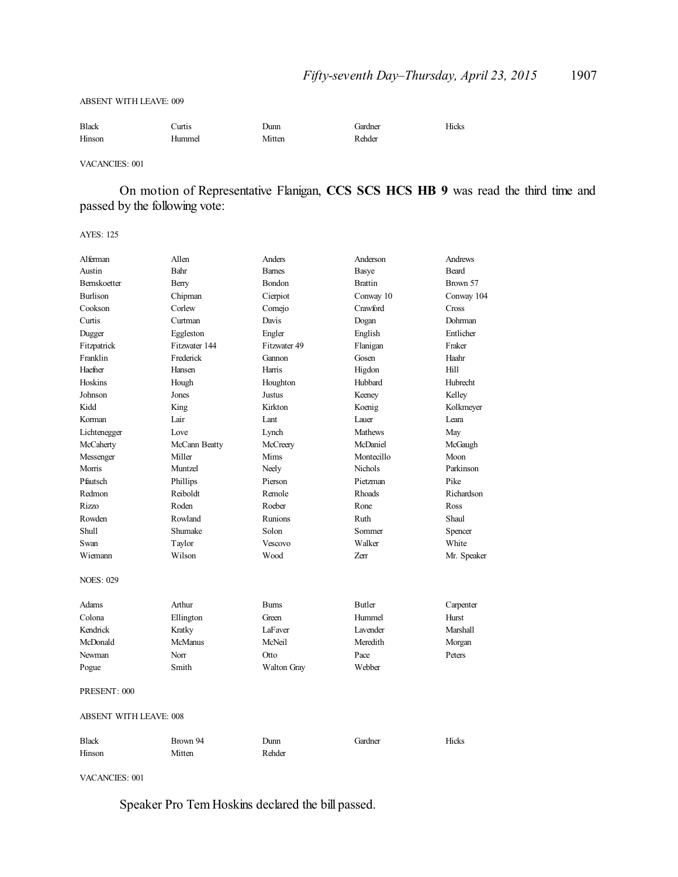#### ABSENT WITH LEAVE: 009

| <b>Black</b> | Curtis | Junn   | Gardner | Hicks |
|--------------|--------|--------|---------|-------|
| Hinson       | Hummel | Mitten | Rehder  |       |

VACANCIES: 001

On motion of Representative Flanigan, **CCS SCS HCS HB 9** was read the third time and passed by the following vote:

AYES: 125

| Alferman                      | Allen          | Anders         | Anderson         | Andrews     |  |
|-------------------------------|----------------|----------------|------------------|-------------|--|
| Austin                        | Bahr           | <b>Barnes</b>  | <b>Basye</b>     | Beard       |  |
| Bernskoetter                  | Berry          | Bondon         | <b>Brattin</b>   | Brown 57    |  |
| <b>Burlison</b>               | Chipman        | Cierpiot       | Conway 10        | Conway 104  |  |
| Cookson                       | Corlew         | Cornejo        | Crawford         | Cross       |  |
| Curtis                        | Curtman        | Davis          | Dogan            | Dohrman     |  |
| Dugger                        | Eggleston      | Engler         | English          | Entlicher   |  |
| Fitzpatrick                   | Fitzwater 144  | Fitzwater 49   | Flanigan         | Fraker      |  |
| Franklin                      | Frederick      | Gannon         | Gosen            | Haahr       |  |
| Haefner                       | Hansen         | Harris         | Higdon           | Hill        |  |
| Hoskins                       | Hough          | Houghton       | Hubbard          | Hubrecht    |  |
| Johnson                       | Jones          | Justus         | Keeney           | Kelley      |  |
| Kidd                          | King           | Kirkton        | Koenig           | Kolkmeyer   |  |
| Korman                        | Lair           | Lant           | Lauer            | Leara       |  |
| Lichtenegger                  | Love           | Lynch          | <b>Mathews</b>   | May         |  |
| McCaherty                     | McCann Beatty  | McCreery       | McDaniel         | McGaugh     |  |
| Messenger                     | Miller         | Mims           | Montecillo       | Moon        |  |
| Morris                        | Muntzel        | Neely          | Nichols          | Parkinson   |  |
| Pfautsch                      | Phillips       | Pierson        | Pietzman         | Pike        |  |
| Redmon                        | Reiboldt       | Remole         | <b>Rhoads</b>    | Richardson  |  |
| Rizzo                         | Roden          | Roeber         | Rone             | Ross        |  |
| Rowden                        | Rowland        | Runions        | Ruth             | Shaul       |  |
| Shull                         | Shumake        | Solon          | Sommer           | Spencer     |  |
| Swan                          | Taylor         | Vescovo        | Walker           | White       |  |
| Wiemann                       | Wilson         | Wood           | Zerr             | Mr. Speaker |  |
| <b>NOES: 029</b>              |                |                |                  |             |  |
| Adams                         | Arthur         | <b>Burns</b>   | <b>Butler</b>    | Carpenter   |  |
| Colona                        | Ellington      | Green          | Hummel           | Hurst       |  |
| Kendrick                      | Kratky         | <b>LaFaver</b> | <b>L</b> avender | Marshall    |  |
| McDonald                      | <b>McManus</b> | McNeil         | Meredith         | Morgan      |  |
| Newman                        | Norr           | Otto           | Pace             | Peters      |  |
| Pogue                         | Smith          | Walton Gray    | Webber           |             |  |
| PRESENT: 000                  |                |                |                  |             |  |
| <b>ABSENT WITH LEAVE: 008</b> |                |                |                  |             |  |
| <b>Black</b>                  | Brown 94       | Dunn           | Gardner          | Hicks       |  |
| Hinson                        | Mitten         | Rehder         |                  |             |  |

VACANCIES: 001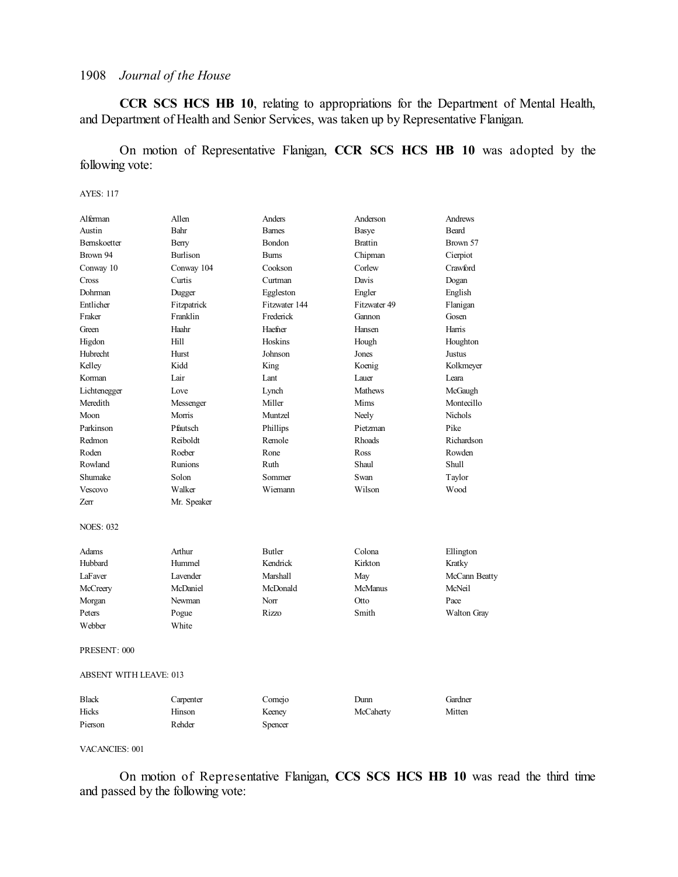**CCR SCS HCS HB 10**, relating to appropriations for the Department of Mental Health, and Department of Health and Senior Services, was taken up by Representative Flanigan.

On motion of Representative Flanigan, **CCR SCS HCS HB 10** was adopted by the following vote:

#### AYES: 117

| Alferman                      | Allen           | Anders        | Anderson       | Andrews        |
|-------------------------------|-----------------|---------------|----------------|----------------|
| Austin                        | Bahr            | <b>Barnes</b> | Basye          | <b>Beard</b>   |
| Bernskoetter                  | Berry           | Bondon        | <b>Brattin</b> | Brown 57       |
| Brown 94                      | <b>Burlison</b> | <b>Bums</b>   | Chipman        | Cierpiot       |
| Conway 10                     | Conway 104      | Cookson       | Corlew         | Crawford       |
| Cross                         | Curtis          | Curtman       | Davis          | Dogan          |
| Dohrman                       | Dugger          | Eggleston     | Engler         | English        |
| Entlicher                     | Fitzpatrick     | Fitzwater 144 | Fitzwater 49   | Flanigan       |
| Fraker                        | Franklin        | Frederick     | Gannon         | Gosen          |
| Green                         | Haahr           | Haefner       | Hansen         | Harris         |
| Higdon                        | Hill            | Hoskins       | Hough          | Houghton       |
| Hubrecht                      | Hurst           | Johnson       | Jones          | Justus         |
| Kelley                        | Kidd            | King          | Koenig         | Kolkmeyer      |
| Korman                        | Lair            | Lant          | Lauer          | Leara          |
| Lichtenegger                  | Love            | Lynch         | <b>Mathews</b> | McGaugh        |
| Meredith                      | Messenger       | Miller        | Mims           | Montecillo     |
| Moon                          | Morris          | Muntzel       | Neely          | <b>Nichols</b> |
| Parkinson                     | Pfautsch        | Phillips      | Pietzman       | Pike           |
| Redmon                        | Reiboldt        | Remole        | <b>Rhoads</b>  | Richardson     |
| Roden                         | Roeber          | Rone          | Ross           | Rowden         |
| Rowland                       | Runions         | Ruth          | Shaul          | Shull          |
| Shumake                       | Solon           | Sommer        | Swan           | Taylor         |
| Vescovo                       | Walker          | Wiemann       | Wilson         | Wood           |
| Zerr                          | Mr. Speaker     |               |                |                |
| <b>NOES: 032</b>              |                 |               |                |                |
| Adams                         | Arthur          | Butler        | Colona         | Ellington      |
| Hubbard                       | Hummel          | Kendrick      | Kirkton        | Kratky         |
| LaFaver                       | <b>Lavender</b> | Marshall      | May            | McCann Beatty  |
| McCreery                      | McDaniel        | McDonald      | <b>McManus</b> | McNeil         |
| Morgan                        | Newman          | Norr          | Otto           | Pace           |
| Peters                        | Pogue           | Rizzo         | Smith          | Walton Gray    |
| Webber                        | White           |               |                |                |
| PRESENT: 000                  |                 |               |                |                |
| <b>ABSENT WITH LEAVE: 013</b> |                 |               |                |                |
| <b>Black</b>                  | Carpenter       | Cornejo       | Dunn           | Gardner        |

Hicks Hinson Keeney McCaherty Mitten

#### VACANCIES: 001

Pierson Rehder Spencer

On motion of Representative Flanigan, **CCS SCS HCS HB 10** was read the third time and passed by the following vote: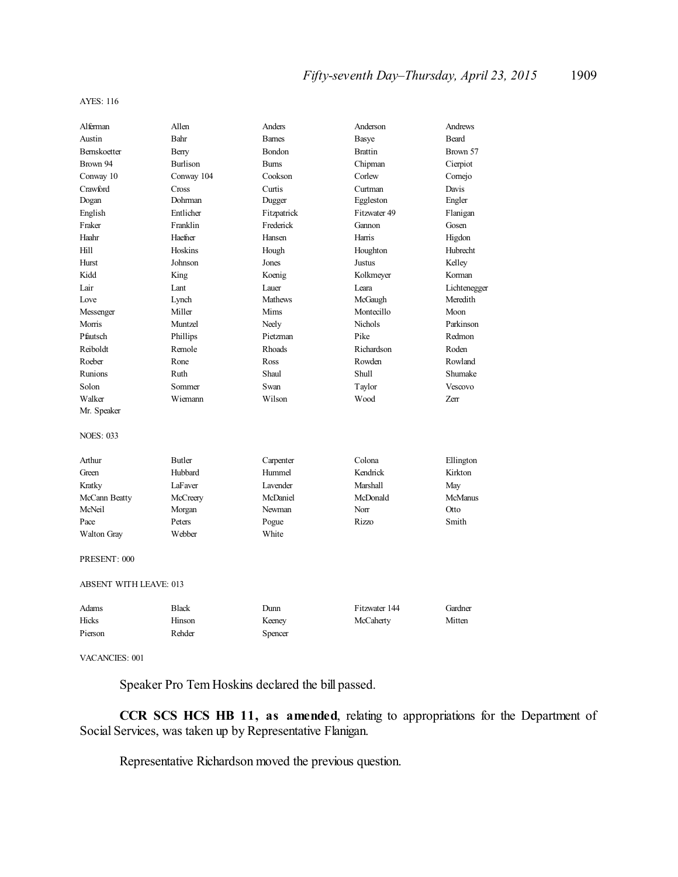#### AYES: 116

| Alferman                      | Allen           | Anders         | Anderson       | Andrews        |
|-------------------------------|-----------------|----------------|----------------|----------------|
| Austin                        | Bahr            | <b>Barnes</b>  | Basye          | <b>Beard</b>   |
| Bernskoetter                  | Berry           | Bondon         | <b>Brattin</b> | Brown 57       |
| Brown 94                      | <b>Burlison</b> | <b>Bums</b>    | Chipman        | Cierpiot       |
| Conway 10                     | Conway 104      | Cookson        | Corlew         | Comejo         |
| Crawford                      | Cross           | Curtis         | Curtman        | Davis          |
| Dogan                         | Dohrman         | Dugger         | Eggleston      | Engler         |
| English                       | Entlicher       | Fitzpatrick    | Fitzwater 49   | Flanigan       |
| Fraker                        | Franklin        | Frederick      | Gannon         | Gosen          |
| Haahr                         | Haefner         | Hansen         | Harris         | Higdon         |
| Hill                          | Hoskins         | Hough          | Houghton       | Hubrecht       |
| Hurst                         | Johnson         | Jones          | Justus         | Kelley         |
| Kidd                          | King            | Koenig         | Kolkmeyer      | Korman         |
| Lair                          | Lant            | Lauer          | Leara          | Lichtenegger   |
| Love                          | Lynch           | <b>Mathews</b> | McGaugh        | Meredith       |
| Messenger                     | Miller          | Mims           | Montecillo     | Moon           |
| Morris                        | Muntzel         | Neely          | <b>Nichols</b> | Parkinson      |
| Pfautsch                      | Phillips        | Pietzman       | Pike           | Redmon         |
| Reiboldt                      | Remole          | Rhoads         | Richardson     | Roden          |
| Roeber                        | Rone            | Ross           | Rowden         | Rowland        |
| Runions                       | Ruth            | Shaul          | Shull          | Shumake        |
| Solon                         | Sommer          | Swan           | Taylor         | Vescovo        |
| Walker                        | Wiemann         | Wilson         | Wood           | Zerr           |
| Mr. Speaker                   |                 |                |                |                |
| <b>NOES: 033</b>              |                 |                |                |                |
| Arthur                        | <b>Butler</b>   | Carpenter      | Colona         | Ellington      |
| Green                         | Hubbard         | Hummel         | Kendrick       | Kirkton        |
| Kratky                        | LaFaver         | Lavender       | Marshall       | May            |
| McCann Beatty                 | McCreery        | McDaniel       | McDonald       | <b>McManus</b> |
| McNeil                        | Morgan          | Newman         | Norr           | Otto           |
| Pace                          | Peters          | Pogue          | Rizzo          | Smith          |
| <b>Walton Gray</b>            | Webber          | White          |                |                |
| PRESENT: 000                  |                 |                |                |                |
| <b>ABSENT WITH LEAVE: 013</b> |                 |                |                |                |
| Adams                         | <b>Black</b>    | Dunn           | Fitzwater 144  | Gardner        |
| Hicks                         | Hinson          | Keeney         | McCaherty      | Mitten         |
| Pierson                       | Rehder          | Spencer        |                |                |

VACANCIES: 001

Speaker Pro Tem Hoskins declared the bill passed.

**CCR SCS HCS HB 11, as amended**, relating to appropriations for the Department of Social Services, was taken up by Representative Flanigan.

Representative Richardson moved the previous question.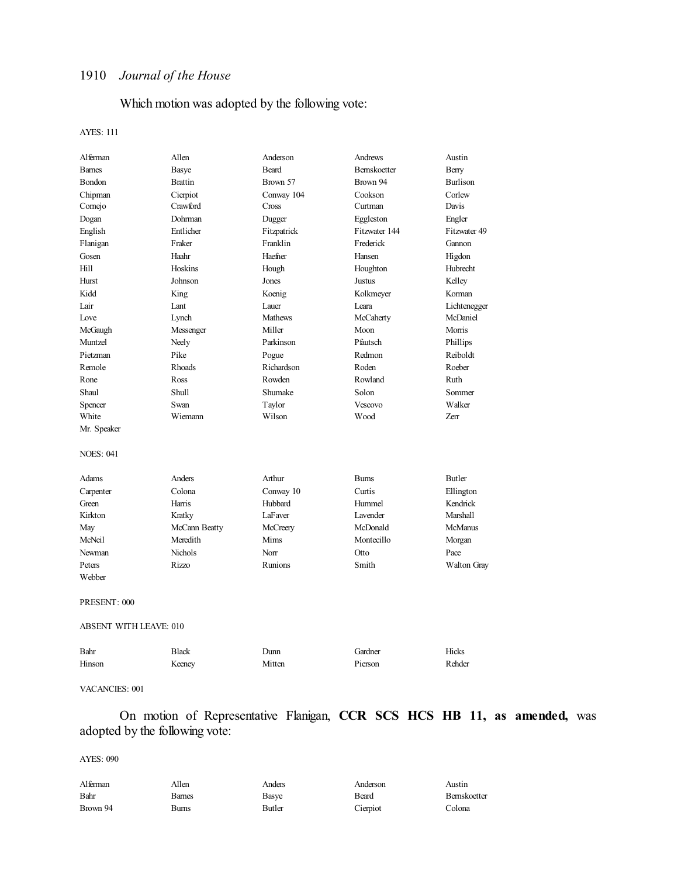## Which motion was adopted by the following vote:

#### AYES: 111

| Alferman                      | Allen          | Anderson       | Andrews       | Austin          |
|-------------------------------|----------------|----------------|---------------|-----------------|
| <b>Barnes</b>                 | Basye          | Beard          | Bernskoetter  | Berry           |
| Bondon                        | <b>Brattin</b> | Brown 57       | Brown 94      | <b>Burlison</b> |
| Chipman                       | Cierpiot       | Conway 104     | Cookson       | Corlew          |
| Cornejo                       | Crawford       | Cross          | Curtman       | Davis           |
| Dogan                         | Dohrman        | Dugger         | Eggleston     | Engler          |
| English                       | Entlicher      | Fitzpatrick    | Fitzwater 144 | Fitzwater 49    |
| Flanigan                      | Fraker         | Franklin       | Frederick     | Gannon          |
| Gosen                         | Haahr          | Haefner        | Hansen        | Higdon          |
| Hill                          | Hoskins        | Hough          | Houghton      | Hubrecht        |
| Hurst                         | Johnson        | Jones          | Justus        | Kelley          |
| Kidd                          | King           | Koenig         | Kolkmeyer     | Korman          |
| Lair                          | Lant           | Lauer          | Leara         | Lichtenegger    |
| Love                          | Lynch          | <b>Mathews</b> | McCaherty     | McDaniel        |
| McGaugh                       | Messenger      | Miller         | Moon          | Morris          |
| Muntzel                       | Neely          | Parkinson      | Pfautsch      | Phillips        |
| Pietzman                      | Pike           | Pogue          | Redmon        | Reiboldt        |
| Remole                        | Rhoads         | Richardson     | Roden         | Roeber          |
| Rone                          | Ross           | Rowden         | Rowland       | Ruth            |
| Shaul                         | Shull          | Shumake        | Solon         | Sommer          |
| Spencer                       | Swan           | Taylor         | Vescovo       | Walker          |
| White                         | Wiemann        | Wilson         | Wood          | Zerr            |
| Mr. Speaker                   |                |                |               |                 |
| <b>NOES: 041</b>              |                |                |               |                 |
| Adams                         | Anders         | Arthur         | <b>Burns</b>  | <b>Butler</b>   |
| Carpenter                     | Colona         | Conway 10      | Curtis        | Ellington       |
| Green                         | Harris         | Hubbard        | Hummel        | Kendrick        |
| Kirkton                       | Kratky         | LaFaver        | Lavender      | Marshall        |
| May                           | McCann Beatty  | McCreery       | McDonald      | <b>McManus</b>  |
| McNeil                        | Meredith       | Mims           | Montecillo    | Morgan          |
| Newman                        | Nichols        | Norr           | Otto          | Pace            |
| Peters                        | Rizzo          | <b>Runions</b> | Smith         | Walton Gray     |
| Webber                        |                |                |               |                 |
| PRESENT: 000                  |                |                |               |                 |
| <b>ABSENT WITH LEAVE: 010</b> |                |                |               |                 |
| Bahr                          | <b>Black</b>   | Dunn           | Gardner       | Hicks           |
| Hinson                        | Keeney         | Mitten         | Pierson       | Rehder          |
|                               |                |                |               |                 |

### VACANCIES: 001

On motion of Representative Flanigan, **CCR SCS HCS HB 11, as amended,** was adopted by the following vote:

| Alferman | Allen  | Anders | Anderson | Austin       |
|----------|--------|--------|----------|--------------|
| Bahr     | Barnes | Basye  | Beard    | Bernskoetter |
| Brown 94 | Bums   | Butler | Cierpiot | Colona       |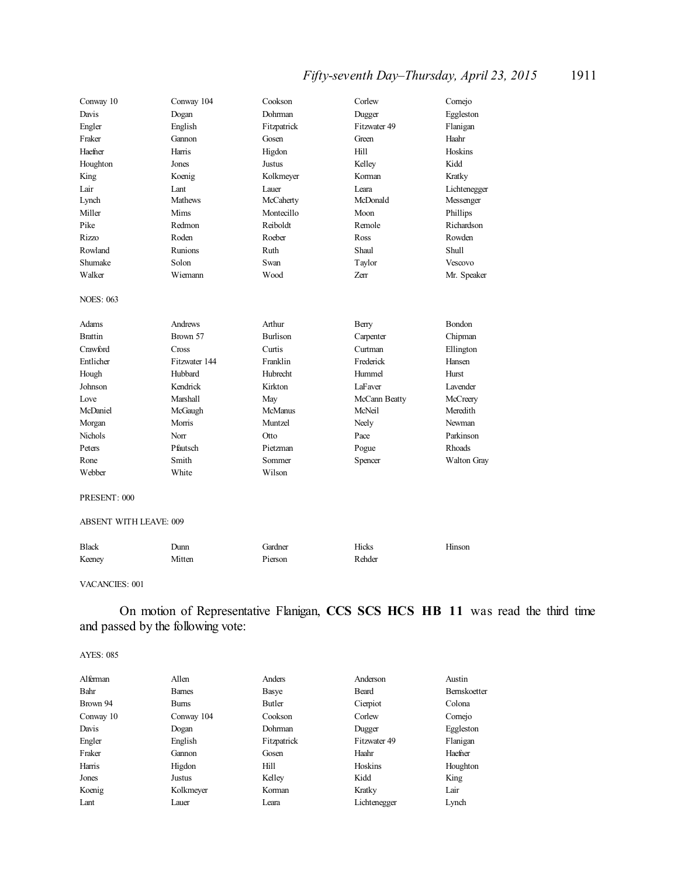## *Fifty-seventh Day–Thursday, April 23, 2015* 1911

| Conway 10        | Conway 104     | Cookson         | Corlew        | Comejo        |
|------------------|----------------|-----------------|---------------|---------------|
| Davis            | Dogan          | Dohrman         | Dugger        | Eggleston     |
| Engler           | English        | Fitzpatrick     | Fitzwater 49  | Flanigan      |
| Fraker           | Gannon         | Gosen           | Green         | Haahr         |
| Haefner          | Harris         | Higdon          | Hill          | Hoskins       |
| Houghton         | Jones          | <b>Justus</b>   | Kelley        | Kidd          |
| King             | Koenig         | Kolkmeyer       | Korman        | Kratky        |
| Lair             | Lant           | Lauer           | Leara         | Lichtenegger  |
| Lynch            | <b>Mathews</b> | McCaherty       | McDonald      | Messenger     |
| Miller           | Mims           | Montecillo      | Moon          | Phillips      |
| Pike             | Redmon         | Reiboldt        | Remole        | Richardson    |
| Rizzo            | Roden          | Roeber          | Ross          | Rowden        |
| Rowland          | Runions        | Ruth            | Shaul         | Shull         |
| Shumake          | Solon          | Swan            | Taylor        | Vescovo       |
| Walker           | Wiemann        | Wood            | <b>Zerr</b>   | Mr. Speaker   |
| <b>NOES: 063</b> |                |                 |               |               |
| Adams            | Andrews        | Arthur          | Berry         | Bondon        |
| <b>Brattin</b>   | Brown 57       | <b>Burlison</b> | Carpenter     | Chipman       |
| Crawford         | Cross          | Curtis          | Curtman       | Ellington     |
| Entlicher        | Fitzwater 144  | Franklin        | Frederick     | Hansen        |
| Hough            | Hubbard        | <b>Hubrecht</b> | Hummel        | <b>Hurst</b>  |
| Johnson          | Kendrick       | Kirkton         | LaFaver       | Lavender      |
| Love             | Marshall       | May             | McCann Beatty | McCreery      |
| McDaniel         | McGaugh        | <b>McManus</b>  | McNeil        | Meredith      |
| Morgan           | Morris         | Muntzel         | Neely         | Newman        |
| Nichols          | Norr           | Otto            | Pace          | Parkinson     |
| Peters           | Pfautsch       | Pietzman        | Pogue         | <b>Rhoads</b> |
| Rone             | Smith          | Sommer          | Spencer       | Walton Gray   |
| Webber           | White          | Wilson          |               |               |
| PRESENT: 000     |                |                 |               |               |

### ABSENT WITH LEAVE: 009

| <b>Black</b> | Junn   | Gardner | Hicks  | Hinson |
|--------------|--------|---------|--------|--------|
| Keenev       | Mitten | Pierson | Rehder |        |

#### VACANCIES: 001

On motion of Representative Flanigan, **CCS SCS HCS HB 11** was read the third time and passed by the following vote:

| Alferman  | Allen         | Anders      | Anderson     | Austin              |
|-----------|---------------|-------------|--------------|---------------------|
| Bahr      | <b>Barnes</b> | Basye       | Beard        | <b>Bernskoetter</b> |
| Brown 94  | <b>Bums</b>   | Butler      | Cierpiot     | Colona              |
| Conway 10 | Conway 104    | Cookson     | Corlew       | Comejo              |
| Davis     | Dogan         | Dohrman     | Dugger       | Eggleston           |
| Engler    | English       | Fitzpatrick | Fitzwater 49 | Flanigan            |
| Fraker    | Gannon        | Gosen       | Haahr        | Haefner             |
| Harris    | Higdon        | Hill        | Hoskins      | Houghton            |
| Jones     | Justus        | Kelley      | Kidd         | King                |
| Koenig    | Kolkmeyer     | Korman      | Kratky       | Lair                |
| Lant      | Lauer         | Leara       | Lichtenegger | Lynch               |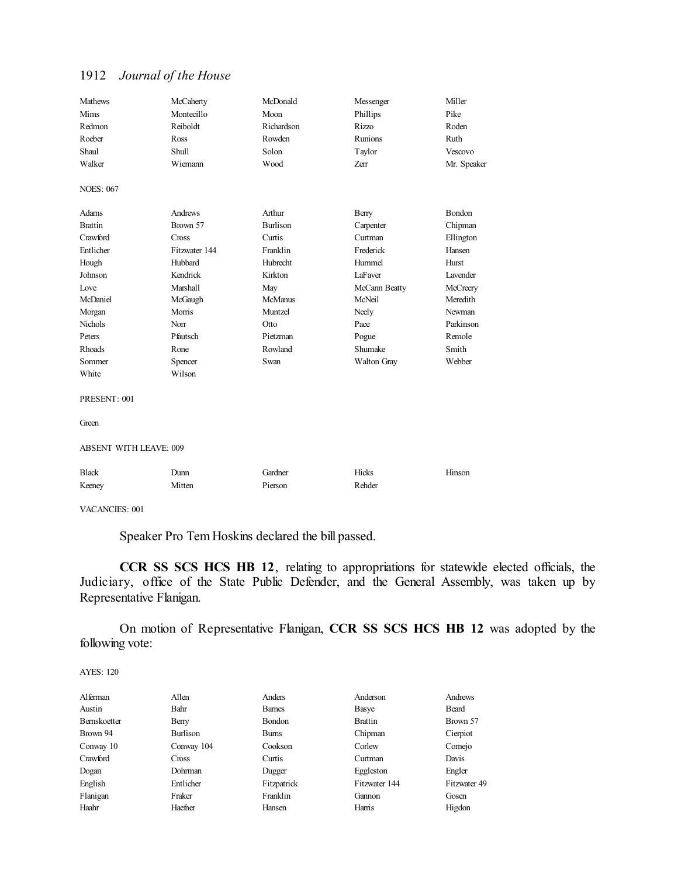| <b>Mathews</b>                | McCaherty     | McDonald        | Messenger     | Miller      |
|-------------------------------|---------------|-----------------|---------------|-------------|
| Mims                          | Montecillo    | Moon            | Phillips      | Pike        |
| Redmon                        | Reiboldt      | Richardson      | <b>Rizzo</b>  | Roden       |
| Roeber                        | Ross          | Rowden          | Runions       | Ruth        |
| Shaul                         | Shull         | Solon           | Taylor        | Vescovo     |
| Walker                        | Wiemann       | Wood            | Zerr          | Mr. Speaker |
| <b>NOES: 067</b>              |               |                 |               |             |
| Adams                         | Andrews       | Arthur          | Berry         | Bondon      |
| <b>Brattin</b>                | Brown 57      | <b>Burlison</b> | Carpenter     | Chipman     |
| Crawford                      | Cross         | Curtis          | Curtman       | Ellington   |
| Entlicher                     | Fitzwater 144 | Franklin        | Frederick     | Hansen      |
| Hough                         | Hubbard       | Hubrecht        | Hummel        | Hurst       |
| Johnson                       | Kendrick      | Kirkton         | LaFaver       | Lavender    |
| Love                          | Marshall      | May             | McCann Beatty | McCreery    |
| McDaniel                      | McGaugh       | <b>McManus</b>  | McNeil        | Meredith    |
| Morgan                        | Morris        | Muntzel         | Neely         | Newman      |
| <b>Nichols</b>                | Norr          | Otto            | Pace          | Parkinson   |
| Peters                        | Pfautsch      | Pietzman        | Pogue         | Remole      |
| Rhoads                        | Rone          | Rowland         | Shumake       | Smith       |
| Sommer                        | Spencer       | Swan            | Walton Gray   | Webber      |
| White                         | Wilson        |                 |               |             |
| PRESENT: 001                  |               |                 |               |             |
| Green                         |               |                 |               |             |
| <b>ABSENT WITH LEAVE: 009</b> |               |                 |               |             |
| <b>Black</b>                  | Dunn          | Gardner         | Hicks         | Hinson      |
| Keeney                        | Mitten        | Pierson         | Rehder        |             |
|                               |               |                 |               |             |

VACANCIES: 001

Speaker Pro Tem Hoskins declared the bill passed.

**CCR SS SCS HCS HB 12**, relating to appropriations for statewide elected officials, the Judiciary, office of the State Public Defender, and the General Assembly, was taken up by Representative Flanigan.

On motion of Representative Flanigan, **CCR SS SCS HCS HB 12** was adopted by the following vote:

| Alferman     | Allen        | Anders        | Anderson       | Andrews      |
|--------------|--------------|---------------|----------------|--------------|
| Austin       | Bahr         | <b>Barnes</b> | Basye          | Beard        |
| Bernskoetter | Berry        | Bondon        | <b>Brattin</b> | Brown 57     |
| Brown 94     | Burlison     | <b>Bums</b>   | Chipman        | Cierpiot     |
| Conway 10    | Conway 104   | Cookson       | Corlew         | Comejo       |
| Crawford     | <b>Cross</b> | Curtis        | Curtman        | Davis        |
| Dogan        | Dohrman      | Dugger        | Eggleston      | Engler       |
| English      | Entlicher    | Fitzpatrick   | Fitzwater 144  | Fitzwater 49 |
| Flanigan     | Fraker       | Franklin      | Gannon         | Gosen        |
| Haahr        | Haefner      | Hansen        | Harris         | Higdon       |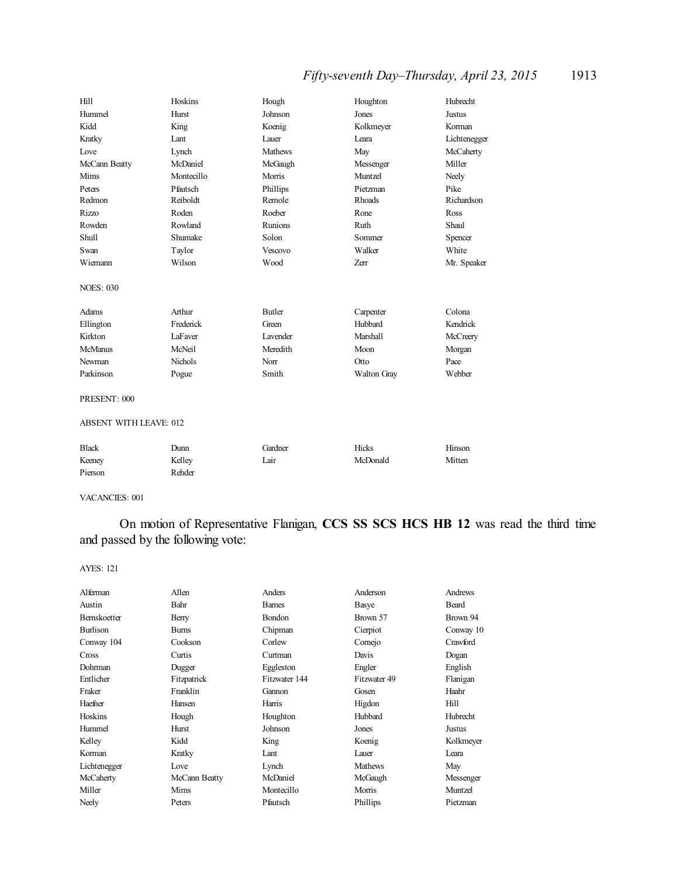## *Fifty-seventh Day–Thursday, April 23, 2015* 1913

| Hill                          | Hoskins        | Hough          | Houghton    | Hubrecht      |  |
|-------------------------------|----------------|----------------|-------------|---------------|--|
| Hummel                        | Hurst          | Johnson        | Jones       | <b>Justus</b> |  |
| Kidd                          | King           | Koenig         | Kolkmeyer   | Korman        |  |
| Kratky                        | Lant           | Lauer          | Leara       | Lichtenegger  |  |
| Love                          | Lynch          | <b>Mathews</b> | May         | McCaherty     |  |
| McCann Beatty                 | McDaniel       | McGaugh        | Messenger   | Miller        |  |
| Mims                          | Montecillo     | Morris         | Muntzel     | Neely         |  |
| Peters                        | Pfautsch       | Phillips       | Pietzman    | Pike          |  |
| Redmon                        | Reiboldt       | Remole         | Rhoads      | Richardson    |  |
| <b>Rizzo</b>                  | Roden          | Roeber         | Rone        | Ross          |  |
| Rowden                        | Rowland        | Runions        | Ruth        | Shaul         |  |
| Shull                         | Shumake        | Solon          | Sommer      | Spencer       |  |
| Swan                          | Taylor         | Vescovo        | Walker      | White         |  |
| Wiemann                       | Wilson         | Wood           | Zerr        | Mr. Speaker   |  |
| <b>NOES: 030</b>              |                |                |             |               |  |
| Adams                         | Arthur         | <b>Butler</b>  | Carpenter   | Colona        |  |
| Ellington                     | Frederick      | Green          | Hubbard     | Kendrick      |  |
| Kirkton                       | LaFaver        | Lavender       | Marshall    | McCreery      |  |
| <b>McManus</b>                | McNeil         | Meredith       | Moon        | Morgan        |  |
| Newman                        | <b>Nichols</b> | Norr           | Otto        | Pace          |  |
| Parkinson                     | Pogue          | Smith          | Walton Gray | Webber        |  |
| PRESENT: 000                  |                |                |             |               |  |
| <b>ABSENT WITH LEAVE: 012</b> |                |                |             |               |  |
| <b>Black</b>                  | Dunn           | Gardner        | Hicks       | Hinson        |  |
| Keeney                        | Kelley         | Lair           | McDonald    | Mitten        |  |
| Pierson                       | Rehder         |                |             |               |  |

VACANCIES: 001

On motion of Representative Flanigan, **CCS SS SCS HCS HB 12** was read the third time and passed by the following vote:

| Alferman     | Allen         | Anders        | Anderson       | Andrews      |
|--------------|---------------|---------------|----------------|--------------|
| Austin       | Bahr          | <b>Barnes</b> | Basye          | <b>Beard</b> |
| Bernskoetter | Berry         | Bondon        | Brown 57       | Brown 94     |
| Burlison     | <b>Burns</b>  | Chipman       | Cierpiot       | Conway 10    |
| Conway 104   | Cookson       | Corlew        | Comejo         | Crawford     |
| Cross        | Curtis        | Curtman       | Davis          | Dogan        |
| Dohrman      | Dugger        | Eggleston     | Engler         | English      |
| Entlicher    | Fitzpatrick   | Fitzwater 144 | Fitzwater 49   | Flanigan     |
| Fraker       | Franklin      | Gannon        | Gosen          | Haahr        |
| Haefner      | Hansen        | Harris        | Higdon         | Hill         |
| Hoskins      | Hough         | Houghton      | Hubbard        | Hubrecht     |
| Hummel       | Hurst         | Johnson       | Jones          | Justus       |
| Kelley       | Kidd          | King          | Koenig         | Kolkmeyer    |
| Korman       | Kratky        | Lant          | Lauer          | Leara        |
| Lichtenegger | Love          | Lynch         | <b>Mathews</b> | May          |
| McCaherty    | McCann Beatty | McDaniel      | McGaugh        | Messenger    |
| Miller       | Mims          | Montecillo    | Morris         | Muntzel      |
| Neely        | Peters        | Pfautsch      | Phillips       | Pietzman     |
|              |               |               |                |              |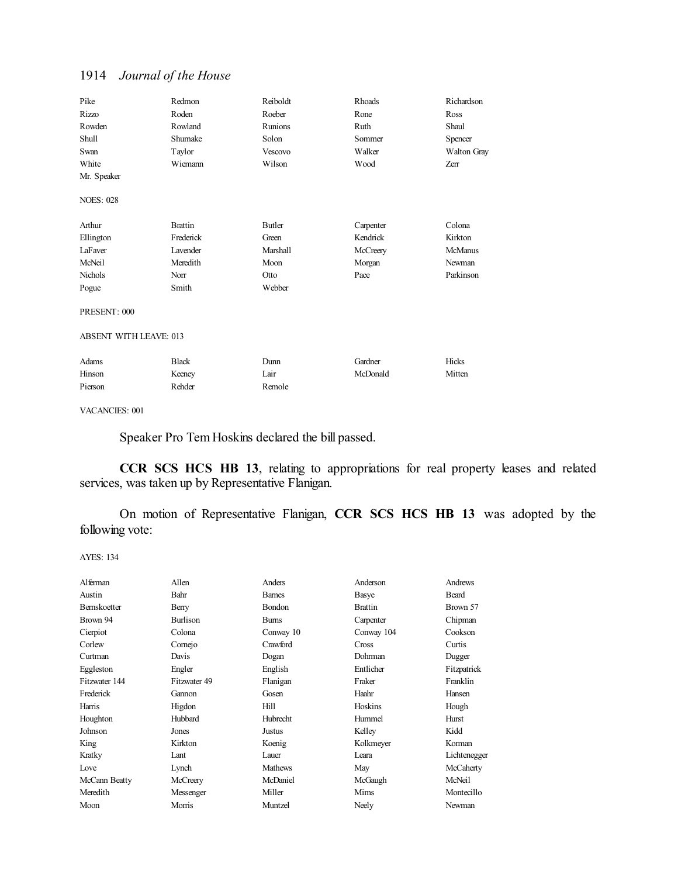| Pike                          | Redmon         | Reiboldt      | Rhoads    | Richardson         |
|-------------------------------|----------------|---------------|-----------|--------------------|
| <b>Rizzo</b>                  | Roden          | Roeber        | Rone      | Ross               |
| Rowden                        | Rowland        | Runions       | Ruth      | Shaul              |
| Shull                         | Shumake        | Solon         | Sommer    | Spencer            |
| Swan                          | Taylor         | Vescovo       | Walker    | <b>Walton Gray</b> |
| White                         | Wiemann        | Wilson        | Wood      | Zerr               |
| Mr. Speaker                   |                |               |           |                    |
| <b>NOES: 028</b>              |                |               |           |                    |
| Arthur                        | <b>Brattin</b> | <b>Butler</b> | Carpenter | Colona             |
| Ellington                     | Frederick      | Green         | Kendrick  | Kirkton            |
| LaFaver                       | Lavender       | Marshall      | McCreery  | McManus            |
| McNeil                        | Meredith       | Moon          | Morgan    | Newman             |
| <b>Nichols</b>                | Norr           | Otto          | Pace      | Parkinson          |
| Pogue                         | Smith          | Webber        |           |                    |
| PRESENT: 000                  |                |               |           |                    |
| <b>ABSENT WITH LEAVE: 013</b> |                |               |           |                    |
| Adams                         | <b>Black</b>   | Dunn          | Gardner   | Hicks              |
| Hinson                        | Keeney         | Lair          | McDonald  | Mitten             |
| Pierson                       | Rehder         | Remole        |           |                    |

VACANCIES: 001

Speaker Pro Tem Hoskins declared the bill passed.

**CCR SCS HCS HB 13**, relating to appropriations for real property leases and related services, was taken up by Representative Flanigan.

On motion of Representative Flanigan, **CCR SCS HCS HB 13** was adopted by the following vote:

| Alferman            | Allen           | Anders          | Anderson       | Andrews      |
|---------------------|-----------------|-----------------|----------------|--------------|
| Austin              | Bahr            | <b>Barnes</b>   | Basye          | Beard        |
| <b>Bernskoetter</b> | Berry           | Bondon          | <b>Brattin</b> | Brown 57     |
| Brown 94            | <b>Burlison</b> | <b>Bums</b>     | Carpenter      | Chipman      |
| Cierpiot            | Colona          | Conway 10       | Conway 104     | Cookson      |
| Corlew              | Comejo          | Crawford        | Cross          | Curtis       |
| Curtman             | Davis           | Dogan           | Dohrman        | Dugger       |
| Eggleston           | Engler          | English         | Entlicher      | Fitzpatrick  |
| Fitzwater 144       | Fitzwater 49    | Flanigan        | Fraker         | Franklin     |
| Frederick           | Gannon          | Gosen           | Haahr          | Hansen       |
| Harris              | Higdon          | Hill            | Hoskins        | Hough        |
| Houghton            | Hubbard         | <b>Hubrecht</b> | Hummel         | Hurst        |
| Johnson             | Jones           | Justus          | Kelley         | Kidd         |
| King                | Kirkton         | Koenig          | Kolkmeyer      | Korman       |
| Kratky              | Lant.           | Lauer           | Leara          | Lichtenegger |
| Love                | Lynch           | <b>Mathews</b>  | May            | McCaherty    |
| McCann Beatty       | McCreery        | McDaniel        | McGaugh        | McNeil       |
| Meredith            | Messenger       | Miller          | Mims           | Montecillo   |
| Moon                | Morris          | Muntzel         | Neely          | Newman       |
|                     |                 |                 |                |              |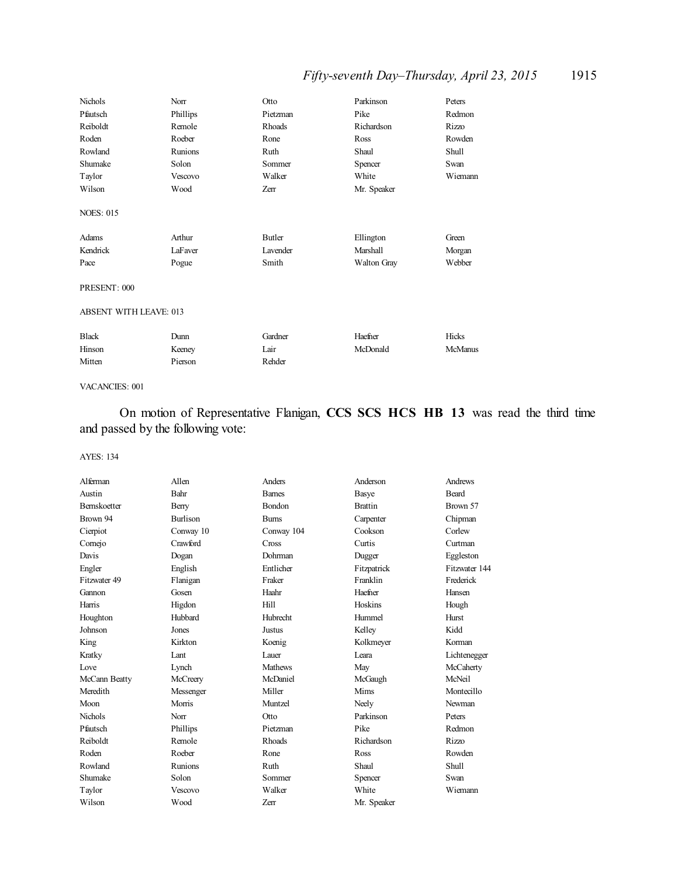## *Fifty-seventh Day–Thursday, April 23, 2015* 1915

| Nichols                       | Norr     | Otto     | Parkinson          | Peters         |
|-------------------------------|----------|----------|--------------------|----------------|
| Pfautsch                      | Phillips | Pietzman | Pike               | Redmon         |
| Reiboldt                      | Remole   | Rhoads   | Richardson         | <b>Rizzo</b>   |
| Roden                         | Roeber   | Rone     | Ross               | Rowden         |
| Rowland                       | Runions  | Ruth     | Shaul              | Shull          |
| Shumake                       | Solon    | Sommer   | Spencer            | Swan           |
| Taylor                        | Vescovo  | Walker   | White              | Wiemann        |
| Wilson                        | Wood     | Zerr     | Mr. Speaker        |                |
| <b>NOES: 015</b>              |          |          |                    |                |
| Adams                         | Arthur   | Butler   | Ellington          | Green          |
| Kendrick                      | LaFaver  | Lavender | Marshall           | Morgan         |
| Pace                          | Pogue    | Smith    | <b>Walton Gray</b> | Webber         |
| PRESENT: 000                  |          |          |                    |                |
| <b>ABSENT WITH LEAVE: 013</b> |          |          |                    |                |
| <b>Black</b>                  | Dunn     | Gardner  | Haefner            | Hicks          |
| Hinson                        | Keeney   | Lair     | McDonald           | <b>McManus</b> |
| Mitten                        | Pierson  | Rehder   |                    |                |

#### VACANCIES: 001

On motion of Representative Flanigan, **CCS SCS HCS HB 13** was read the third time and passed by the following vote:

| Alferman            | Allen           | Anders         | Anderson       | Andrews       |
|---------------------|-----------------|----------------|----------------|---------------|
| Austin              | Bahr            | <b>Barnes</b>  | Basye          | <b>Beard</b>  |
| <b>Bernskoetter</b> | Berry           | Bondon         | <b>Brattin</b> | Brown 57      |
| Brown 94            | <b>Burlison</b> | <b>Bums</b>    | Carpenter      | Chipman       |
| Cierpiot            | Conway 10       | Conway 104     | Cookson        | Corlew        |
| Cornejo             | Crawford        | Cross          | Curtis         | Curtman       |
| Davis               | Dogan           | Dohrman        | Dugger         | Eggleston     |
| Engler              | English         | Entlicher      | Fitzpatrick    | Fitzwater 144 |
| Fitzwater 49        | Flanigan        | Fraker         | Franklin       | Frederick     |
| Gannon              | Gosen           | Haahr          | Haefner        | Hansen        |
| Harris              | Higdon          | Hill           | Hoskins        | Hough         |
| Houghton            | Hubbard         | Hubrecht       | Hummel         | Hurst         |
| Johnson             | Jones           | Justus         | Kelley         | Kidd          |
| King                | Kirkton         | Koenig         | Kolkmeyer      | Korman        |
| Kratky              | Lant            | Lauer          | Leara          | Lichtenegger  |
| Love                | Lynch           | <b>Mathews</b> | May            | McCaherty     |
| McCann Beatty       | McCreery        | McDaniel       | McGaugh        | McNeil        |
| Meredith            | Messenger       | Miller         | Mims           | Montecillo    |
| Moon                | Morris          | Muntzel        | Neely          | Newman        |
| <b>Nichols</b>      | Norr            | Otto           | Parkinson      | Peters        |
| Pfautsch            | Phillips        | Pietzman       | Pike           | Redmon        |
| Reiboldt            | Remole          | Rhoads         | Richardson     | <b>Rizzo</b>  |
| Roden               | Roeber          | Rone           | Ross           | Rowden        |
| Rowland             | Runions         | Ruth           | Shaul          | Shull         |
| Shumake             | Solon           | Sommer         | Spencer        | Swan          |
| Taylor              | Vescovo         | Walker         | White          | Wiemann       |
| Wilson              | Wood            | Zerr           | Mr. Speaker    |               |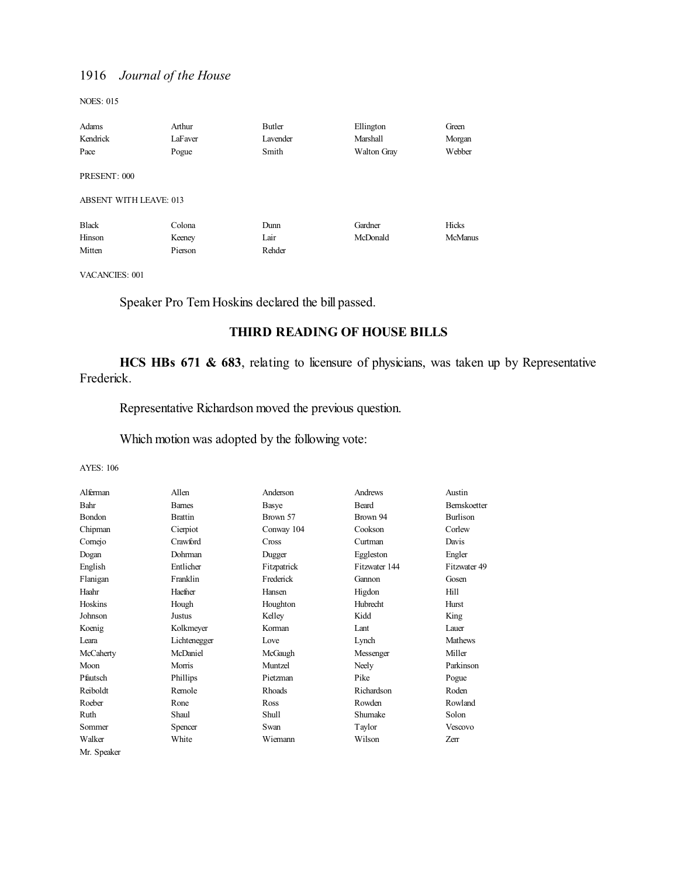NOES: 015

| Adams                         | Arthur  | Butler   | Ellington   | Green   |
|-------------------------------|---------|----------|-------------|---------|
| Kendrick                      | LaFaver | Lavender | Marshall    | Morgan  |
| Pace                          | Pogue   | Smith    | Walton Gray | Webber  |
| PRESENT: 000                  |         |          |             |         |
| <b>ABSENT WITH LEAVE: 013</b> |         |          |             |         |
| <b>Black</b>                  | Colona  | Dunn     | Gardner     | Hicks   |
| Hinson                        | Keeney  | Lair     | McDonald    | McManus |
| Mitten                        | Pierson | Rehder   |             |         |

VACANCIES: 001

Speaker Pro Tem Hoskins declared the bill passed.

## **THIRD READING OF HOUSE BILLS**

**HCS HBs 671 & 683**, relating to licensure of physicians, was taken up by Representative Frederick.

Representative Richardson moved the previous question.

Which motion was adopted by the following vote:

| Alferman    | Allen          | Anderson     | Andrews         | Austin              |
|-------------|----------------|--------------|-----------------|---------------------|
| Bahr        | <b>Barnes</b>  | Basye        | Beard           | <b>Bernskoetter</b> |
| Bondon      | <b>Brattin</b> | Brown 57     | Brown 94        | <b>Burlison</b>     |
| Chipman     | Cierpiot       | Conway 104   | Cookson         | Corlew              |
| Comejo      | Crawford       | Cross        | Curtman         | Davis               |
| Dogan       | Dohrman        | Dugger       | Eggleston       | Engler              |
| English     | Entlicher      | Fitzpatrick  | Fitzwater 144   | Fitzwater 49        |
| Flanigan    | Franklin       | Frederick    | Gannon          | Gosen               |
| Haahr       | Haefner        | Hansen       | Higdon          | Hill                |
| Hoskins     | Hough          | Houghton     | <b>Hubrecht</b> | <b>Hurst</b>        |
| Johnson     | Justus         | Kelley       | Kidd            | King                |
| Koenig      | Kolkmeyer      | Korman       | Lant            | Lauer               |
| Leara       | Lichtenegger   | Love         | Lynch           | <b>Mathews</b>      |
| McCaherty   | McDaniel       | McGaugh      | Messenger       | Miller              |
| Moon        | Morris         | Muntzel      | Neely           | Parkinson           |
| Pfautsch    | Phillips       | Pietzman     | Pike            | Pogue               |
| Reiboldt    | Remole         | Rhoads       | Richardson      | Roden               |
| Roeber      | Rone           | Ross         | Rowden          | Rowland             |
| Ruth        | Shaul          | <b>Shull</b> | Shumake         | Solon               |
| Sommer      | Spencer        | Swan         | Taylor          | Vescovo             |
| Walker      | White          | Wiemann      | Wilson          | Zerr                |
| Mr. Speaker |                |              |                 |                     |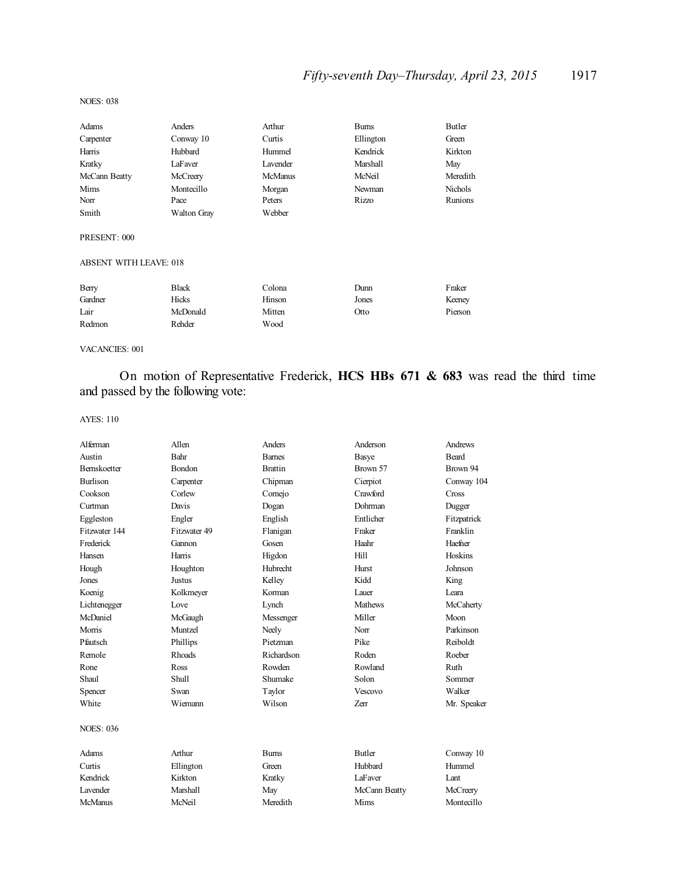## *Fifty-seventh Day–Thursday, April 23, 2015* 1917

#### NOES: 038

| Adams                         | Anders             | Arthur         | <b>Burns</b> | Butler         |
|-------------------------------|--------------------|----------------|--------------|----------------|
| Carpenter                     | Conway 10          | Curtis         | Ellington    | Green          |
| Harris                        | Hubbard            | Hummel         | Kendrick     | Kirkton        |
| Kratky                        | LaFaver            | Lavender       | Marshall     | May            |
| McCann Beatty                 | McCreery           | <b>McManus</b> | McNeil       | Meredith       |
| Mims                          | Montecillo         | Morgan         | Newman       | <b>Nichols</b> |
| Norr                          | Pace               | Peters         | Rizzo        | <b>Runions</b> |
| Smith                         | <b>Walton Gray</b> | Webber         |              |                |
| PRESENT: 000                  |                    |                |              |                |
| <b>ABSENT WITH LEAVE: 018</b> |                    |                |              |                |
| Berry                         | <b>Black</b>       | Colona         | Dunn         | Fraker         |
| Gardner                       | Hicks              | Hinson         | Jones        | Keeney         |
| Lair                          | McDonald           | Mitten         | Otto         | Pierson        |
| Redmon                        | Rehder             | Wood           |              |                |
|                               |                    |                |              |                |

VACANCIES: 001

On motion of Representative Frederick, **HCS HBs 671 & 683** was read the third time and passed by the following vote:

| Alferman            | Allen         | <b>Anders</b>   | Anderson       | Andrews      |
|---------------------|---------------|-----------------|----------------|--------------|
| Austin              | Bahr          | <b>Barnes</b>   | Basye          | <b>Beard</b> |
| <b>Bernskoetter</b> | Bondon        | <b>Brattin</b>  | Brown 57       | Brown 94     |
| <b>Burlison</b>     | Carpenter     | Chipman         | Cierpiot       | Conway 104   |
| Cookson             | Corlew        | Cornejo         | Crawford       | Cross        |
| Curtman             | Davis         | Dogan           | Dohrman        | Dugger       |
| Eggleston           | Engler        | English         | Entlicher      | Fitzpatrick  |
| Fitzwater 144       | Fitzwater 49  | Flanigan        | Fraker         | Franklin     |
| Frederick           | Gannon        | Gosen           | Haahr          | Haefner      |
| Hansen              | Harris        | Higdon          | Hill           | Hoskins      |
| Hough               | Houghton      | <b>Hubrecht</b> | Hurst          | Johnson      |
| Jones               | Justus        | Kelley          | Kidd           | King         |
| Koenig              | Kolkmeyer     | Korman          | Lauer          | I eara       |
| Lichtenegger        | Love          | Lynch           | <b>Mathews</b> | McCaherty    |
| McDaniel            | McGaugh       | Messenger       | Miller         | Moon         |
| Morris              | Muntzel       | Neely           | Norr           | Parkinson    |
| Pfautsch            | Phillips      | Pietzman        | Pike           | Reiboldt     |
| Remole              | <b>Rhoads</b> | Richardson      | Roden          | Roeber       |
| Rone                | Ross          | Rowden          | Rowland        | Ruth         |
| Shaul               | Shull         | Shumake         | Solon          | Sommer       |
| Spencer             | Swan          | Taylor          | Vescovo        | Walker       |
| White               | Wiemann       | Wilson          | Zerr           | Mr. Speaker  |
| <b>NOES: 036</b>    |               |                 |                |              |
| Adams               | Arthur        | <b>Burns</b>    | <b>Butler</b>  | Conway 10    |
| Curtis              | Ellington     | Green           | Hubbard        | Hummel       |
| Kendrick            | Kirkton       | Kratky          | LaFaver        | Lant         |
| Lavender            | Marshall      | May             | McCann Beatty  | McCreery     |
| <b>McManus</b>      | McNeil        | Meredith        | Mims           | Montecillo   |
|                     |               |                 |                |              |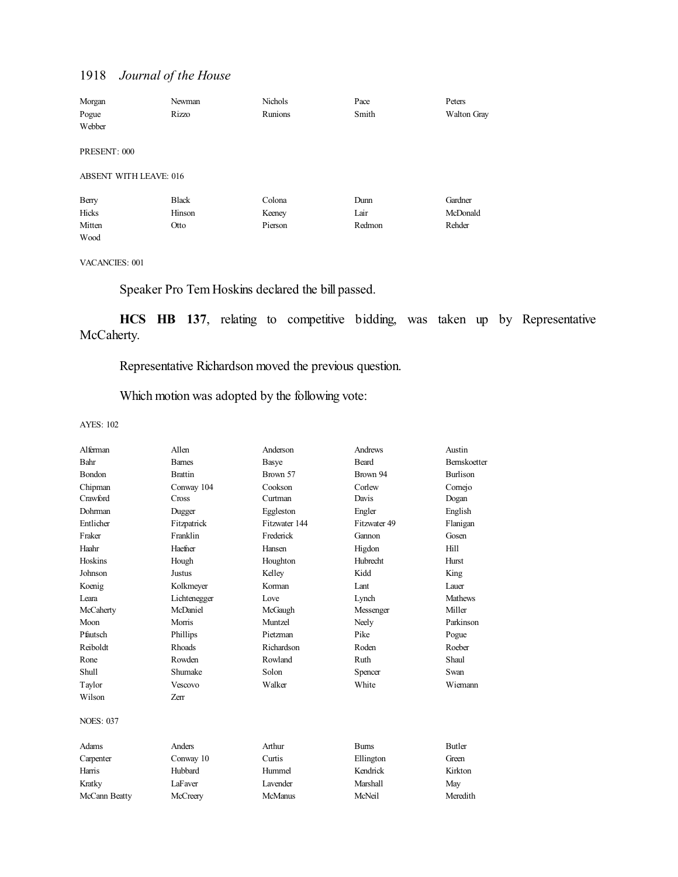| Morgan                        | Newman       | <b>Nichols</b> | Pace   | Peters      |
|-------------------------------|--------------|----------------|--------|-------------|
| Pogue                         | Rizzo        | Runions        | Smith  | Walton Gray |
| Webber                        |              |                |        |             |
|                               |              |                |        |             |
| PRESENT: 000                  |              |                |        |             |
|                               |              |                |        |             |
| <b>ABSENT WITH LEAVE: 016</b> |              |                |        |             |
| Berry                         | <b>Black</b> | Colona         | Dunn   | Gardner     |
| Hicks                         | Hinson       | Keeney         | Lair   | McDonald    |
| Mitten                        | Otto         | Pierson        | Redmon | Rehder      |
| Wood                          |              |                |        |             |

VACANCIES: 001

Speaker Pro Tem Hoskins declared the bill passed.

**HCS HB 137**, relating to competitive bidding, was taken up by Representative McCaherty.

## Representative Richardson moved the previous question.

Which motion was adopted by the following vote:

| Alferman         | Allen          | Anderson        | Andrews      | Austin              |
|------------------|----------------|-----------------|--------------|---------------------|
| Bahr             | <b>Barnes</b>  | Basye           | Beard        | <b>Bernskoetter</b> |
| Bondon           | <b>Brattin</b> | Brown 57        | Brown 94     | <b>Burlison</b>     |
| Chipman          | Conway 104     | Cookson         | Corlew       | Cornejo             |
| Crawford         | Cross          | Curtman         | Davis        | Dogan               |
| Dohrman          | Dugger         | Eggleston       | Engler       | English             |
| Entlicher        | Fitzpatrick    | Fitzwater 144   | Fitzwater 49 | Flanigan            |
| Fraker           | Franklin       | Frederick       | Gannon       | Gosen               |
| Haahr            | Haefner        | Hansen          | Higdon       | Hill                |
| Hoskins          | Hough          | Houghton        | Hubrecht     | <b>Hurst</b>        |
| Johnson          | Justus         | Kelley          | Kidd         | King                |
| Koenig           | Kolkmeyer      | Korman          | <b>L</b> ant | Lauer               |
| Leara            | Lichtenegger   | Love            | Lynch        | <b>Mathews</b>      |
| McCaherty        | McDaniel       | McGaugh         | Messenger    | Miller              |
| Moon             | Morris         | Muntzel         | Neely        | Parkinson           |
| Pfautsch         | Phillips       | Pietzman        | Pike         | Pogue               |
| Reiboldt         | <b>Rhoads</b>  | Richardson      | Roden        | Roeber              |
| Rone             | Rowden         | Rowland         | Ruth         | Shaul               |
| Shull            | Shumake        | Solon           | Spencer      | Swan                |
| Taylor           | Vescovo        | Walker          | White        | Wiemann             |
| Wilson           | <b>Zerr</b>    |                 |              |                     |
| <b>NOES: 037</b> |                |                 |              |                     |
| Adams            | Anders         | Arthur          | <b>Burns</b> | <b>Butler</b>       |
| Carpenter        | Conway 10      | Curtis          | Ellington    | Green               |
| Harris           | Hubbard        | Hummel          | Kendrick     | Kirkton             |
| Kratky           | LaFaver        | <b>Lavender</b> | Marshall     | May                 |
| McCann Beatty    | McCreery       | <b>McManus</b>  | McNeil       | Meredith            |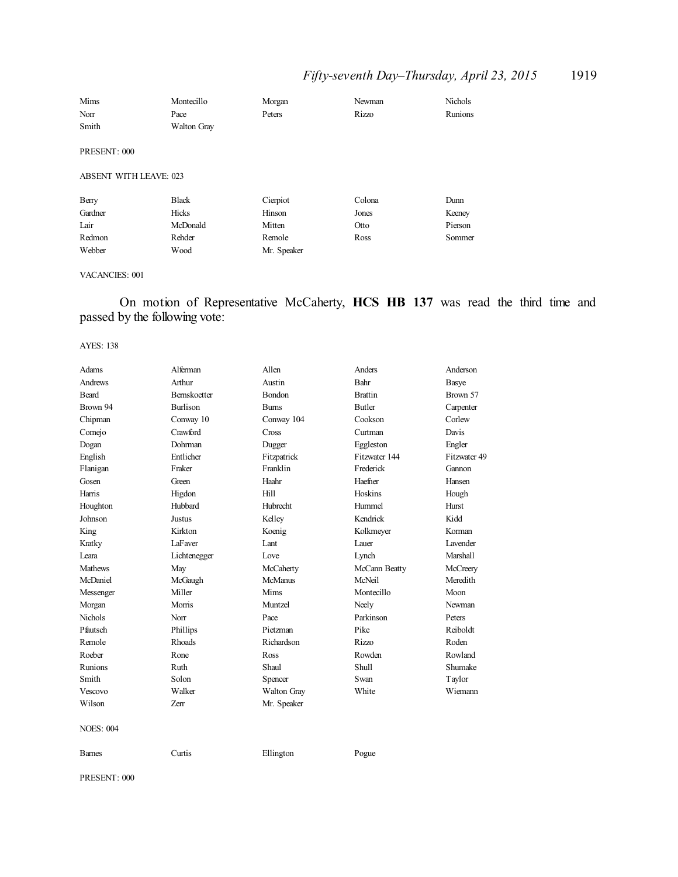## *Fifty-seventh Day–Thursday, April 23, 2015* 1919

| Mims                          | Montecillo         | Morgan      | Newman | <b>Nichols</b> |
|-------------------------------|--------------------|-------------|--------|----------------|
| Norr                          | Pace               | Peters      | Rizzo  | Runions        |
| Smith                         | <b>Walton Gray</b> |             |        |                |
| PRESENT: 000                  |                    |             |        |                |
| <b>ABSENT WITH LEAVE: 023</b> |                    |             |        |                |
| Berry                         | <b>Black</b>       | Cierpiot    | Colona | Dunn           |
| Gardner                       | Hicks              | Hinson      | Jones  | Keeney         |
| Lair                          | McDonald           | Mitten      | Otto   | Pierson        |
| Redmon                        | Rehder             | Remole      | Ross   | Sommer         |
| Webber                        | Wood               | Mr. Speaker |        |                |

#### VACANCIES: 001

## On motion of Representative McCaherty, **HCS HB 137** was read the third time and passed by the following vote:

#### AYES: 138

| <b>Adams</b>     | Alferman            | Allen          | Anders         | Anderson        |
|------------------|---------------------|----------------|----------------|-----------------|
| <b>Andrews</b>   | Arthur              | Austin         | Bahr           | Basye           |
| <b>Beard</b>     | <b>Bernskoetter</b> | <b>Bondon</b>  | <b>Brattin</b> | Brown 57        |
| Brown 94         | <b>Burlison</b>     | <b>Bums</b>    | Butler         | Carpenter       |
| Chipman          | Conway 10           | Conway 104     | Cookson        | Corlew          |
| Cornejo          | Crawford            | Cross          | Curtman        | Davis           |
| Dogan            | Dohrman             | Dugger         | Eggleston      | Engler          |
| English          | Entlicher           | Fitzpatrick    | Fitzwater 144  | Fitzwater 49    |
| Flanigan         | Fraker              | Franklin       | Frederick      | Gannon          |
| Gosen            | Green               | Haahr          | Haefner        | Hansen          |
| Harris           | Higdon              | Hill           | Hoskins        | Hough           |
| Houghton         | Hubbard             | Hubrecht       | Hummel         | Hurst           |
| Johnson          | Justus              | Kelley         | Kendrick       | Kidd            |
| King             | Kirkton             | Koenig         | Kolkmeyer      | Korman          |
| Kratky           | LaFaver             | Lant           | Lauer          | <b>Lavender</b> |
| I eara           | Lichtenegger        | Love           | Lynch          | Marshall        |
| <b>Mathews</b>   | May                 | McCaherty      | McCann Beatty  | McCreery        |
| McDaniel         | McGaugh             | <b>McManus</b> | McNeil         | Meredith        |
| Messenger        | Miller              | Mims           | Montecillo     | Moon            |
| Morgan           | Morris              | Muntzel        | Neely          | Newman          |
| Nichols          | Norr                | Pace           | Parkinson      | Peters          |
| Pfautsch         | Phillips            | Pietzman       | Pike           | Reiboldt        |
| Remole           | <b>Rhoads</b>       | Richardson     | Rizzo          | Roden           |
| Roeber           | Rone                | <b>Ross</b>    | Rowden         | Rowland         |
| Runions          | Ruth                | Shaul          | <b>Shull</b>   | Shumake         |
| Smith            | Solon               | Spencer        | Swan           | Taylor          |
| Vescovo          | Walker              | Walton Gray    | White          | Wiemann         |
| Wilson           | Zerr                | Mr. Speaker    |                |                 |
| <b>NOES: 004</b> |                     |                |                |                 |
| <b>Barnes</b>    | Curtis              | Ellington      | Pogue          |                 |

PRESENT: 000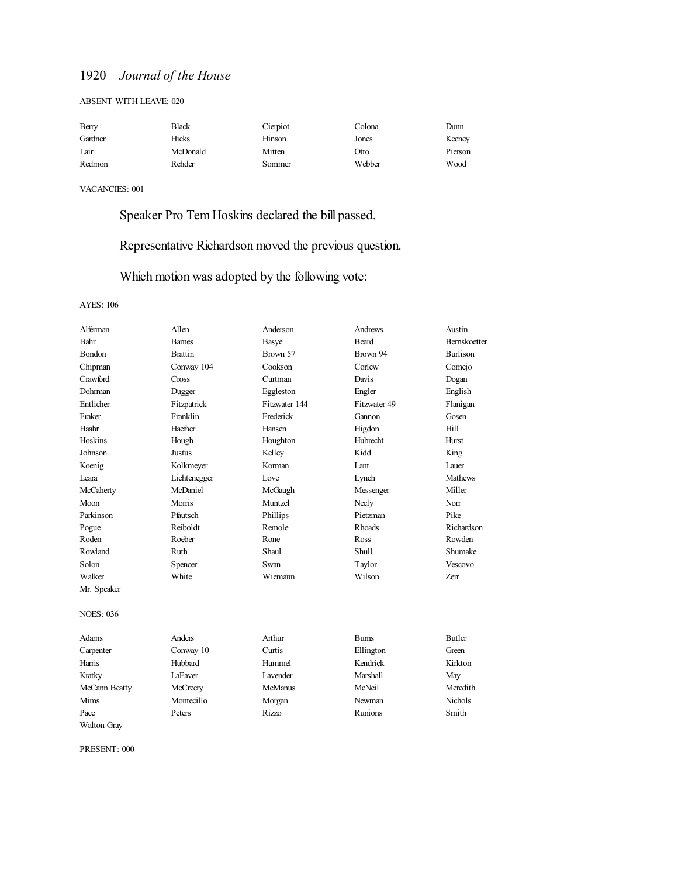#### ABSENT WITH LEAVE: 020

| Berry   | Black    | Cierpiot | Colona | Dunn    |
|---------|----------|----------|--------|---------|
| Gardner | Hicks    | Hinson   | Jones  | Keeney  |
| Lair    | McDonald | Mitten   | Otto   | Pierson |
| Redmon  | Rehder   | Sommer   | Webber | Wood    |

VACANCIES: 001

Speaker Pro Tem Hoskins declared the bill passed.

## Representative Richardson moved the previous question.

Which motion was adopted by the following vote:

#### AYES: 106

| Alferman           | Allen          | Anderson        | Andrews      | Austin          |
|--------------------|----------------|-----------------|--------------|-----------------|
| Bahr               | <b>Barnes</b>  | <b>Basye</b>    | Beard        | Bernskoetter    |
| Bondon             | <b>Brattin</b> | Brown 57        | Brown 94     | <b>Burlison</b> |
| Chipman            | Conway 104     | Cookson         | Corlew       | Comejo          |
| Crawford           | Cross          | Curtman         | Davis        | Dogan           |
| Dohrman            | Dugger         | Eggleston       | Engler       | English         |
| Entlicher          | Fitzpatrick    | Fitzwater 144   | Fitzwater 49 | Flanigan        |
| Fraker             | Franklin       | Frederick       | Gannon       | Gosen           |
| Haahr              | Haefner        | Hansen          | Higdon       | Hill            |
| Hoskins            | Hough          | Houghton        | Hubrecht     | Hurst           |
| Johnson            | Justus         | Kelley          | Kidd         | King            |
| Koenig             | Kolkmeyer      | Korman          | Lant         | Lauer           |
| I eara             | Lichtenegger   | Love            | Lynch        | <b>Mathews</b>  |
| McCaherty          | McDaniel       | McGaugh         | Messenger    | Miller          |
| Moon               | Morris         | Muntzel         | Neely        | Norr            |
| Parkinson          | Pfautsch       | Phillips        | Pietzman     | Pike            |
| Pogue              | Reiboldt       | Remole          | Rhoads       | Richardson      |
| Roden              | Roeber         | Rone            | Ross         | Rowden          |
| Rowland            | Ruth           | Shaul           | Shull        | Shumake         |
| Solon              | Spencer        | Swan            | Taylor       | Vescovo         |
| Walker             | White          | Wiemann         | Wilson       | <b>Zerr</b>     |
| Mr. Speaker        |                |                 |              |                 |
| <b>NOES: 036</b>   |                |                 |              |                 |
| <b>Adams</b>       | <b>Anders</b>  | Arthur          | <b>Burns</b> | <b>Butler</b>   |
| Carpenter          | Conway 10      | Curtis          | Ellington    | Green           |
| Harris             | Hubbard        | Hummel          | Kendrick     | Kirkton         |
| Kratky             | LaFaver        | <b>Lavender</b> | Marshall     | May             |
| McCann Beatty      | McCreery       | <b>McManus</b>  | McNeil       | Meredith        |
| Mims               | Montecillo     | Morgan          | Newman       | Nichols         |
| Pace               | Peters         | <b>Rizzo</b>    | Runions      | Smith           |
| <b>Walton Grav</b> |                |                 |              |                 |

PRESENT: 000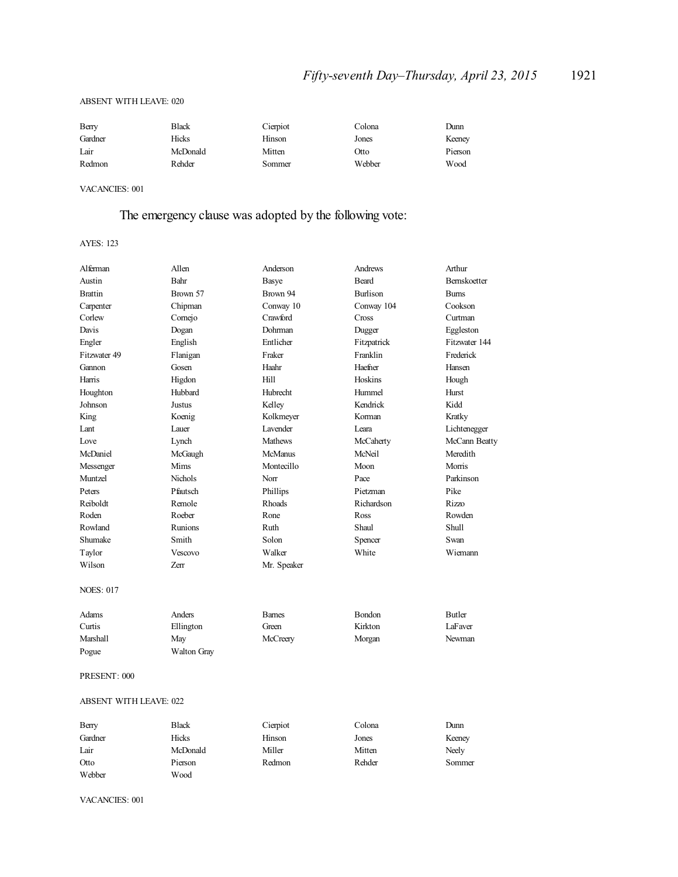#### ABSENT WITH LEAVE: 020

| Berry   | Black    | Cierpiot | Colona | Dunn    |
|---------|----------|----------|--------|---------|
| Gardner | Hicks    | Hinson   | Jones  | Keeney  |
| Lair    | McDonald | Mitten   | Otto   | Pierson |
| Redmon  | Rehder   | Sommer   | Webber | Wood    |

#### VACANCIES: 001

## The emergency clause was adopted by the following vote:

AYES: 123

| Alferman         | Allen              | Anderson       | Andrews         | Arthur              |
|------------------|--------------------|----------------|-----------------|---------------------|
| Austin           | Bahr               | Basye          | <b>Beard</b>    | <b>Bernskoetter</b> |
| <b>Brattin</b>   | Brown 57           | Brown 94       | <b>Burlison</b> | <b>Burns</b>        |
| Carpenter        | Chipman            | Conway 10      | Conway 104      | Cookson             |
| Corlew           | Comejo             | Crawford       | Cross           | Curtman             |
| Davis            | Dogan              | Dohrman        | Dugger          | Eggleston           |
| Engler           | English            | Entlicher      | Fitzpatrick     | Fitzwater 144       |
| Fitzwater 49     | Flanigan           | Fraker         | Franklin        | Frederick           |
| Gannon           | Gosen              | Haahr          | Haefner         | Hansen              |
| Harris           | Higdon             | Hill           | Hoskins         | Hough               |
| Houghton         | Hubbard            | Hubrecht       | Hummel          | Hurst               |
| Johnson          | <b>Justus</b>      | Kelley         | Kendrick        | Kidd                |
| King             | Koenig             | Kolkmeyer      | Korman          | Kratky              |
| Lant             | Lauer              | I avender      | Leara           | Lichtenegger        |
| Love             | Lynch              | <b>Mathews</b> | McCaherty       | McCann Beatty       |
| McDaniel         | McGaugh            | <b>McManus</b> | McNeil          | Meredith            |
| Messenger        | Mims               | Montecillo     | Moon            | Morris              |
| Muntzel          | <b>Nichols</b>     | Norr           | Pace            | Parkinson           |
| Peters           | Pfautsch           | Phillips       | Pietzman        | Pike                |
| Reiboldt         | Remole             | <b>Rhoads</b>  | Richardson      | Rizzo               |
| Roden            | Roeber             | Rone           | Ross            | Rowden              |
| Rowland          | Runions            | Ruth           | Shaul           | <b>Shull</b>        |
| Shumake          | Smith              | Solon          | Spencer         | Swan                |
| Taylor           | <b>Vescovo</b>     | Walker         | White           | Wiemann             |
| Wilson           | Zerr               | Mr. Speaker    |                 |                     |
| <b>NOES: 017</b> |                    |                |                 |                     |
| Adams            | Anders             | <b>Barnes</b>  | <b>Bondon</b>   | Butler              |
| Curtis           | Ellington          | Green          | Kirkton         | LaFaver             |
| Marshall         | May                | McCreery       | Morgan          | Newman              |
| Pogue            | <b>Walton Gray</b> |                |                 |                     |

#### PRESENT: 000

#### ABSENT WITH LEAVE: 022

| Berry   | Black    | Cierpiot | Colona | Dunn   |
|---------|----------|----------|--------|--------|
| Gardner | Hicks    | Hinson   | Jones  | Keeney |
| Lair    | McDonald | Miller   | Mitten | Neely  |
| Otto    | Pierson  | Redmon   | Rehder | Sommer |
| Webber  | Wood     |          |        |        |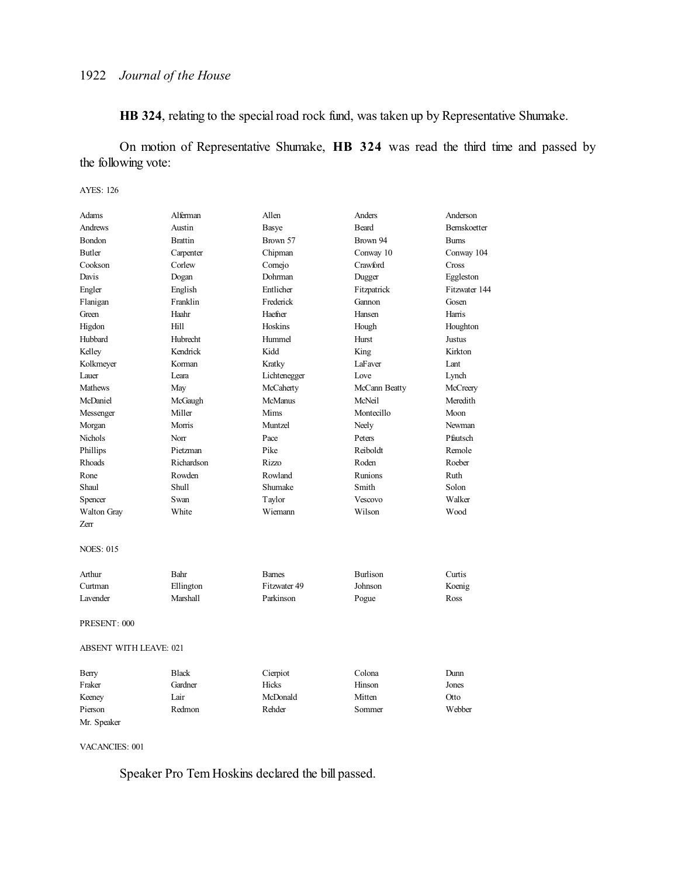**HB 324**, relating to the special road rock fund, was taken up by Representative Shumake.

On motion of Representative Shumake, **HB 324** was read the third time and passed by the following vote:

#### AYES: 126

| Adams                         | Alferman        | Allen          | Anders          | Anderson            |
|-------------------------------|-----------------|----------------|-----------------|---------------------|
| <b>Andrews</b>                | Austin          |                | <b>Beard</b>    | <b>Bernskoetter</b> |
| Bondon                        | <b>Brattin</b>  | Basye          | Brown 94        |                     |
|                               |                 | Brown 57       |                 | <b>Burns</b>        |
| Butler                        | Carpenter       | Chipman        | Conway 10       | Conway 104          |
| Cookson                       | Corlew          | Comejo         | Crawford        | Cross               |
| Davis                         | Dogan           | Dohrman        | Dugger          | Eggleston           |
| Engler                        | English         | Entlicher      | Fitzpatrick     | Fitzwater 144       |
| Flanigan                      | Franklin        | Frederick      | Gannon          | Gosen               |
| Green                         | Haahr           | Haefner        | Hansen          | Harris              |
| Higdon                        | Hill            | Hoskins        | Hough           | Houghton            |
| Hubbard                       | <b>Hubrecht</b> | Hummel         | Hurst           | Justus              |
| Kelley                        | Kendrick        | Kidd           | King            | Kirkton             |
| Kolkmeyer                     | Korman          | Kratky         | LaFaver         | Lant                |
| Lauer                         | Leara           | Lichtenegger   | Love            | Lynch               |
| <b>Mathews</b>                | May             | McCaherty      | McCann Beatty   | McCreery            |
| McDaniel                      | McGaugh         | <b>McManus</b> | McNeil          | Meredith            |
| Messenger                     | Miller          | Mims           | Montecillo      | Moon                |
| Morgan                        | Morris          | Muntzel        | Neely           | Newman              |
| Nichols                       | Norr            | Pace           | Peters          | Pfautsch            |
| Phillips                      | Pietzman        | Pike           | Reiboldt        | Remole              |
| Rhoads                        | Richardson      | Rizzo          | Roden           | Roeber              |
| Rone                          | Rowden          | Rowland        | <b>Runions</b>  | Ruth                |
| Shaul                         | Shull           | Shumake        | Smith           | Solon               |
| Spencer                       | Swan            | Taylor         | Vescovo         | Walker              |
| Walton Gray                   | White           | Wiemann        | Wilson          | Wood                |
| Zerr                          |                 |                |                 |                     |
|                               |                 |                |                 |                     |
| <b>NOES: 015</b>              |                 |                |                 |                     |
|                               |                 |                |                 |                     |
| Arthur                        | Bahr            | <b>Barnes</b>  | <b>Burlison</b> | Curtis              |
| Curtman                       | Ellington       | Fitzwater 49   | Johnson         | Koenig              |
| Lavender                      | Marshall        | Parkinson      | Pogue           | Ross                |
| PRESENT: 000                  |                 |                |                 |                     |
|                               |                 |                |                 |                     |
| <b>ABSENT WITH LEAVE: 021</b> |                 |                |                 |                     |
| Berry                         | <b>Black</b>    | Cierpiot       | Colona          | Dunn                |
| Fraker                        | Gardner         | Hicks          | Hinson          | Jones               |
| Keeney                        | Lair            | McDonald       | Mitten          | Otto                |
| Pierson                       | Redmon          | Rehder         | Sommer          | Webber              |
| Mr. Speaker                   |                 |                |                 |                     |

VACANCIES: 001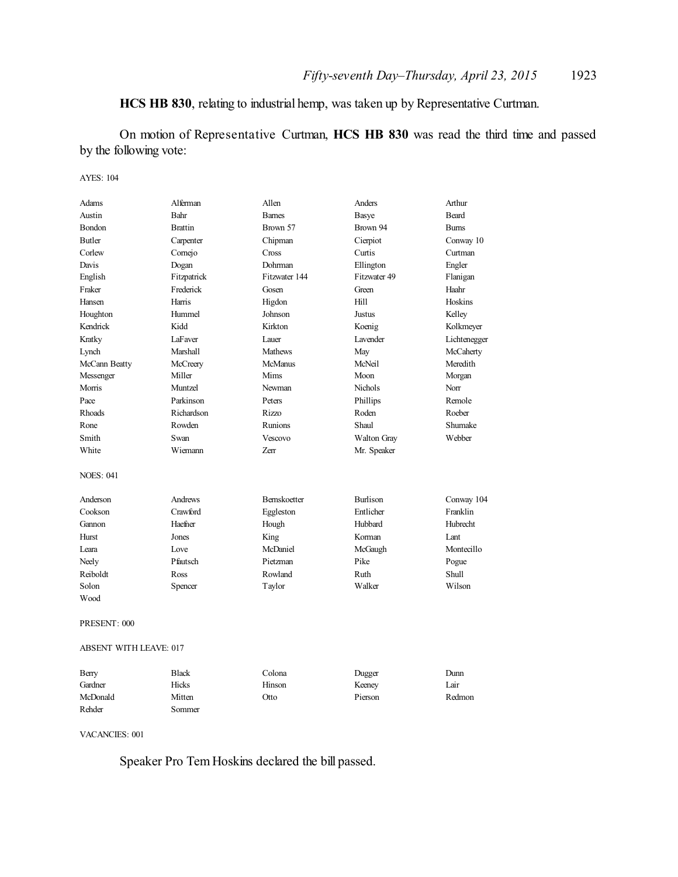## **HCS HB 830**, relating to industrial hemp, was taken up by Representative Curtman.

On motion of Representative Curtman, **HCS HB 830** was read the third time and passed by the following vote:

### AYES: 104

| Adams                         | Alferman       | Allen          | Anders             | Arthur            |
|-------------------------------|----------------|----------------|--------------------|-------------------|
| Austin                        | Bahr           | <b>Barnes</b>  | <b>Basye</b>       | <b>Beard</b>      |
| <b>Bondon</b>                 | <b>Brattin</b> | Brown 57       | Brown 94           | <b>Burns</b>      |
| <b>Butler</b>                 | Carpenter      | Chipman        | Cierpiot           | Conway 10         |
| Corlew                        | Cornejo        | Cross          | Curtis             | Curtman           |
| Davis                         | Dogan          | Dohrman        | Ellington          | Engler            |
| English                       | Fitzpatrick    | Fitzwater 144  | Fitzwater 49       | Flanigan          |
| Fraker                        | Frederick      | Gosen          | Green              | Haahr             |
| Hansen                        | Harris         | Higdon         | Hill               | Hoskins           |
| Houghton                      | Hummel         | Johnson        | <b>Justus</b>      | Kelley            |
| Kendrick                      | Kidd           | Kirkton        | Koenig             | Kolkmeyer         |
| Kratky                        | LaFaver        | Lauer          | Lavender           | Lichtenegger      |
| Lynch                         | Marshall       | Mathews        | May                | McCaherty         |
| McCann Beatty                 | McCreery       | <b>McManus</b> | McNeil             | Meredith          |
| Messenger                     | Miller         | Mims           | Moon               | Morgan            |
| Morris                        | Muntzel        | Newman         | <b>Nichols</b>     | Norr              |
| Pace                          | Parkinson      | Peters         | Phillips           | Remole            |
| Rhoads                        | Richardson     | Rizzo          | Roden              | Roeber            |
| Rone                          | Rowden         | Runions        | Shaul              | Shumake           |
| Smith                         | Swan           | Vescovo        | <b>Walton Gray</b> | Webber            |
| White                         | Wiemann        | Zerr           | Mr. Speaker        |                   |
| <b>NOES: 041</b>              |                |                |                    |                   |
| Anderson                      | Andrews        | Bernskoetter   | <b>Burlison</b>    | Conway 104        |
| Cookson                       | Crawford       | Eggleston      | Entlicher          | Franklin          |
| Gannon                        | Haefner        | Hough          | Hubbard            | Hubrecht          |
| Hurst                         | Jones          | King           | Korman             | Lant              |
| Leara                         | Love           | McDaniel       | McGaugh            | Montecillo        |
| Neely                         | Pfautsch       | Pietzman       | Pike               | Pogue             |
| Reiboldt                      | Ross           | Rowland        | Ruth               | Shull             |
| Solon                         | Spencer        | Taylor         | Walker             | Wilson            |
| Wood                          |                |                |                    |                   |
| PRESENT: 000                  |                |                |                    |                   |
| <b>ABSENT WITH LEAVE: 017</b> |                |                |                    |                   |
| <b>Berry</b>                  | <b>Black</b>   | Colona         | Dugger             | D <sub>limn</sub> |

| Berry    | Black  | Colona | Dugger  | Dunn   |
|----------|--------|--------|---------|--------|
| Gardner  | Hicks  | Hinson | Keeney  | Lair   |
| McDonald | Mitten | Otto   | Pierson | Redmon |
| Rehder   | Sommer |        |         |        |

VACANCIES: 001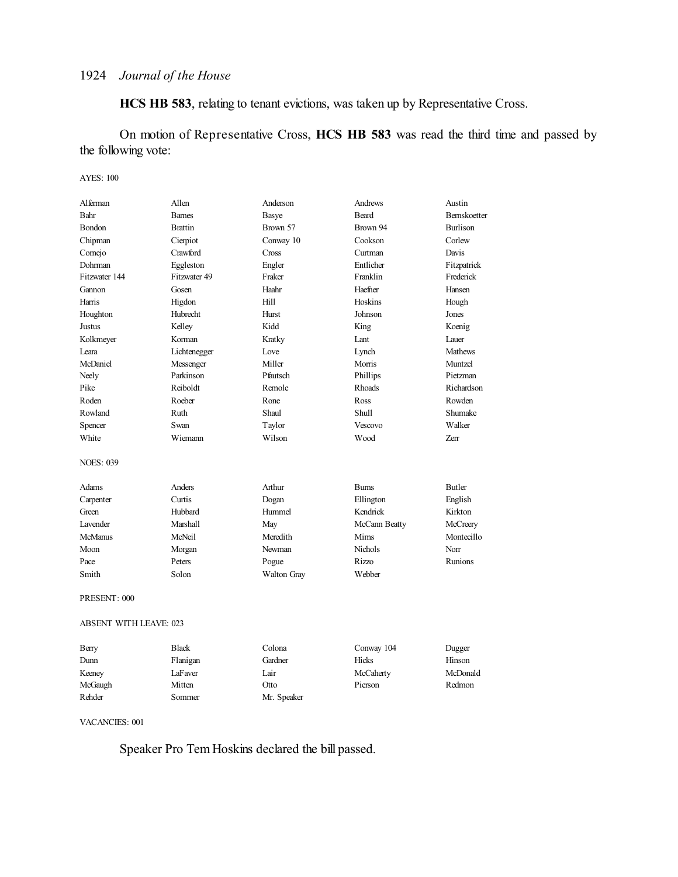**HCS HB 583**, relating to tenant evictions, was taken up by Representative Cross.

On motion of Representative Cross, **HCS HB 583** was read the third time and passed by the following vote:

#### AYES: 100

| Alferman         | Allen                         | Anderson    | Andrews        | Austin          |  |
|------------------|-------------------------------|-------------|----------------|-----------------|--|
| Bahr             | <b>Barnes</b>                 | Basye       | <b>Beard</b>   | Bernskoetter    |  |
| Bondon           | <b>Brattin</b>                | Brown 57    | Brown 94       | <b>Burlison</b> |  |
| Chipman          | Cierpiot                      | Conway 10   | Cookson        | Corlew          |  |
| Cornejo          | Crawford                      | Cross       | Curtman        | Davis           |  |
| Dohrman          | Eggleston                     | Engler      | Entlicher      | Fitzpatrick     |  |
| Fitzwater 144    | Fitzwater 49                  | Fraker      | Franklin       | Frederick       |  |
| Gannon           | Gosen                         | Haahr       | Haefner        | Hansen          |  |
| Harris           | Higdon                        | Hill        | Hoskins        | Hough           |  |
| Houghton         | Hubrecht                      | Hurst       | Johnson        | Jones           |  |
| Justus           | Kelley                        | Kidd        | King           | Koenig          |  |
| Kolkmeyer        | Korman                        | Kratky      | Lant           | Lauer           |  |
| Leara            | Lichtenegger                  | Love        | Lynch          | Mathews         |  |
| McDaniel         | Messenger                     | Miller      | Morris         | Muntzel         |  |
| Neely            | Parkinson                     | Pfautsch    | Phillips       | Pietzman        |  |
| Pike             | Reiboldt                      | Remole      | Rhoads         | Richardson      |  |
| Roden            | Roeber                        | Rone        | Ross           | Rowden          |  |
| Rowland          | Ruth                          | Shaul       | Shull          | Shumake         |  |
| Spencer          | Swan                          | Taylor      | Vescovo        | Walker          |  |
| White            | Wiemann                       | Wilson      | Wood           | Zerr            |  |
| <b>NOES: 039</b> |                               |             |                |                 |  |
| Adams            | Anders                        | Arthur      | <b>Burns</b>   | <b>Butler</b>   |  |
| Carpenter        | Curtis                        | Dogan       | Ellington      | English         |  |
| Green            | Hubbard                       | Hummel      | Kendrick       | Kirkton         |  |
| <b>Lavender</b>  | Marshall                      | May         | McCann Beatty  | McCreery        |  |
| <b>McManus</b>   | McNeil                        | Meredith    | Mims           | Montecillo      |  |
| Moon             | Morgan                        | Newman      | <b>Nichols</b> | Norr            |  |
| Pace             | Peters                        | Pogue       | Rizzo          | Runions         |  |
| Smith            | Solon                         | Walton Gray | Webber         |                 |  |
| PRESENT: 000     |                               |             |                |                 |  |
|                  | <b>ABSENT WITH LEAVE: 023</b> |             |                |                 |  |

| Berry   | <b>Black</b> | Colona      | Conway 104 | Dugger   |
|---------|--------------|-------------|------------|----------|
| Dunn    | Flanigan     | Gardner     | Hicks      | Hinson   |
| Keeney  | LaFaver      | Lair        | McCaherty  | McDonald |
| McGaugh | Mitten       | Otto        | Pierson    | Redmon   |
| Rehder  | Sommer       | Mr. Speaker |            |          |

VACANCIES: 001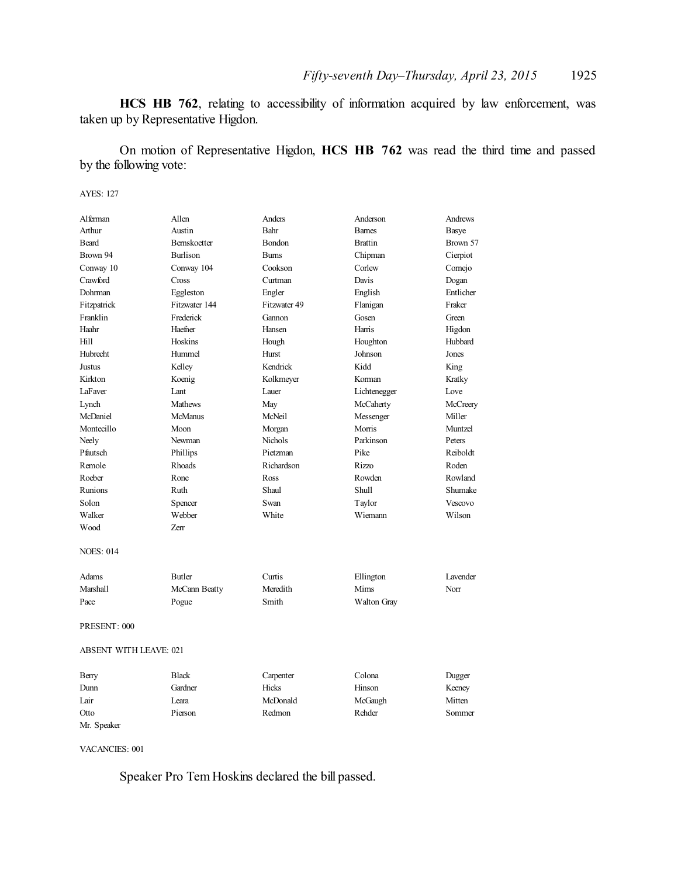**HCS HB 762**, relating to accessibility of information acquired by law enforcement, was taken up by Representative Higdon.

On motion of Representative Higdon, **HCS HB 762** was read the third time and passed by the following vote:

AYES: 127

| Alferman                      | Allen               | Anders        | Anderson       | Andrews         |
|-------------------------------|---------------------|---------------|----------------|-----------------|
| Arthur                        | Austin              | Bahr          | <b>Barnes</b>  | Basye           |
| <b>Beard</b>                  | <b>Bernskoetter</b> | <b>Bondon</b> | <b>Brattin</b> | Brown 57        |
| Brown 94                      | Burlison            | <b>Bums</b>   | Chipman        | Cierpiot        |
| Conway 10                     | Conway 104          | Cookson       | Corlew         | Cornejo         |
| Crawford                      | Cross               | Curtman       | Davis          | Dogan           |
| Dohrman                       | Eggleston           | Engler        | English        | Entlicher       |
| Fitzpatrick                   | Fitzwater 144       | Fitzwater 49  | Flanigan       | Fraker          |
| Franklin                      | Frederick           | Gannon        | Gosen          | Green           |
| Haahr                         | Haefner             | Hansen        | Harris         | Higdon          |
| Hill                          | Hoskins             | Hough         | Houghton       | Hubbard         |
| Hubrecht                      | Hummel              | Hurst         | Johnson        | Jones           |
| Justus                        | Kelley              | Kendrick      | Kidd           | King            |
| Kirkton                       | Koenig              | Kolkmeyer     | Korman         | Kratky          |
| LaFaver                       | Lant                | Lauer         | Lichtenegger   | Love            |
| Lynch                         | <b>Mathews</b>      | May           | McCaherty      | McCreery        |
| McDaniel                      | <b>McManus</b>      | McNeil        | Messenger      | Miller          |
| Montecillo                    | Moon                | Morgan        | Morris         | Muntzel         |
| Neely                         | Newman              | Nichols       | Parkinson      | Peters          |
| Pfautsch                      | Phillips            | Pietzman      | Pike           | Reiboldt        |
| Remole                        | Rhoads              | Richardson    | Rizzo          | Roden           |
| Roeber                        | Rone                | Ross          | Rowden         | Rowland         |
| Runions                       | Ruth                | Shaul         | <b>Shull</b>   | Shumake         |
| Solon                         | Spencer             | Swan          | Taylor         | Vescovo         |
| Walker                        | Webber              | White         | Wiemann        | Wilson          |
| Wood                          | 7err                |               |                |                 |
|                               |                     |               |                |                 |
| <b>NOES: 014</b>              |                     |               |                |                 |
|                               |                     |               |                |                 |
| Adams                         | <b>Butler</b>       | Curtis        | Ellington      | <b>Lavender</b> |
| Marshall                      | McCann Beatty       | Meredith      | Mims           | Norr            |
| Pace                          | Pogue               | Smith         | Walton Gray    |                 |
|                               |                     |               |                |                 |
| PRESENT: 000                  |                     |               |                |                 |
|                               |                     |               |                |                 |
| <b>ABSENT WITH LEAVE: 021</b> |                     |               |                |                 |
|                               |                     |               |                |                 |
| Berry                         | <b>Black</b>        | Carpenter     | Colona         | Dugger          |
| Dunn                          | Gardner             | Hicks         | Hinson         | Keeney          |
| Lair                          | Leara               | McDonald      | McGaugh        | Mitten          |
| Otto                          | Pierson             | Redmon        | Rehder         | Sommer          |

VACANCIES: 001

Mr. Speaker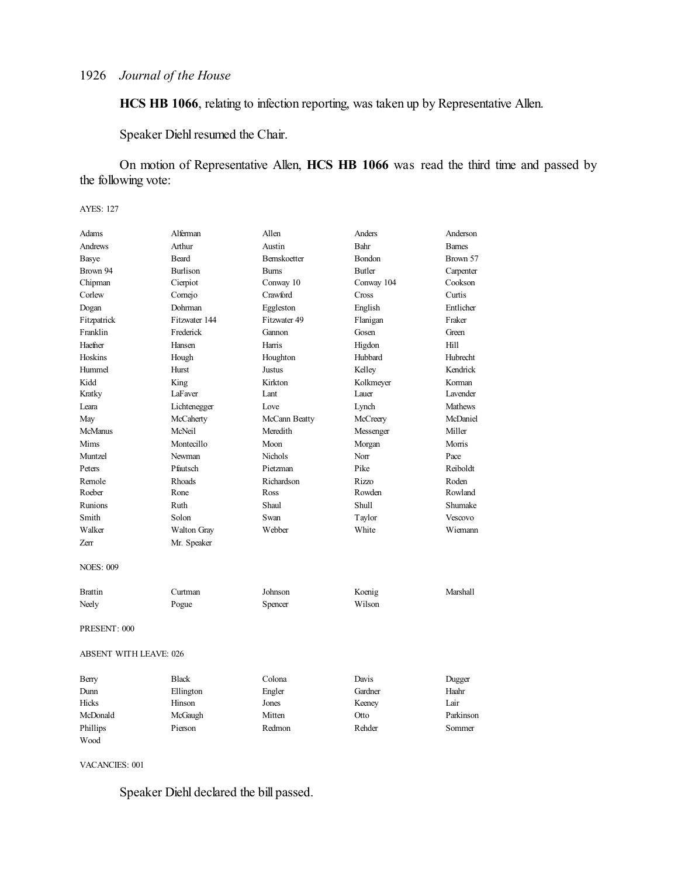**HCS HB 1066**, relating to infection reporting, was taken up by Representative Allen.

Speaker Diehl resumed the Chair.

On motion of Representative Allen, **HCS HB 1066** was read the third time and passed by the following vote:

#### AYES: 127

| Adams                         | Alferman      | Allen               | Anders        | Anderson      |
|-------------------------------|---------------|---------------------|---------------|---------------|
| <b>Andrews</b>                | Arthur        | Austin              | Bahr          | <b>Barnes</b> |
| Basye                         | Beard         | <b>Bernskoetter</b> | <b>Bondon</b> | Brown 57      |
| Brown 94                      | Burlison      | <b>Bums</b>         | Butler        | Carpenter     |
| Chipman                       | Cierpiot      | Conway 10           | Conway 104    | Cookson       |
| Corlew                        | Cornejo       | Crawford            | Cross         | Curtis        |
| Dogan                         | Dohrman       | Eggleston           | English       | Entlicher     |
| Fitzpatrick                   | Fitzwater 144 | Fitzwater 49        | Flanigan      | Fraker        |
| Franklin                      | Frederick     | Gannon              | Gosen         | Green         |
| Haefner                       | Hansen        | Harris              | Higdon        | Hill          |
| Hoskins                       | Hough         | Houghton            | Hubbard       | Hubrecht      |
| Hummel                        | Hurst         | Justus              | Kelley        | Kendrick      |
| Kidd                          | King          | Kirkton             | Kolkmeyer     | Korman        |
| Kratky                        | LaFaver       | Lant                | Lauer         | Lavender      |
| Leara                         | Lichtenegger  | Love                | Lynch         | Mathews       |
| May                           | McCaherty     | McCann Beatty       | McCreery      | McDaniel      |
| <b>McManus</b>                | McNeil        | Meredith            | Messenger     | Miller        |
| Mims                          | Montecillo    | Moon                | Morgan        | Morris        |
| Muntzel                       | Newman        | <b>Nichols</b>      | Norr          | Pace          |
| Peters                        | Pfautsch      | Pietzman            | Pike          | Reiboldt      |
| Remole                        | Rhoads        | Richardson          | Rizzo         | Roden         |
| Roeber                        | Rone          | Ross                | Rowden        | Rowland       |
| Runions                       | Ruth          | Shaul               | <b>Shull</b>  | Shumake       |
| Smith                         | Solon         | Swan                | Taylor        | Vescovo       |
| Walker                        | Walton Gray   | Webber              | White         | Wiemann       |
| Zerr                          | Mr. Speaker   |                     |               |               |
| <b>NOES: 009</b>              |               |                     |               |               |
| <b>Brattin</b>                | Curtman       | Johnson             | Koenig        | Marshall      |
| Neely                         | Pogue         | Spencer             | Wilson        |               |
| PRESENT: 000                  |               |                     |               |               |
| <b>ABSENT WITH LEAVE: 026</b> |               |                     |               |               |
| Berry                         | <b>Black</b>  | Colona              | Davis         | Dugger        |
| Dunn                          | Ellington     | Engler              | Gardner       | Haahr         |
| <b>Hicks</b>                  | Hinson        | Jones               | Keeney        | Lair          |
| McDonald                      | McGaugh       | Mitten              | Otto          | Parkinson     |
| Phillips                      | Pierson       | Redmon              | Rehder        | Sommer        |

VACANCIES: 001

Wood

Speaker Diehl declared the bill passed.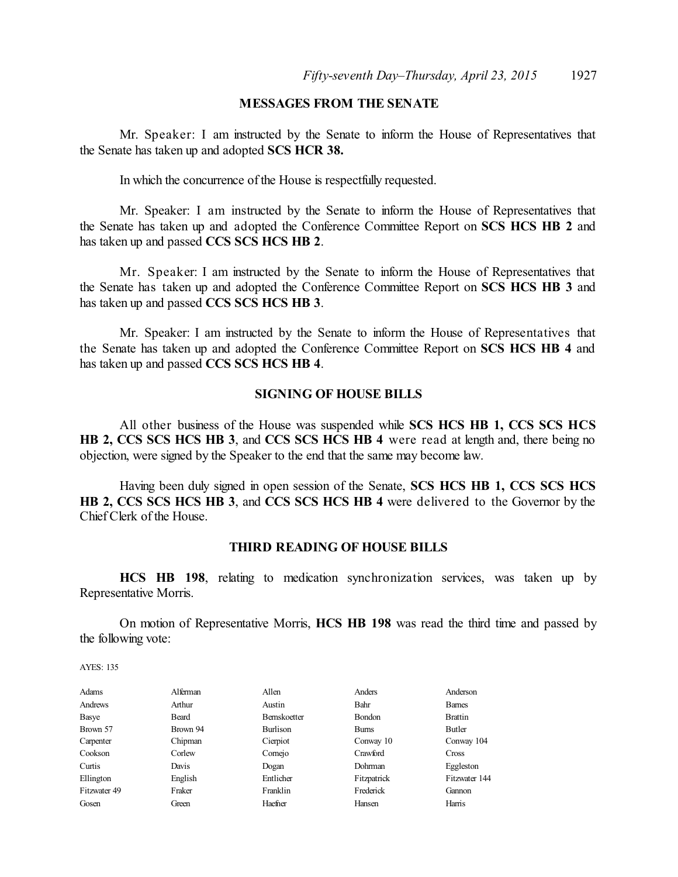### **MESSAGES FROM THE SENATE**

Mr. Speaker: I am instructed by the Senate to inform the House of Representatives that the Senate has taken up and adopted **SCS HCR 38.**

In which the concurrence of the House is respectfully requested.

Mr. Speaker: I am instructed by the Senate to inform the House of Representatives that the Senate has taken up and adopted the Conference Committee Report on **SCS HCS HB 2** and has taken up and passed **CCS SCS HCS HB 2**.

Mr. Speaker: I am instructed by the Senate to inform the House of Representatives that the Senate has taken up and adopted the Conference Committee Report on **SCS HCS HB 3** and has taken up and passed **CCS SCS HCS HB 3**.

Mr. Speaker: I am instructed by the Senate to inform the House of Representatives that the Senate has taken up and adopted the Conference Committee Report on **SCS HCS HB 4** and has taken up and passed **CCS SCS HCS HB 4**.

### **SIGNING OF HOUSE BILLS**

All other business of the House was suspended while **SCS HCS HB 1, CCS SCS HCS HB 2, CCS SCS HCS HB 3**, and **CCS SCS HCS HB 4** were read at length and, there being no objection, were signed by the Speaker to the end that the same may become law.

Having been duly signed in open session of the Senate, **SCS HCS HB 1, CCS SCS HCS HB 2, CCS SCS HCS HB 3**, and **CCS SCS HCS HB 4** were delivered to the Governor by the Chief Clerk of the House.

### **THIRD READING OF HOUSE BILLS**

**HCS HB 198**, relating to medication synchronization services, was taken up by Representative Morris.

On motion of Representative Morris, **HCS HB 198** was read the third time and passed by the following vote:

| Adams        | Alferman | Allen        | Anders        | Anderson       |
|--------------|----------|--------------|---------------|----------------|
| Andrews      | Arthur   | Austin       | Bahr          | <b>Barnes</b>  |
| Basye        | Beard    | Bernskoetter | <b>Bondon</b> | <b>Brattin</b> |
| Brown 57     | Brown 94 | Burlison     | <b>Bums</b>   | Butler         |
| Carpenter    | Chipman  | Cierpiot     | Conway 10     | Conway 104     |
| Cookson      | Corlew   | Comejo       | Crawford      | <b>Cross</b>   |
| Curtis       | Davis    | Dogan        | Dohrman       | Eggleston      |
| Ellington    | English  | Entlicher    | Fitzpatrick   | Fitzwater 144  |
| Fitzwater 49 | Fraker   | Franklin     | Frederick     | Gannon         |
| Gosen        | Green    | Haefner      | Hansen        | Harris         |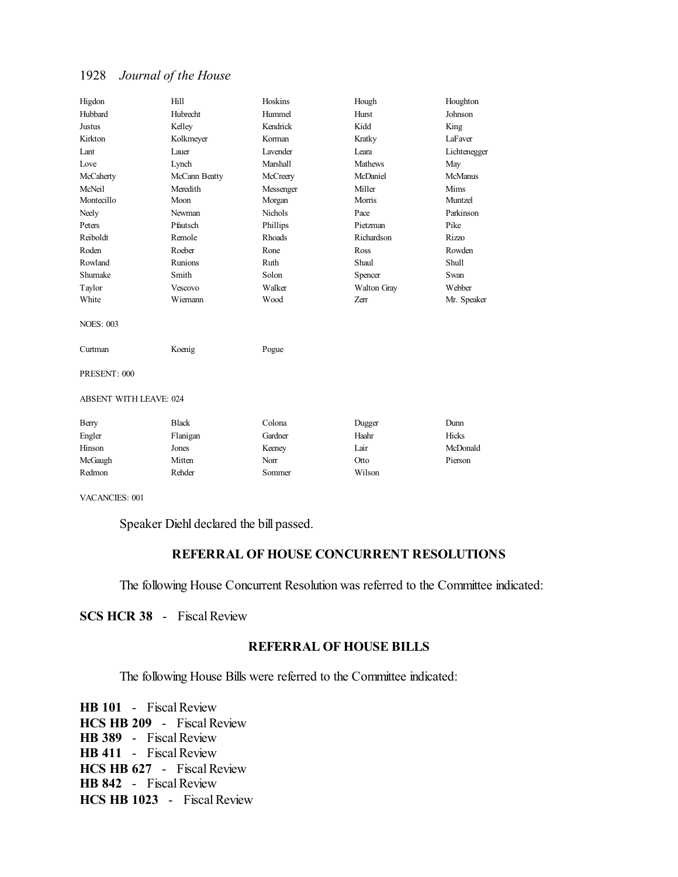| Higdon                        | Hill           | Hoskins         | Hough          | Houghton     |
|-------------------------------|----------------|-----------------|----------------|--------------|
| Hubbard                       | Hubrecht       | Hummel          | Hurst          | Johnson      |
| Justus                        | Kelley         | Kendrick        | Kidd           | King         |
| Kirkton                       | Kolkmeyer      | Korman          | Kratky         | LaFaver      |
| Lant                          | Lauer          | <b>Lavender</b> | I eara         | Lichtenegger |
| Love                          | Lynch          | Marshall        | <b>Mathews</b> | May          |
| McCaherty                     | McCann Beatty  | McCreery        | McDaniel       | McManus      |
| McNeil                        | Meredith       | Messenger       | Miller         | Mims         |
| Montecillo                    | Moon           | Morgan          | Morris         | Muntzel      |
| Neely                         | Newman         | <b>Nichols</b>  | Pace           | Parkinson    |
| Peters                        | Pfautsch       | Phillips        | Pietzman       | Pike         |
| Reiboldt                      | Remole         | Rhoads          | Richardson     | <b>Rizzo</b> |
| Roden                         | Roeber         | Rone            | Ross           | Rowden       |
| Rowland                       | <b>Runions</b> | Ruth            | Shaul          | Shull        |
| Shumake                       | Smith          | Solon           | Spencer        | Swan         |
| Taylor                        | Vescovo        | Walker          | Walton Gray    | Webber       |
| White                         | Wiemann        | Wood            | Zerr           | Mr. Speaker  |
| <b>NOES: 003</b>              |                |                 |                |              |
| Curtman                       | Koenig         | Pogue           |                |              |
| PRESENT: 000                  |                |                 |                |              |
| <b>ABSENT WITH LEAVE: 024</b> |                |                 |                |              |
| Berry                         | <b>Black</b>   | Colona          | Dugger         | Dunn         |
| Engler                        | Flanigan       | Gardner         | Haahr          | <b>Hicks</b> |
| Hinson                        | Jones          | Keeney          | Lair           | McDonald     |
| McGaugh                       | Mitten         | Norr            | Otto           | Pierson      |
| Redmon                        | Rehder         | Sommer          | Wilson         |              |

VACANCIES: 001

Speaker Diehl declared the bill passed.

### **REFERRAL OF HOUSE CONCURRENT RESOLUTIONS**

The following House Concurrent Resolution was referred to the Committee indicated:

**SCS HCR 38** - Fiscal Review

## **REFERRAL OF HOUSE BILLS**

The following House Bills were referred to the Committee indicated:

**HB 101** - Fiscal Review **HCS HB 209** - Fiscal Review **HB 389** - Fiscal Review **HB 411** - Fiscal Review **HCS HB 627** - Fiscal Review **HB 842** - Fiscal Review **HCS HB 1023** - Fiscal Review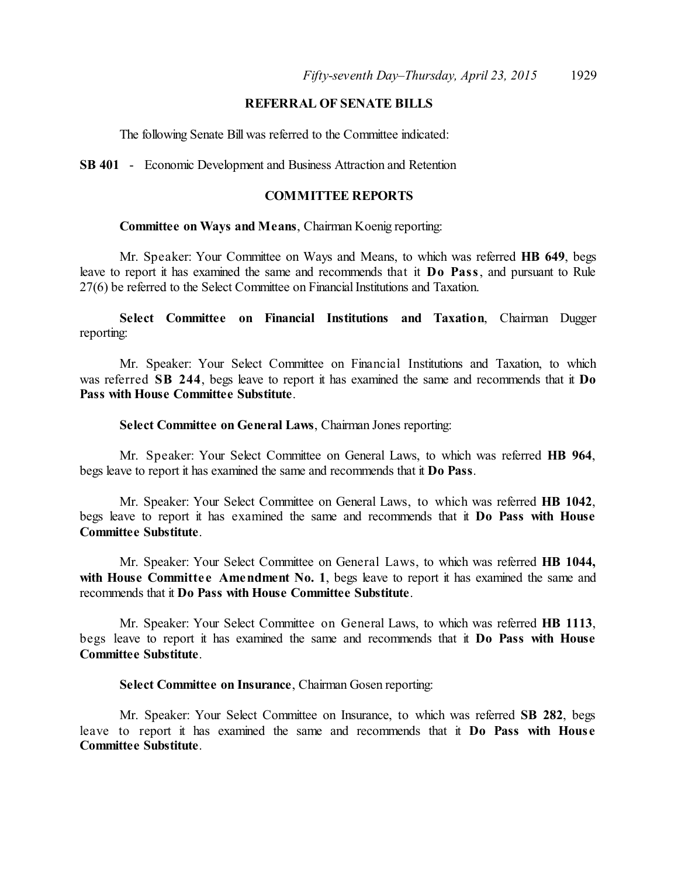## **REFERRAL OF SENATE BILLS**

The following Senate Bill was referred to the Committee indicated:

**SB 401** - Economic Development and Business Attraction and Retention

### **COMMITTEE REPORTS**

### **Committee on Ways and Means**, Chairman Koenig reporting:

Mr. Speaker: Your Committee on Ways and Means, to which was referred **HB 649**, begs leave to report it has examined the same and recommends that it **Do Pass**, and pursuant to Rule 27(6) be referred to the Select Committee on Financial Institutions and Taxation.

**Select Committee on Financial Institutions and Taxation**, Chairman Dugger reporting:

Mr. Speaker: Your Select Committee on Financial Institutions and Taxation, to which was referred **SB 244**, begs leave to report it has examined the same and recommends that it **Do Pass with House Committee Substitute**.

#### **Select Committee on General Laws**, Chairman Jones reporting:

Mr. Speaker: Your Select Committee on General Laws, to which was referred **HB 964**, begs leave to report it has examined the same and recommends that it **Do Pass**.

Mr. Speaker: Your Select Committee on General Laws, to which was referred **HB 1042**, begs leave to report it has examined the same and recommends that it **Do Pass with House Committee Substitute**.

Mr. Speaker: Your Select Committee on General Laws, to which was referred **HB 1044, with House** Committee Amendment No. 1, begs leave to report it has examined the same and recommends that it **Do Pass with House Committee Substitute**.

Mr. Speaker: Your Select Committee on General Laws, to which was referred **HB 1113**, begs leave to report it has examined the same and recommends that it **Do Pass with House Committee Substitute**.

### **Select Committee on Insurance**, Chairman Gosen reporting:

Mr. Speaker: Your Select Committee on Insurance, to which was referred **SB 282**, begs leave to report it has examined the same and recommends that it **Do Pass with Hous e Committee Substitute**.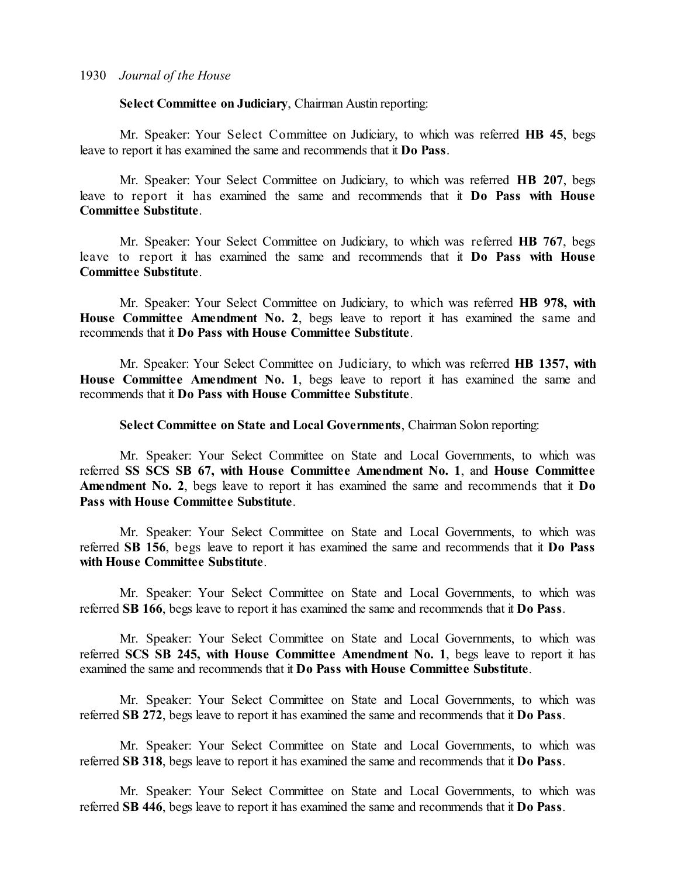### **Select Committee on Judiciary**, Chairman Austin reporting:

Mr. Speaker: Your Select Committee on Judiciary, to which was referred **HB 45**, begs leave to report it has examined the same and recommends that it **Do Pass**.

Mr. Speaker: Your Select Committee on Judiciary, to which was referred **HB 207**, begs leave to report it has examined the same and recommends that it **Do Pass with House Committee Substitute**.

Mr. Speaker: Your Select Committee on Judiciary, to which was referred **HB 767**, begs leave to report it has examined the same and recommends that it **Do Pass with House Committee Substitute**.

Mr. Speaker: Your Select Committee on Judiciary, to which was referred **HB 978, with House Committee Amendment No. 2**, begs leave to report it has examined the same and recommends that it **Do Pass with House Committee Substitute**.

Mr. Speaker: Your Select Committee on Judiciary, to which was referred **HB 1357, with House Committee Amendment No. 1**, begs leave to report it has examined the same and recommends that it **Do Pass with House Committee Substitute**.

**Select Committee on State and Local Governments**, Chairman Solon reporting:

Mr. Speaker: Your Select Committee on State and Local Governments, to which was referred **SS SCS SB 67, with House Committee Amendment No. 1**, and **House Committee Amendment No. 2**, begs leave to report it has examined the same and recommends that it **Do Pass with House Committee Substitute**.

Mr. Speaker: Your Select Committee on State and Local Governments, to which was referred **SB 156**, begs leave to report it has examined the same and recommends that it **Do Pass with House Committee Substitute**.

Mr. Speaker: Your Select Committee on State and Local Governments, to which was referred **SB 166**, begs leave to report it has examined the same and recommends that it **Do Pass**.

Mr. Speaker: Your Select Committee on State and Local Governments, to which was referred **SCS SB 245, with House Committee Amendment No. 1**, begs leave to report it has examined the same and recommends that it **Do Pass with House Committee Substitute**.

Mr. Speaker: Your Select Committee on State and Local Governments, to which was referred **SB 272**, begs leave to report it has examined the same and recommends that it **Do Pass**.

Mr. Speaker: Your Select Committee on State and Local Governments, to which was referred **SB 318**, begs leave to report it has examined the same and recommends that it **Do Pass**.

Mr. Speaker: Your Select Committee on State and Local Governments, to which was referred **SB 446**, begs leave to report it has examined the same and recommends that it **Do Pass**.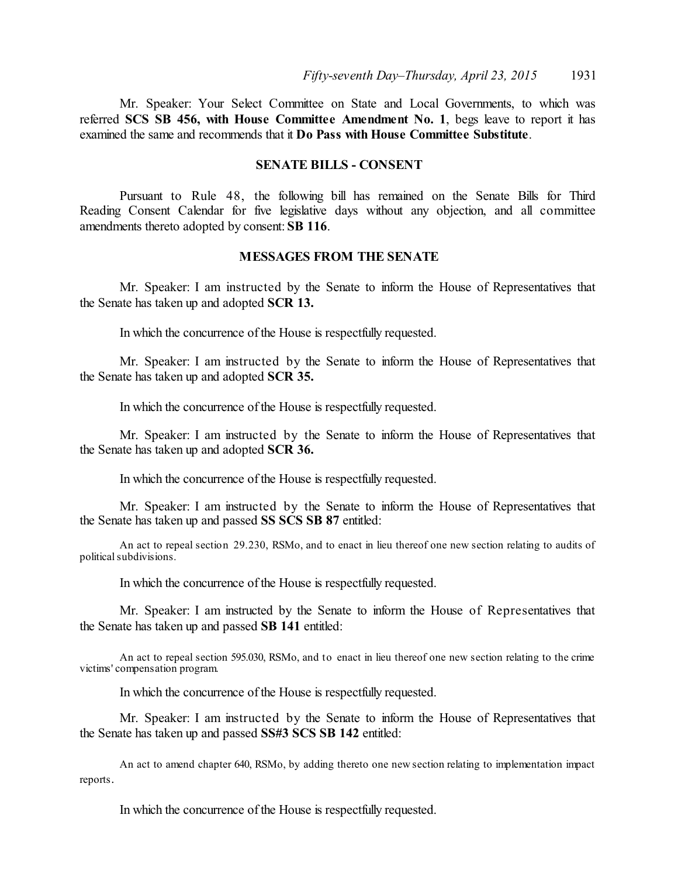Mr. Speaker: Your Select Committee on State and Local Governments, to which was referred **SCS SB 456, with House Committee Amendment No. 1**, begs leave to report it has examined the same and recommends that it **Do Pass with House Committee Substitute**.

### **SENATE BILLS - CONSENT**

Pursuant to Rule 48, the following bill has remained on the Senate Bills for Third Reading Consent Calendar for five legislative days without any objection, and all committee amendments thereto adopted by consent: **SB 116**.

### **MESSAGES FROM THE SENATE**

Mr. Speaker: I am instructed by the Senate to inform the House of Representatives that the Senate has taken up and adopted **SCR 13.**

In which the concurrence of the House is respectfully requested.

Mr. Speaker: I am instructed by the Senate to inform the House of Representatives that the Senate has taken up and adopted **SCR 35.**

In which the concurrence of the House is respectfully requested.

Mr. Speaker: I am instructed by the Senate to inform the House of Representatives that the Senate has taken up and adopted **SCR 36.**

In which the concurrence of the House is respectfully requested.

Mr. Speaker: I am instructed by the Senate to inform the House of Representatives that the Senate has taken up and passed **SS SCS SB 87** entitled:

An act to repeal section 29.230, RSMo, and to enact in lieu thereof one new section relating to audits of political subdivisions.

In which the concurrence of the House is respectfully requested.

Mr. Speaker: I am instructed by the Senate to inform the House of Representatives that the Senate has taken up and passed **SB 141** entitled:

An act to repeal section 595.030, RSMo, and to enact in lieu thereof one new section relating to the crime victims' compensation program.

In which the concurrence of the House is respectfully requested.

Mr. Speaker: I am instructed by the Senate to inform the House of Representatives that the Senate has taken up and passed **SS#3 SCS SB 142** entitled:

An act to amend chapter 640, RSMo, by adding thereto one new section relating to implementation impact reports.

In which the concurrence of the House is respectfully requested.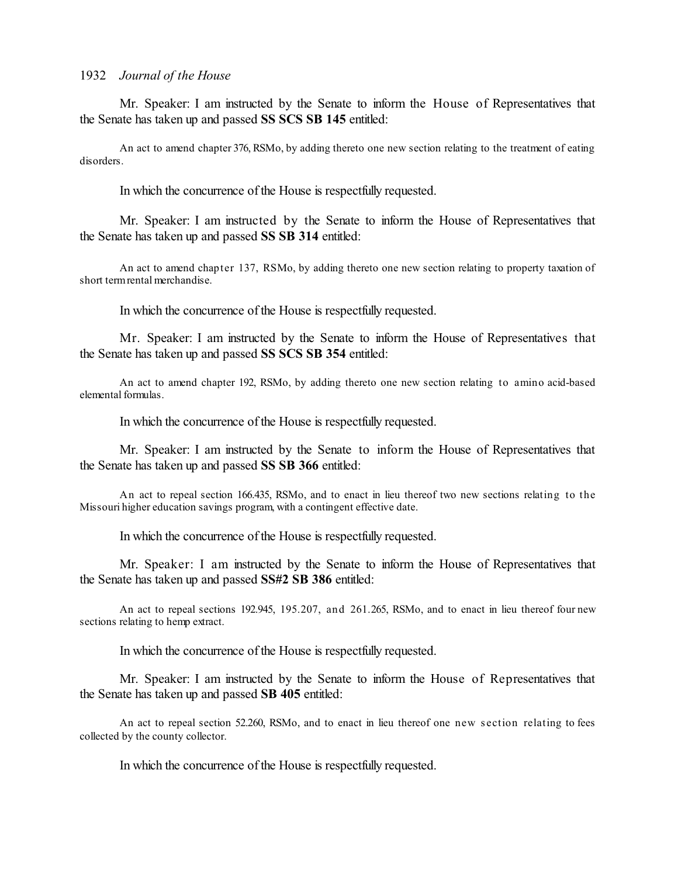Mr. Speaker: I am instructed by the Senate to inform the House of Representatives that the Senate has taken up and passed **SS SCS SB 145** entitled:

An act to amend chapter 376, RSMo, by adding thereto one new section relating to the treatment of eating disorders.

In which the concurrence of the House is respectfully requested.

Mr. Speaker: I am instructed by the Senate to inform the House of Representatives that the Senate has taken up and passed **SS SB 314** entitled:

An act to amend chapter 137, RSMo, by adding thereto one new section relating to property taxation of short termrental merchandise.

In which the concurrence of the House is respectfully requested.

Mr. Speaker: I am instructed by the Senate to inform the House of Representatives that the Senate has taken up and passed **SS SCS SB 354** entitled:

An act to amend chapter 192, RSMo, by adding thereto one new section relating to amino acid-based elemental formulas.

In which the concurrence of the House is respectfully requested.

Mr. Speaker: I am instructed by the Senate to inform the House of Representatives that the Senate has taken up and passed **SS SB 366** entitled:

An act to repeal section 166.435, RSMo, and to enact in lieu thereof two new sections relating to the Missouri higher education savings program, with a contingent effective date.

In which the concurrence of the House is respectfully requested.

Mr. Speaker: I am instructed by the Senate to inform the House of Representatives that the Senate has taken up and passed **SS#2 SB 386** entitled:

An act to repeal sections 192.945, 195.207, and 261.265, RSMo, and to enact in lieu thereof four new sections relating to hemp extract.

In which the concurrence of the House is respectfully requested.

Mr. Speaker: I am instructed by the Senate to inform the House of Representatives that the Senate has taken up and passed **SB 405** entitled:

An act to repeal section 52.260, RSMo, and to enact in lieu thereof one new s ection relating to fees collected by the county collector.

In which the concurrence of the House is respectfully requested.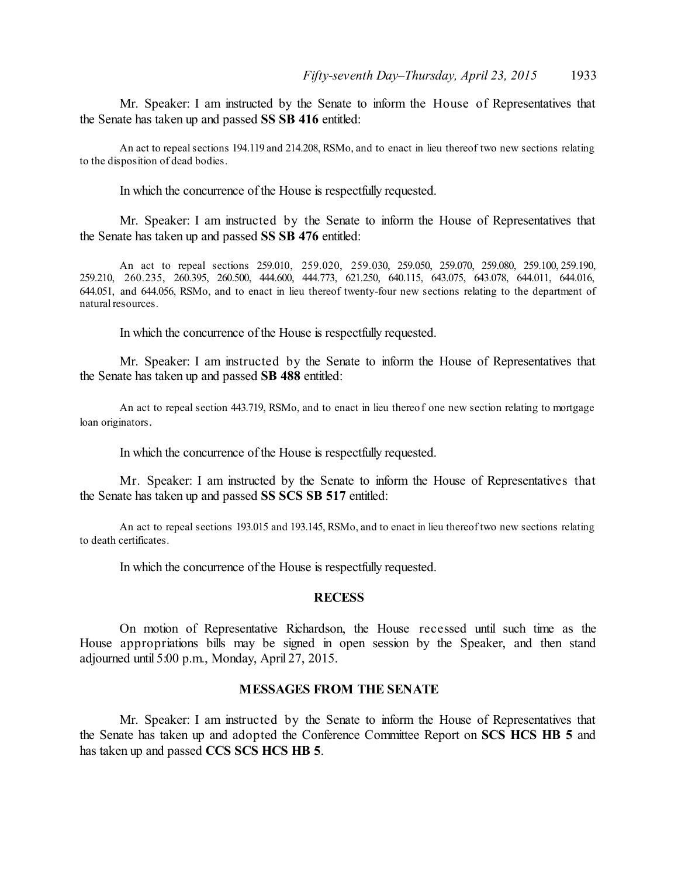Mr. Speaker: I am instructed by the Senate to inform the House of Representatives that the Senate has taken up and passed **SS SB 416** entitled:

An act to repealsections 194.119 and 214.208, RSMo, and to enact in lieu thereof two new sections relating to the disposition of dead bodies.

In which the concurrence of the House is respectfully requested.

Mr. Speaker: I am instructed by the Senate to inform the House of Representatives that the Senate has taken up and passed **SS SB 476** entitled:

An act to repeal sections 259.010, 259.020, 259.030, 259.050, 259.070, 259.080, 259.100, 259.190, 259.210, 260.235, 260.395, 260.500, 444.600, 444.773, 621.250, 640.115, 643.075, 643.078, 644.011, 644.016, 644.051, and 644.056, RSMo, and to enact in lieu thereof twenty-four new sections relating to the department of natural resources.

In which the concurrence of the House is respectfully requested.

Mr. Speaker: I am instructed by the Senate to inform the House of Representatives that the Senate has taken up and passed **SB 488** entitled:

An act to repeal section 443.719, RSMo, and to enact in lieu thereof one new section relating to mortgage loan originators.

In which the concurrence of the House is respectfully requested.

Mr. Speaker: I am instructed by the Senate to inform the House of Representatives that the Senate has taken up and passed **SS SCS SB 517** entitled:

An act to repeal sections 193.015 and 193.145, RSMo, and to enact in lieu thereof two new sections relating to death certificates.

In which the concurrence of the House is respectfully requested.

### **RECESS**

On motion of Representative Richardson, the House recessed until such time as the House appropriations bills may be signed in open session by the Speaker, and then stand adjourned until 5:00 p.m., Monday, April 27, 2015.

### **MESSAGES FROM THE SENATE**

Mr. Speaker: I am instructed by the Senate to inform the House of Representatives that the Senate has taken up and adopted the Conference Committee Report on **SCS HCS HB 5** and has taken up and passed **CCS SCS HCS HB 5**.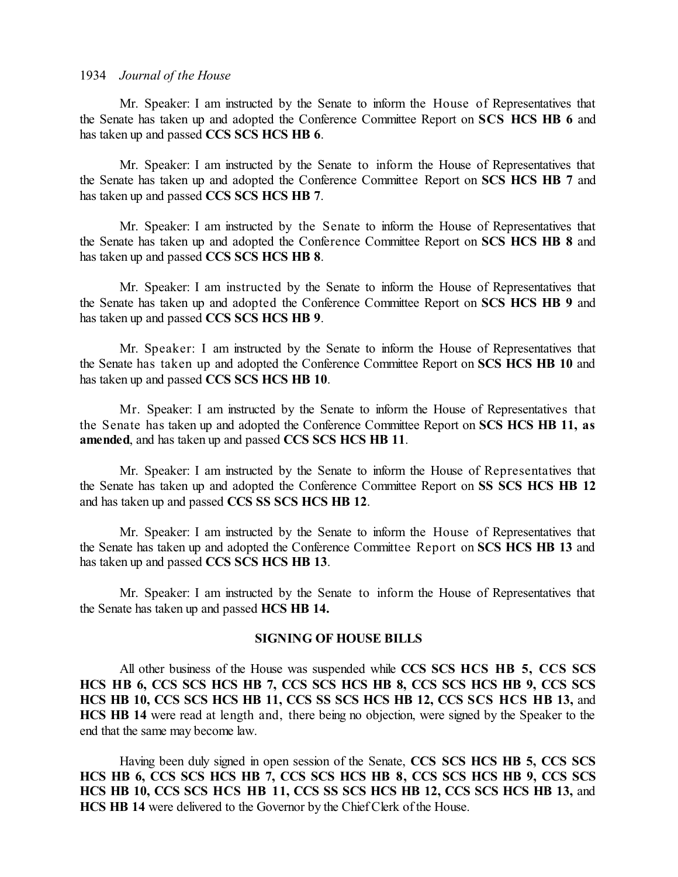Mr. Speaker: I am instructed by the Senate to inform the House of Representatives that the Senate has taken up and adopted the Conference Committee Report on **SCS HCS HB 6** and has taken up and passed **CCS SCS HCS HB 6**.

Mr. Speaker: I am instructed by the Senate to inform the House of Representatives that the Senate has taken up and adopted the Conference Committee Report on **SCS HCS HB 7** and has taken up and passed **CCS SCS HCS HB 7**.

Mr. Speaker: I am instructed by the Senate to inform the House of Representatives that the Senate has taken up and adopted the Conference Committee Report on **SCS HCS HB 8** and has taken up and passed **CCS SCS HCS HB 8**.

Mr. Speaker: I am instructed by the Senate to inform the House of Representatives that the Senate has taken up and adopted the Conference Committee Report on **SCS HCS HB 9** and has taken up and passed **CCS SCS HCS HB 9**.

Mr. Speaker: I am instructed by the Senate to inform the House of Representatives that the Senate has taken up and adopted the Conference Committee Report on **SCS HCS HB 10** and has taken up and passed **CCS SCS HCS HB 10**.

Mr. Speaker: I am instructed by the Senate to inform the House of Representatives that the Senate has taken up and adopted the Conference Committee Report on **SCS HCS HB 11, as amended**, and has taken up and passed **CCS SCS HCS HB 11**.

Mr. Speaker: I am instructed by the Senate to inform the House of Representatives that the Senate has taken up and adopted the Conference Committee Report on **SS SCS HCS HB 12** and has taken up and passed **CCS SS SCS HCS HB 12**.

Mr. Speaker: I am instructed by the Senate to inform the House of Representatives that the Senate has taken up and adopted the Conference Committee Report on **SCS HCS HB 13** and has taken up and passed **CCS SCS HCS HB 13**.

Mr. Speaker: I am instructed by the Senate to inform the House of Representatives that the Senate has taken up and passed **HCS HB 14.** 

### **SIGNING OF HOUSE BILLS**

All other business of the House was suspended while **CCS SCS HCS HB 5, CCS SCS HCS HB 6, CCS SCS HCS HB 7, CCS SCS HCS HB 8, CCS SCS HCS HB 9, CCS SCS HCS HB 10, CCS SCS HCS HB 11, CCS SS SCS HCS HB 12, CCS SCS HCS HB 13,** and **HCS HB 14** were read at length and, there being no objection, were signed by the Speaker to the end that the same may become law.

Having been duly signed in open session of the Senate, **CCS SCS HCS HB 5, CCS SCS HCS HB 6, CCS SCS HCS HB 7, CCS SCS HCS HB 8, CCS SCS HCS HB 9, CCS SCS HCS HB 10, CCS SCS HCS HB 11, CCS SS SCS HCS HB 12, CCS SCS HCS HB 13,** and **HCS HB 14** were delivered to the Governor by the Chief Clerk of the House.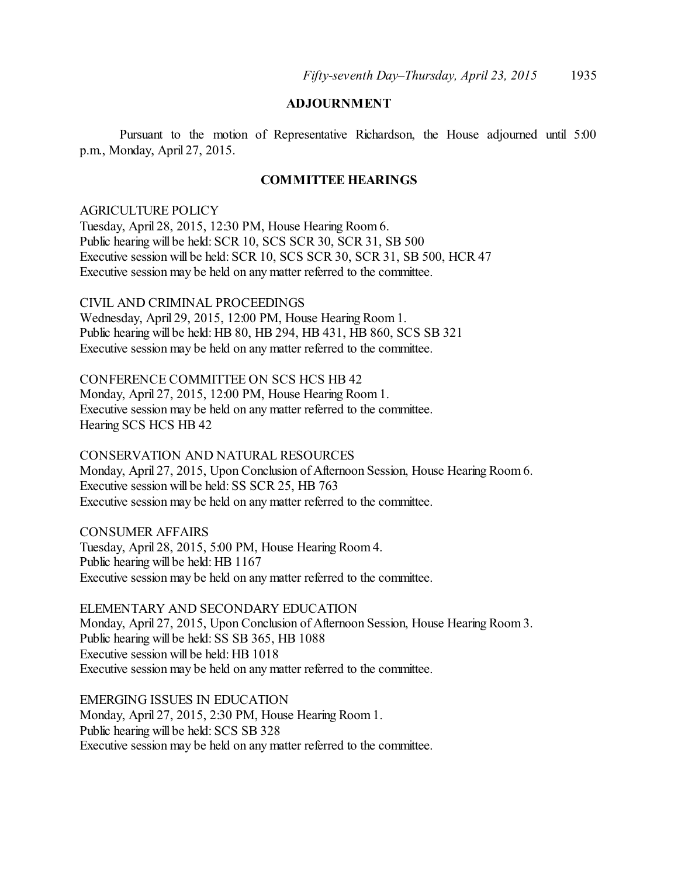## **ADJOURNMENT**

Pursuant to the motion of Representative Richardson, the House adjourned until 5:00 p.m., Monday, April 27, 2015.

### **COMMITTEE HEARINGS**

### AGRICULTURE POLICY

Tuesday, April 28, 2015, 12:30 PM, House Hearing Room 6. Public hearing will be held: SCR 10, SCS SCR 30, SCR 31, SB 500 Executive session will be held: SCR 10, SCS SCR 30, SCR 31, SB 500, HCR 47 Executive session may be held on any matter referred to the committee.

CIVIL AND CRIMINAL PROCEEDINGS

Wednesday, April 29, 2015, 12:00 PM, House Hearing Room 1. Public hearing will be held: HB 80, HB 294, HB 431, HB 860, SCS SB 321 Executive session may be held on any matter referred to the committee.

CONFERENCE COMMITTEE ON SCS HCS HB 42 Monday, April 27, 2015, 12:00 PM, House Hearing Room 1. Executive session may be held on any matter referred to the committee. Hearing SCS HCS HB 42

CONSERVATION AND NATURAL RESOURCES Monday, April 27, 2015, Upon Conclusion of Afternoon Session, House Hearing Room6. Executive session will be held: SS SCR 25, HB 763 Executive session may be held on any matter referred to the committee.

CONSUMER AFFAIRS Tuesday, April 28, 2015, 5:00 PM, House Hearing Room 4. Public hearing will be held: HB 1167 Executive session may be held on any matter referred to the committee.

ELEMENTARY AND SECONDARY EDUCATION Monday, April 27, 2015, Upon Conclusion of Afternoon Session, House Hearing Room3. Public hearing will be held: SS SB 365, HB 1088 Executive session will be held: HB 1018 Executive session may be held on any matter referred to the committee.

EMERGING ISSUES IN EDUCATION Monday, April 27, 2015, 2:30 PM, House Hearing Room 1. Public hearing will be held: SCS SB 328 Executive session may be held on any matter referred to the committee.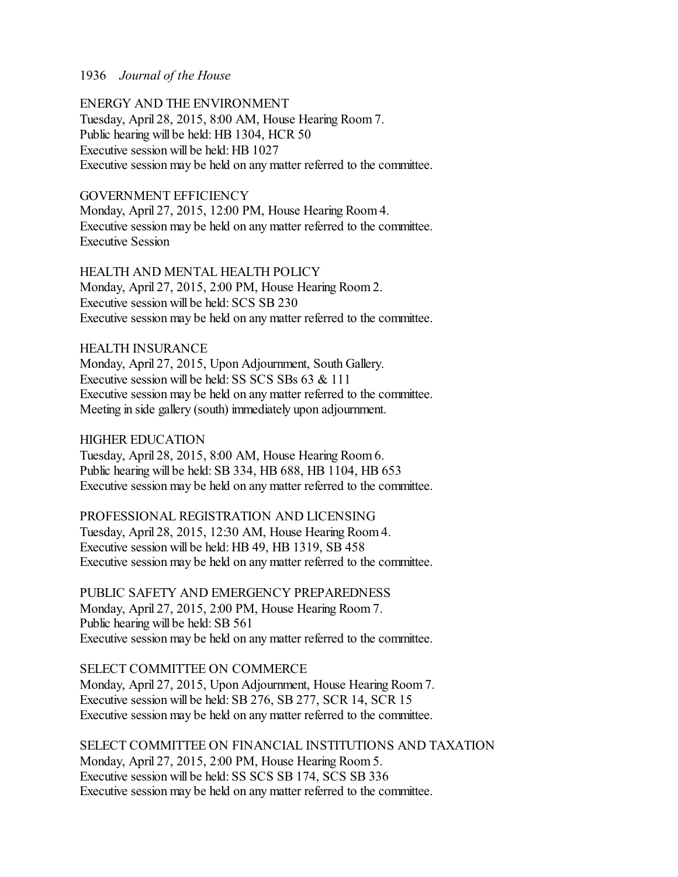ENERGY AND THE ENVIRONMENT Tuesday, April 28, 2015, 8:00 AM, House Hearing Room 7. Public hearing will be held: HB 1304, HCR 50 Executive session will be held: HB 1027 Executive session may be held on any matter referred to the committee.

### GOVERNMENT EFFICIENCY

Monday, April 27, 2015, 12:00 PM, House Hearing Room 4. Executive session may be held on any matter referred to the committee. Executive Session

HEALTH AND MENTAL HEALTH POLICY Monday, April 27, 2015, 2:00 PM, House Hearing Room 2. Executive session will be held: SCS SB 230 Executive session may be held on any matter referred to the committee.

HEALTH INSURANCE Monday, April 27, 2015, Upon Adjournment, South Gallery. Executive session will be held: SS SCS SBs 63 & 111 Executive session may be held on any matter referred to the committee. Meeting in side gallery (south) immediately upon adjournment.

HIGHER EDUCATION Tuesday, April 28, 2015, 8:00 AM, House Hearing Room 6. Public hearing will be held: SB 334, HB 688, HB 1104, HB 653 Executive session may be held on any matter referred to the committee.

PROFESSIONAL REGISTRATION AND LICENSING Tuesday, April 28, 2015, 12:30 AM, House Hearing Room 4. Executive session will be held: HB 49, HB 1319, SB 458 Executive session may be held on any matter referred to the committee.

PUBLIC SAFETY AND EMERGENCY PREPAREDNESS Monday, April 27, 2015, 2:00 PM, House Hearing Room 7. Public hearing will be held: SB 561 Executive session may be held on any matter referred to the committee.

SELECT COMMITTEE ON COMMERCE

Monday, April 27, 2015, Upon Adjournment, House Hearing Room 7. Executive session will be held: SB 276, SB 277, SCR 14, SCR 15 Executive session may be held on any matter referred to the committee.

SELECT COMMITTEE ON FINANCIAL INSTITUTIONS AND TAXATION Monday, April 27, 2015, 2:00 PM, House Hearing Room 5. Executive session will be held: SS SCS SB 174, SCS SB 336 Executive session may be held on any matter referred to the committee.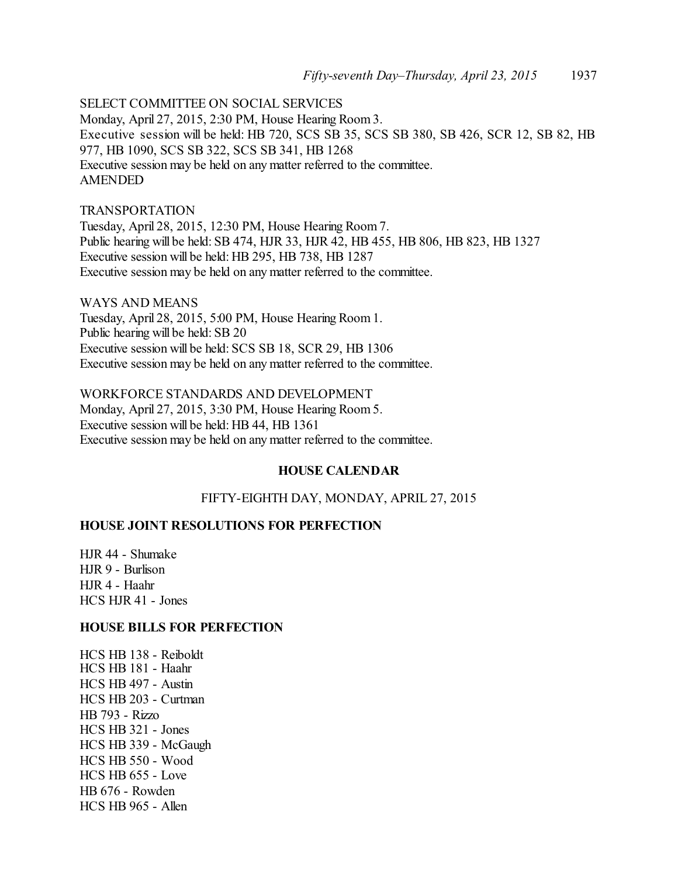SELECT COMMITTEE ON SOCIAL SERVICES Monday, April 27, 2015, 2:30 PM, House Hearing Room 3. Executive session will be held: HB 720, SCS SB 35, SCS SB 380, SB 426, SCR 12, SB 82, HB 977, HB 1090, SCS SB 322, SCS SB 341, HB 1268 Executive session may be held on any matter referred to the committee. AMENDED

### TRANSPORTATION

Tuesday, April 28, 2015, 12:30 PM, House Hearing Room 7. Public hearing will be held: SB 474, HJR 33, HJR 42, HB 455, HB 806, HB 823, HB 1327 Executive session will be held: HB 295, HB 738, HB 1287 Executive session may be held on any matter referred to the committee.

WAYS AND MEANS Tuesday, April 28, 2015, 5:00 PM, House Hearing Room 1. Public hearing will be held: SB 20 Executive session will be held: SCS SB 18, SCR 29, HB 1306 Executive session may be held on any matter referred to the committee.

WORKFORCE STANDARDS AND DEVELOPMENT Monday, April 27, 2015, 3:30 PM, House Hearing Room 5. Executive session will be held: HB 44, HB 1361 Executive session may be held on any matter referred to the committee.

### **HOUSE CALENDAR**

FIFTY-EIGHTH DAY, MONDAY, APRIL 27, 2015

### **HOUSE JOINT RESOLUTIONS FOR PERFECTION**

HJR 44 - Shumake HJR 9 - Burlison HJR 4 - Haahr HCS HJR 41 - Jones

### **HOUSE BILLS FOR PERFECTION**

HCS HB 138 - Reiboldt HCS HB 181 - Haahr HCS HB 497 - Austin HCS HB 203 - Curtman HB 793 - Rizzo HCS HB 321 - Jones HCS HB 339 - McGaugh HCS HB 550 - Wood  $HCS$  HB  $655$  - Love HB 676 - Rowden HCS HB 965 - Allen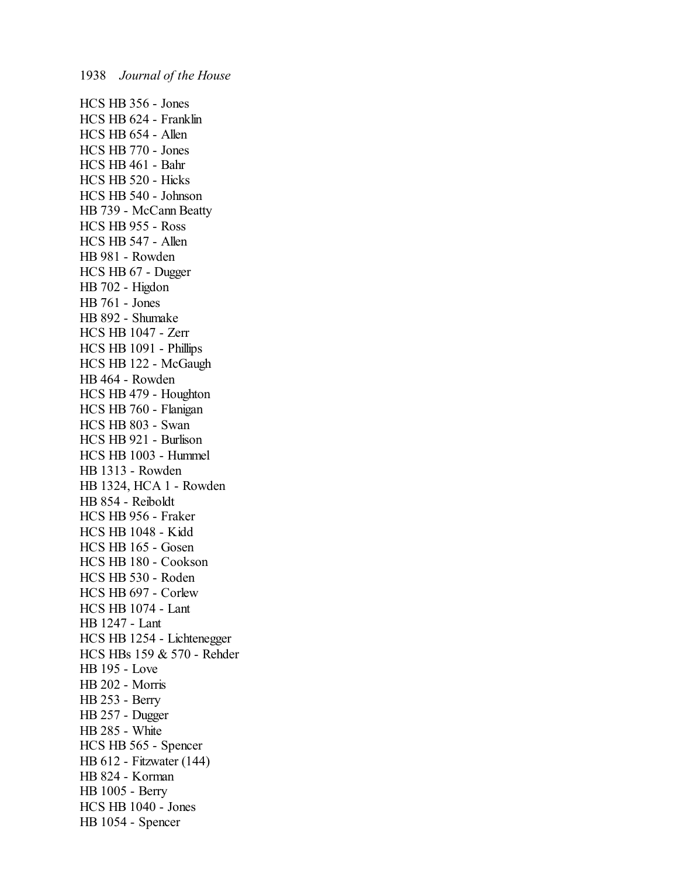HCS HB 356 - Jones HCS HB 624 - Franklin HCS HB 654 - Allen HCS HB 770 - Jones HCS HB 461 - Bahr HCS HB 520 - Hicks HCS HB 540 - Johnson HB 739 - McCann Beatty HCS HB 955 - Ross HCS HB 547 - Allen HB 981 - Rowden HCS HB 67 - Dugger HB 702 - Higdon HB 761 - Jones HB 892 - Shumake HCS HB 1047 - Zerr HCS HB 1091 - Phillips HCS HB 122 - McGaugh HB 464 - Rowden HCS HB 479 - Houghton HCS HB 760 - Flanigan HCS HB 803 - Swan HCS HB 921 - Burlison HCS HB 1003 - Hummel HB 1313 - Rowden HB 1324, HCA 1 - Rowden HB 854 - Reiboldt HCS HB 956 - Fraker HCS HB 1048 - Kidd HCS HB 165 - Gosen HCS HB 180 - Cookson HCS HB 530 - Roden HCS HB 697 - Corlew HCS HB 1074 - Lant HB 1247 - Lant HCS HB 1254 - Lichtenegger HCS HBs 159 & 570 - Rehder HB 195 - Love HB 202 - Morris HB 253 - Berry HB 257 - Dugger HB 285 - White HCS HB 565 - Spencer HB 612 - Fitzwater (144) HB 824 - Korman HB 1005 - Berry HCS HB 1040 - Jones HB 1054 - Spencer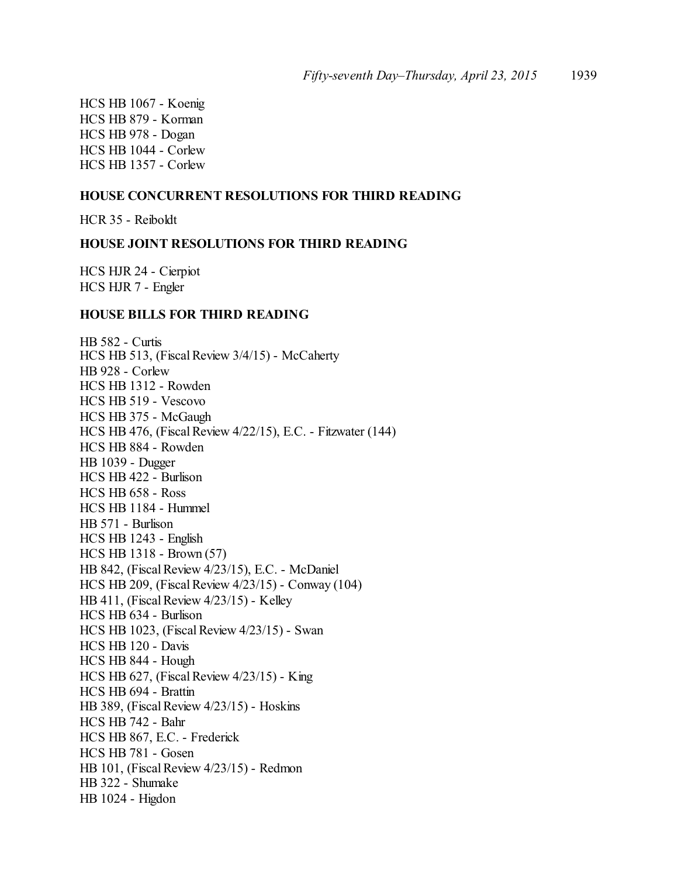HCS HB 1067 - Koenig HCS HB 879 - Korman HCS HB 978 - Dogan HCS HB 1044 - Corlew HCS HB 1357 - Corlew

### **HOUSE CONCURRENT RESOLUTIONS FOR THIRD READING**

HCR 35 - Reiboldt

### **HOUSE JOINT RESOLUTIONS FOR THIRD READING**

HCS HJR 24 - Cierpiot HCS HJR 7 - Engler

### **HOUSE BILLS FOR THIRD READING**

HB 582 - Curtis HCS HB 513, (Fiscal Review 3/4/15) - McCaherty HB 928 - Corlew HCS HB 1312 - Rowden HCS HB 519 - Vescovo HCS HB 375 - McGaugh HCS HB 476, (Fiscal Review 4/22/15), E.C. - Fitzwater (144) HCS HB 884 - Rowden HB 1039 - Dugger HCS HB 422 - Burlison HCS HB 658 - Ross HCS HB 1184 - Hummel HB 571 - Burlison HCS HB 1243 - English HCS HB 1318 - Brown (57) HB 842, (Fiscal Review 4/23/15), E.C. - McDaniel HCS HB 209, (Fiscal Review 4/23/15) - Conway (104) HB 411, (Fiscal Review 4/23/15) - Kelley HCS HB 634 - Burlison HCS HB 1023, (Fiscal Review 4/23/15) - Swan HCS HB 120 - Davis HCS HB 844 - Hough HCS HB 627, (Fiscal Review 4/23/15) - King HCS HB 694 - Brattin HB 389, (Fiscal Review 4/23/15) - Hoskins HCS HB 742 - Bahr HCS HB 867, E.C. - Frederick HCS HB 781 - Gosen HB 101, (Fiscal Review 4/23/15) - Redmon HB 322 - Shumake HB 1024 - Higdon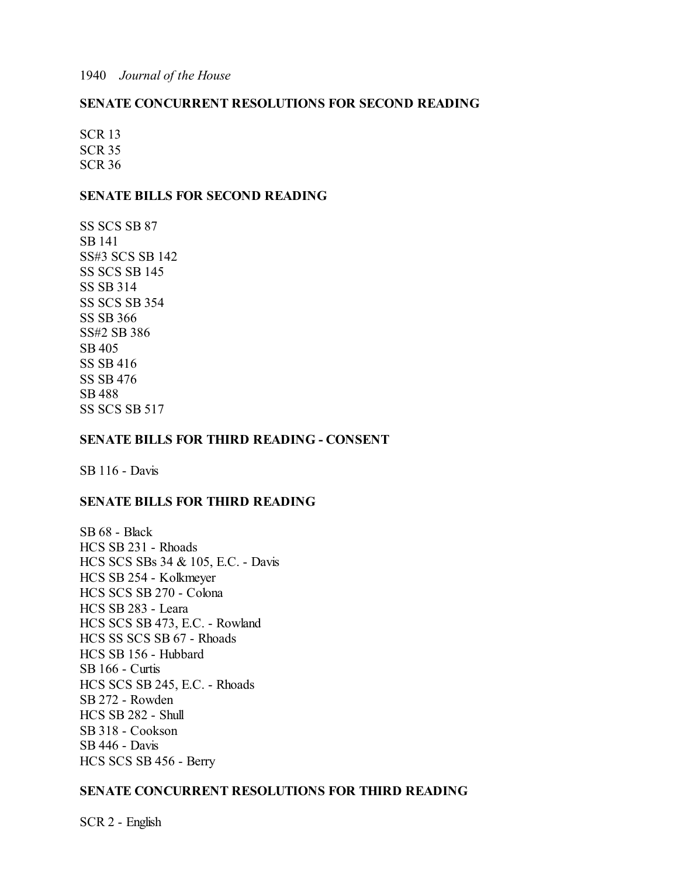### **SENATE CONCURRENT RESOLUTIONS FOR SECOND READING**

SCR 13 SCR 35 SCR 36

### **SENATE BILLS FOR SECOND READING**

SS SCS SB 87 SB 141 SS#3 SCS SB 142 SS SCS SB 145 SS SB 314 SS SCS SB 354 SS SB 366 SS#2 SB 386 SB 405 SS SB 416 SS SB 476 SB 488 SS SCS SB 517

### **SENATE BILLS FOR THIRD READING - CONSENT**

SB 116 - Davis

### **SENATE BILLS FOR THIRD READING**

SB 68 - Black HCS SB 231 - Rhoads HCS SCS SBs 34 & 105, E.C. - Davis HCS SB 254 - Kolkmeyer HCS SCS SB 270 - Colona HCS SB 283 - Leara HCS SCS SB 473, E.C. - Rowland HCS SS SCS SB 67 - Rhoads HCS SB 156 - Hubbard SB 166 - Curtis HCS SCS SB 245, E.C. - Rhoads SB 272 - Rowden HCS SB 282 - Shull SB 318 - Cookson SB 446 - Davis HCS SCS SB 456 - Berry

### **SENATE CONCURRENT RESOLUTIONS FOR THIRD READING**

SCR 2 - English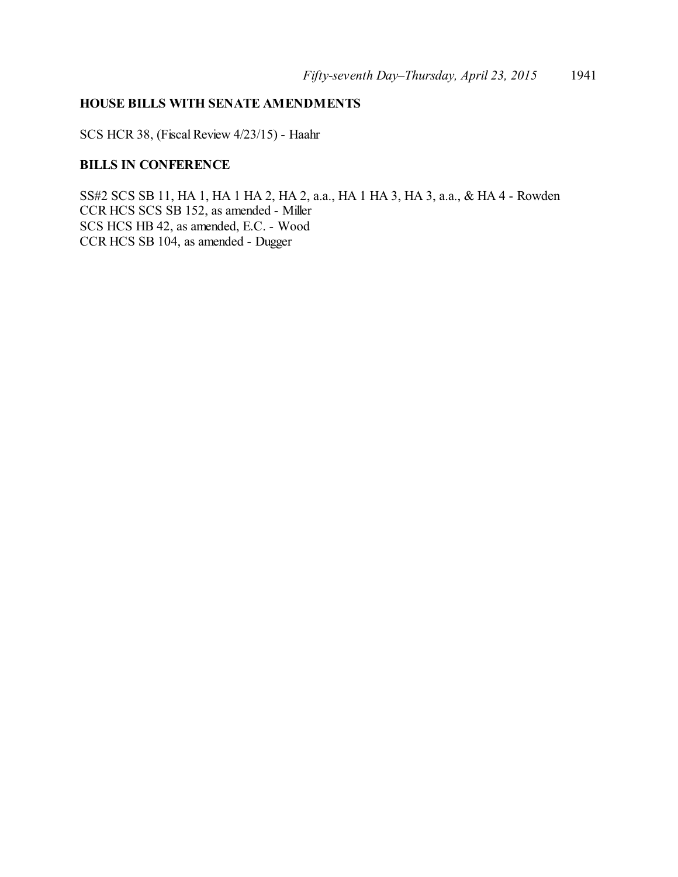### **HOUSE BILLS WITH SENATE AMENDMENTS**

SCS HCR 38, (Fiscal Review 4/23/15) - Haahr

## **BILLS IN CONFERENCE**

SS#2 SCS SB 11, HA 1, HA 1 HA 2, HA 2, a.a., HA 1 HA 3, HA 3, a.a., & HA 4 - Rowden CCR HCS SCS SB 152, as amended - Miller SCS HCS HB 42, as amended, E.C. - Wood CCR HCS SB 104, as amended - Dugger